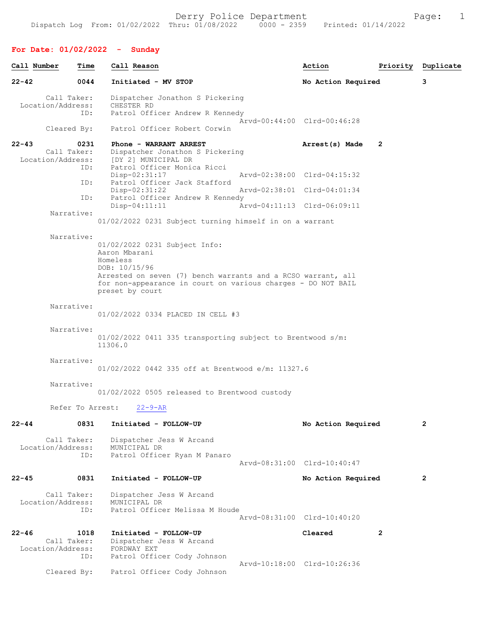| Call Number | Time                                                   | Call Reason                                                                                                                                                                                                                    | Action                      |              | Priority Duplicate |
|-------------|--------------------------------------------------------|--------------------------------------------------------------------------------------------------------------------------------------------------------------------------------------------------------------------------------|-----------------------------|--------------|--------------------|
| $22 - 42$   | 0044                                                   | Initiated - MV STOP                                                                                                                                                                                                            | No Action Required          |              | 3                  |
|             | Call Taker:<br>Location/Address:<br>ID:<br>Cleared By: | Dispatcher Jonathon S Pickering<br>CHESTER RD<br>Patrol Officer Andrew R Kennedy<br>Patrol Officer Robert Corwin                                                                                                               | Arvd-00:44:00 Clrd-00:46:28 |              |                    |
| $22 - 43$   | 0231<br>Call Taker:                                    | Phone - WARRANT ARREST<br>Dispatcher Jonathon S Pickering                                                                                                                                                                      | Arrest(s) Made              | 2            |                    |
|             | Location/Address:<br>ID:                               | [DY 2] MUNICIPAL DR<br>Patrol Officer Monica Ricci<br>$Disp-02:31:17$                                                                                                                                                          | Aryd-02:38:00 Clrd-04:15:32 |              |                    |
|             | ID:<br>ID:                                             | Patrol Officer Jack Stafford<br>Disp-02:31:22<br>Patrol Officer Andrew R Kennedy                                                                                                                                               | Arvd-02:38:01 Clrd-04:01:34 |              |                    |
|             | Narrative:                                             | $Disp-04:11:11$<br>01/02/2022 0231 Subject turning himself in on a warrant                                                                                                                                                     | Arvd-04:11:13 Clrd-06:09:11 |              |                    |
|             | Narrative:                                             | 01/02/2022 0231 Subject Info:<br>Aaron Mbarani<br>Homeless<br>DOB: 10/15/96<br>Arrested on seven (7) bench warrants and a RCSO warrant, all<br>for non-appearance in court on various charges - DO NOT BAIL<br>preset by court |                             |              |                    |
|             | Narrative:                                             | 01/02/2022 0334 PLACED IN CELL #3                                                                                                                                                                                              |                             |              |                    |
|             | Narrative:                                             | $01/02/2022$ 0411 335 transporting subject to Brentwood s/m:<br>11306.0                                                                                                                                                        |                             |              |                    |
|             | Narrative:                                             | 01/02/2022 0442 335 off at Brentwood e/m: 11327.6                                                                                                                                                                              |                             |              |                    |
|             | Narrative:                                             | 01/02/2022 0505 released to Brentwood custody                                                                                                                                                                                  |                             |              |                    |
|             | Refer To Arrest:                                       | $22 - 9 - AR$                                                                                                                                                                                                                  |                             |              |                    |
| $22 - 44$   | 0831                                                   | Initiated - FOLLOW-UP                                                                                                                                                                                                          | No Action Required          |              | 2                  |
|             | Call Taker:<br>Location/Address:<br>ID:                | Dispatcher Jess W Arcand<br>MUNICIPAL DR<br>Patrol Officer Ryan M Panaro                                                                                                                                                       | Arvd-08:31:00 Clrd-10:40:47 |              |                    |
| $22 - 45$   | 0831                                                   | Initiated - FOLLOW-UP                                                                                                                                                                                                          | No Action Required          |              | 2                  |
|             | Call Taker:<br>Location/Address:<br>ID:                | Dispatcher Jess W Arcand<br>MUNICIPAL DR<br>Patrol Officer Melissa M Houde                                                                                                                                                     | Arvd-08:31:00 Clrd-10:40:20 |              |                    |
| $22 - 46$   | 1018<br>Call Taker:<br>Location/Address:<br>ID:        | Initiated - FOLLOW-UP<br>Dispatcher Jess W Arcand<br>FORDWAY EXT<br>Patrol Officer Cody Johnson                                                                                                                                | Cleared                     | $\mathbf{2}$ |                    |
|             | Cleared By:                                            | Patrol Officer Cody Johnson                                                                                                                                                                                                    | Arvd-10:18:00 Clrd-10:26:36 |              |                    |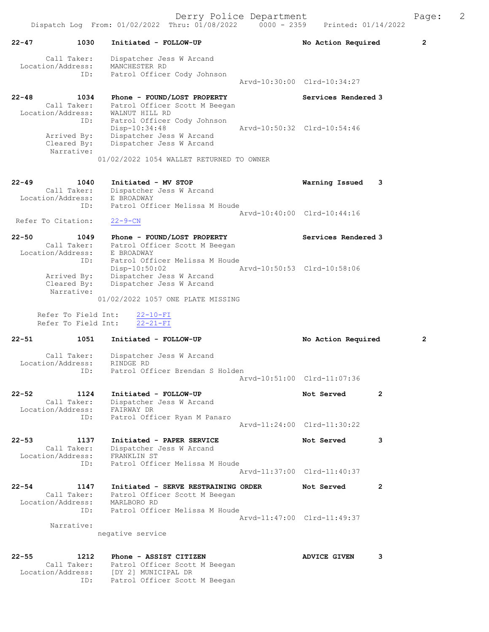22-47 1030 Initiated - FOLLOW-UP No Action Required 2 Call Taker: Dispatcher Jess W Arcand Location/Address: MANCHESTER RD ID: Patrol Officer Cody Johnson Arvd-10:30:00 Clrd-10:34:27 22-48 1034 Phone - FOUND/LOST PROPERTY Services Rendered 3 Call Taker: Patrol Officer Scott M Beegan Location/Address: WALNUT HILL RD ID: Patrol Officer Cody Johnson Disp-10:34:48 Arvd-10:50:32 Clrd-10:54:46 Arrived By: Dispatcher Jess W Arcand Cleared By: Dispatcher Jess W Arcand Narrative: 01/02/2022 1054 WALLET RETURNED TO OWNER 22-49 1040 Initiated - MV STOP Warning Issued 3 Call Taker: Dispatcher Jess W Arcand Location/Address: E BROADWAY ID: Patrol Officer Melissa M Houde Arvd-10:40:00 Clrd-10:44:16 Refer To Citation: 22-9-CN 22-50 1049 Phone - FOUND/LOST PROPERTY Services Rendered 3 Call Taker: Patrol Officer Scott M Beegan Location/Address: E BROADWAY ID: Patrol Officer Melissa M Houde Disp-10:50:02 Arvd-10:50:53 Clrd-10:58:06 Arrived By: Dispatcher Jess W Arcand Cleared By: Dispatcher Jess W Arcand Narrative: 01/02/2022 1057 ONE PLATE MISSING Refer To Field Int: 22-10-FI Refer To Field Int: 22-21-FI 22-51 1051 Initiated - FOLLOW-UP No Action Required 2 Call Taker: Dispatcher Jess W Arcand Location/Address: RINDGE RD ID: Patrol Officer Brendan S Holden Arvd-10:51:00 Clrd-11:07:36 22-52 1124 Initiated - FOLLOW-UP Not Served 2 Call Taker: Dispatcher Jess W Arcand Location/Address: FAIRWAY DR ID: Patrol Officer Ryan M Panaro Arvd-11:24:00 Clrd-11:30:22 22-53 1137 Initiated - PAPER SERVICE Not Served 3 Call Taker: Dispatcher Jess W Arcand Location/Address: FRANKLIN ST ID: Patrol Officer Melissa M Houde Arvd-11:37:00 Clrd-11:40:37 22-54 1147 Initiated - SERVE RESTRAINING ORDER Not Served 2 Call Taker: Patrol Officer Scott M Beegan Location/Address: MARLBORO RD ID: Patrol Officer Melissa M Houde Arvd-11:47:00 Clrd-11:49:37 Narrative: negative service 22-55 1212 Phone - ASSIST CITIZEN ANVICE GIVEN 3 Call Taker: Patrol Officer Scott M Beegan

 Location/Address: [DY 2] MUNICIPAL DR ID: Patrol Officer Scott M Beegan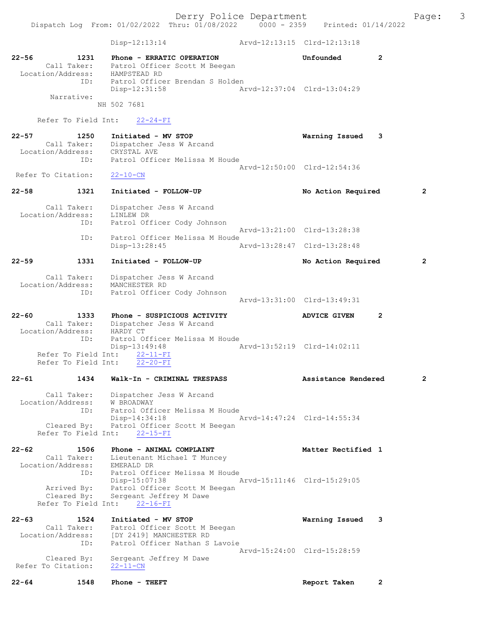Dispatch Log From: 01/02/2022 Thru: 01/08/2022 0000 - 2359 Printed: 01/14/2022 Disp-12:13:14 Arvd-12:13:15 Clrd-12:13:18 22-56 1231 Phone - ERRATIC OPERATION Unfounded 2 Call Taker: Patrol Officer Scott M Beegan Location/Address: HAMPSTEAD RD ID: Patrol Officer Brendan S Holden Disp-12:31:58 Arvd-12:37:04 Clrd-13:04:29 Narrative: NH 502 7681 Refer To Field Int: 22-24-FI 22-57 1250 Initiated - MV STOP Warning Issued 3 Call Taker: Dispatcher Jess W Arcand Location/Address: CRYSTAL AVE ID: Patrol Officer Melissa M Houde Arvd-12:50:00 Clrd-12:54:36<br>22-10-CN Refer To Citation: 22-58 1321 Initiated - FOLLOW-UP No Action Required 2 Call Taker: Dispatcher Jess W Arcand Location/Address: LINLEW DR ID: Patrol Officer Cody Johnson Arvd-13:21:00 Clrd-13:28:38 ID: Patrol Officer Melissa M Houde Disp-13:28:45 Arvd-13:28:47 Clrd-13:28:48 22-59 1331 Initiated - FOLLOW-UP No Action Required 2 Call Taker: Dispatcher Jess W Arcand Location/Address: MANCHESTER RD ID: Patrol Officer Cody Johnson Arvd-13:31:00 Clrd-13:49:31 22-60 1333 Phone - SUSPICIOUS ACTIVITY ADVICE GIVEN 2 Call Taker: Dispatcher Jess W Arcand Location/Address: HARDY CT ID: Patrol Officer Melissa M Houde<br>Disp-13:49:48 Disp-13:49:48 Arvd-13:52:19 Clrd-14:02:11 Refer To Field Int: 22-11-FI Refer To Field Int: 22-20-FI 22-61 1434 Walk-In - CRIMINAL TRESPASS Assistance Rendered 2 Call Taker: Dispatcher Jess W Arcand Location/Address: W BROADWAY ID: Patrol Officer Melissa M Houde Disp-14:34:18 Arvd-14:47:24 Clrd-14:55:34 Cleared By: Patrol Officer Scott M Beegan Refer To Field Int: 22-15-FI 22-62 1506 Phone - ANIMAL COMPLAINT Matter Rectified 1 Call Taker: Lieutenant Michael T Muncey Location/Address: EMERALD DR ID: Patrol Officer Melissa M Houde Disp-15:07:38 Arvd-15:11:46 Clrd-15:29:05 Arrived By: Patrol Officer Scott M Beegan Cleared By: Sergeant Jeffrey M Dawe Refer To Field Int: 22-16-FI 22-63 1524 Initiated - MV STOP Warning Issued 3 Call Taker: Patrol Officer Scott M Beegan Location/Address: [DY 2419] MANCHESTER RD ID: Patrol Officer Nathan S Lavoie Arvd-15:24:00 Clrd-15:28:59 Cleared By: Sergeant Jeffrey M Dawe Refer To Citation: 22-11-CN 22-64 1548 Phone - THEFT Report Taken 2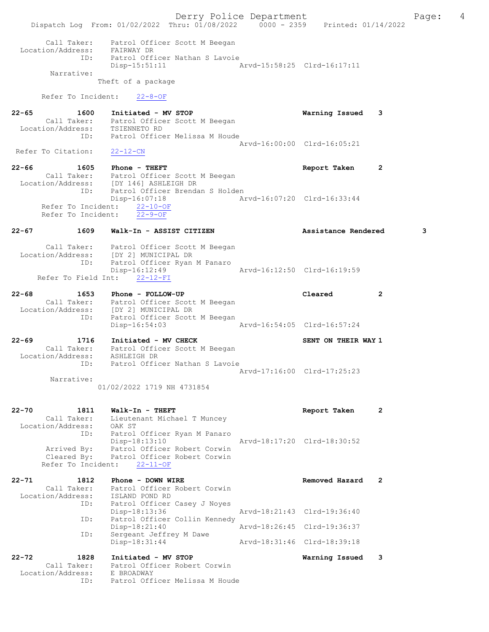Derry Police Department Fage: 4 Dispatch Log From: 01/02/2022 Thru: 01/08/2022 0000 - 2359 Printed: 01/14/2022 Call Taker: Patrol Officer Scott M Beegan Location/Address: FAIRWAY DR ID: Patrol Officer Nathan S Lavoie Disp-15:51:11 Arvd-15:58:25 Clrd-16:17:11 Narrative: Theft of a package Refer To Incident: 22-8-OF 22-65 1600 Initiated - MV STOP Warning Issued 3 Call Taker: Patrol Officer Scott M Beegan Location/Address: TSIENNETO RD ID: Patrol Officer Melissa M Houde Arvd-16:00:00 Clrd-16:05:21<br>22-12-CN Refer To Citation: 22-66 1605 Phone - THEFT Report Taken 2 Call Taker: Patrol Officer Scott M Beegan Location/Address: [DY 146] ASHLEIGH DR ID: Patrol Officer Brendan S Holden<br>Disp-16:07:18 Am Disp-16:07:18 Arvd-16:07:20 Clrd-16:33:44 Refer To Incident: 22-10-OF Refer To Incident: 22-9-OF 22-67 1609 Walk-In - ASSIST CITIZEN Assistance Rendered 3 Call Taker: Patrol Officer Scott M Beegan Location/Address: [DY 2] MUNICIPAL DR ID: Patrol Officer Ryan M Panaro Disp-16:12:49 Refer To Field Int: 22-12-FI 22-68 1653 Phone - FOLLOW-UP Cleared 2 Call Taker: Patrol Officer Scott M Beegan Location/Address: [DY 2] MUNICIPAL DR ID: Patrol Officer Scott M Beegan Disp-16:54:03 Arvd-16:54:05 Clrd-16:57:24 22-69 1716 Initiated - MV CHECK SENT ON THEIR WAY 1 Call Taker: Patrol Officer Scott M Beegan Location/Address: ASHLEIGH DR ID: Patrol Officer Nathan S Lavoie Arvd-17:16:00 Clrd-17:25:23 Narrative: 01/02/2022 1719 NH 4731854 22-70 1811 Walk-In - THEFT 2 Call Taker: Lieutenant Michael T Muncey Location/Address: OAK ST ID: Patrol Officer Ryan M Panaro Disp-18:13:10 Arvd-18:17:20 Clrd-18:30:52 Arrived By: Patrol Officer Robert Corwin Cleared By: Patrol Officer Robert Corwin Refer To Incident: 22-11-OF 22-71 1812 Phone - DOWN WIRE 1899 1899 Removed Hazard 2 Call Taker: Patrol Officer Robert Corwin Location/Address: ISLAND POND RD ID: Patrol Officer Casey J Noyes<br>Disp-18:13:36 Arvd-18:21:43 Clrd-19:36:40 Disp-18:13:36 ID: Patrol Officer Collin Kennedy<br>Disp-18:21:40 Arvd-18:26:45 Clrd-19:36:37 Disp-18:21:40 ID: Sergeant Jeffrey M Dawe<br>Disp-18:31:44 Disp-18:31:44 Arvd-18:31:46 Clrd-18:39:18 22-72 1828 Initiated - MV STOP Warning Issued 3 Call Taker: Patrol Officer Robert Corwin Location/Address: E BROADWAY ID: Patrol Officer Melissa M Houde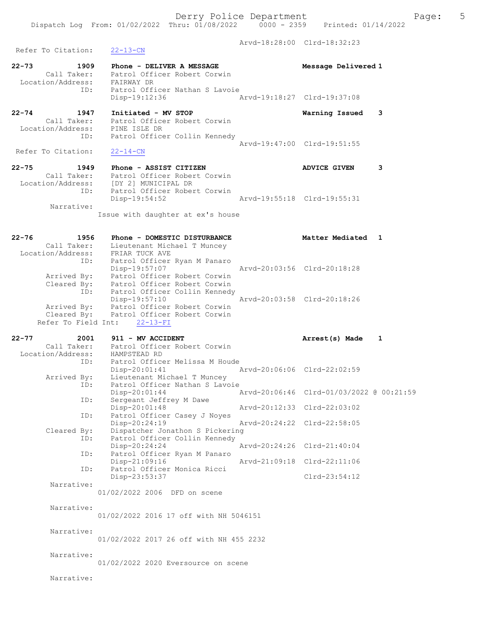Derry Police Department Fage: 5 Dispatch Log From: 01/02/2022 Thru: 01/08/2022 0000 - 2359 Printed: 01/14/2022 Arvd-18:28:00 Clrd-18:32:23 Refer To Citation: 22-13-CN 22-73 1909 Phone - DELIVER A MESSAGE Message Delivered 1 Call Taker: Patrol Officer Robert Corwin Location/Address: FAIRWAY DR ID: Patrol Officer Nathan S Lavoie Disp-19:12:36 Arvd-19:18:27 Clrd-19:37:08 22-74 1947 Initiated - MV STOP Warning Issued 3 Call Taker: Patrol Officer Robert Corwin Location/Address: PINE ISLE DR ID: Patrol Officer Collin Kennedy Arvd-19:47:00 Clrd-19:51:55<br>22-14-CN Refer To Citation: 22-75 1949 Phone - ASSIST CITIZEN ANVICE GIVEN 3 Call Taker: Patrol Officer Robert Corwin Location/Address: [DY 2] MUNICIPAL DR ID: Patrol Officer Robert Corwin<br>Disp-19:54:52 Disp-19:54:52 Arvd-19:55:18 Clrd-19:55:31 Narrative: Issue with daughter at ex's house 22-76 1956 Phone - DOMESTIC DISTURBANCE Matter Mediated 1 Call Taker: Lieutenant Michael T Muncey Location/Address: FRIAR TUCK AVE ID: Patrol Officer Ryan M Panaro Disp-19:57:07 Arvd-20:03:56 Clrd-20:18:28 Arrived By: Patrol Officer Robert Corwin Cleared By: Patrol Officer Robert Corwin ID: Patrol Officer Collin Kennedy Disp-19:57:10 Arvd-20:03:58 Clrd-20:18:26 Arrived By: Patrol Officer Robert Corwin Cleared By: Patrol Officer Robert Corwin Refer To Field Int: 22-13-FI 22-77 2001 911 - MV ACCIDENT **12001 12001 12001 12001** Arrest(s) Made 1 Call Taker: Patrol Officer Robert Corwin Location/Address: HAMPSTEAD RD ID: Patrol Officer Melissa M Houde Disp-20:01:41 Arvd-20:06:06 Clrd-22:02:59 Arrived By: Lieutenant Michael T Muncey ID: Patrol Officer Nathan S Lavoie Disp-20:01:44 Arvd-20:06:46 Clrd-01/03/2022 @ 00:21:59 ID: Sergeant Jeffrey M Dawe Disp-20:01:48 Arvd-20:12:33 Clrd-22:03:02 ID: Sergeant Jerrey M Dawe<br>Disp-20:01:48<br>ID: Patrol Officer Casey J Noyes Disp-20:24:19 Arvd-20:24:22 Clrd-22:58:05 Cleared By: Dispatcher Jonathon S Pickering<br>ID: Patrol Officer Collin Kennedy Patrol Officer Collin Kennedy<br>Disp-20:24:24 Disp-20:24:24 Arvd-20:24:26 Clrd-21:40:04 ID: Patrol Officer Ryan M Panaro Disp-21:09:16 Arvd-21:09:18 Clrd-22:11:06 ID: Patrol Officer Monica Ricci Disp-23:53:37 Clrd-23:54:12 Narrative: 01/02/2022 2006 DFD on scene Narrative: 01/02/2022 2016 17 off with NH 5046151 Narrative:

01/02/2022 2017 26 off with NH 455 2232

01/02/2022 2020 Eversource on scene

Narrative:

Narrative: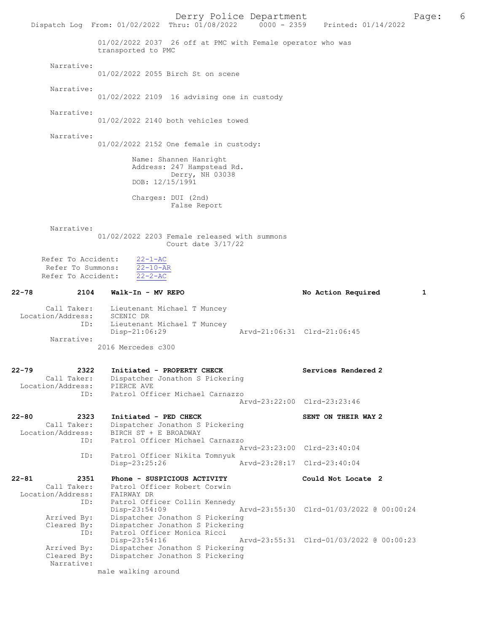Derry Police Department The Rage: 6 Dispatch Log From: 01/02/2022 Thru: 01/08/2022 0000 - 2359 Printed: 01/14/2022 01/02/2022 2037 26 off at PMC with Female operator who was transported to PMC Narrative: 01/02/2022 2055 Birch St on scene Narrative: 01/02/2022 2109 16 advising one in custody Narrative: 01/02/2022 2140 both vehicles towed Narrative: 01/02/2022 2152 One female in custody: Name: Shannen Hanright Address: 247 Hampstead Rd. Derry, NH 03038 DOB: 12/15/1991 Charges: DUI (2nd) False Report Narrative: 01/02/2022 2203 Female released with summons Court date 3/17/22 Refer To Accident:  $\frac{22-1-AC}{22-10-AR}$ Refer To Summons:  $\frac{22-10-AF}{22-2-AC}$ Refer To Accident: 22-78 2104 Walk-In - MV REPO 2008 22-78 No Action Required 1 Call Taker: Lieutenant Michael T Muncey Location/Address: SCENIC DR ID: Lieutenant Michael T Muncey Disp-21:06:29 Arvd-21:06:31 Clrd-21:06:45 Narrative: 2016 Mercedes c300 22-79 2322 Initiated - PROPERTY CHECK Services Rendered 2 Call Taker: Dispatcher Jonathon S Pickering Location/Address: PIERCE AVE ID: Patrol Officer Michael Carnazzo Arvd-23:22:00 Clrd-23:23:46 22-80 2323 Initiated - PED CHECK SENT ON THEIR WAY 2 Call Taker: Dispatcher Jonathon S Pickering Location/Address: BIRCH ST + E BROADWAY ID: Patrol Officer Michael Carnazzo Arvd-23:23:00 Clrd-23:40:04<br>ID: Patrol Officer Nikita Tomnyuk Patrol Officer Nikita Tomnyuk<br>Disp-23:25:26 Disp-23:25:26 Arvd-23:28:17 Clrd-23:40:04 22-81 2351 Phone - SUSPICIOUS ACTIVITY Could Not Locate 2 Call Taker: Patrol Officer Robert Corwin Location/Address: FAIRWAY DR ID: Patrol Officer Collin Kennedy Disp-23:54:09 Arvd-23:55:30 Clrd-01/03/2022 @ 00:00:24 Arrived By: Dispatcher Jonathon S Pickering Cleared By: Dispatcher Jonathon S Pickering ID: Patrol Officer Monica Ricci Disp-23:54:16 Arvd-23:55:31 Clrd-01/03/2022 @ 00:00:23<br>Arrived By: Dispatcher Jonathon S Pickering Arrived By: Dispatcher Jonathon S Pickering<br>Cleared By: Dispatcher Jonathon S Pickering Dispatcher Jonathon S Pickering Narrative: male walking around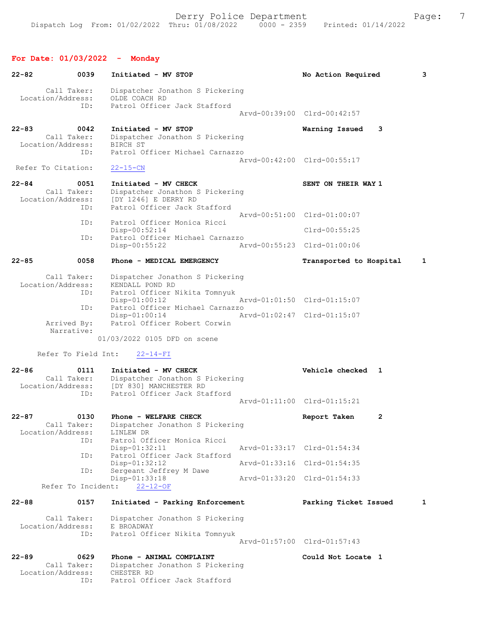# For Date: 01/03/2022 - Monday

| $22 - 82$<br>0039                                            | Initiated - MV STOP                                                                                               | No Action Required          | 3            |
|--------------------------------------------------------------|-------------------------------------------------------------------------------------------------------------------|-----------------------------|--------------|
| Call Taker:<br>Location/Address:                             | Dispatcher Jonathon S Pickering<br>OLDE COACH RD                                                                  |                             |              |
| ID:                                                          | Patrol Officer Jack Stafford                                                                                      | Arvd-00:39:00 Clrd-00:42:57 |              |
| $22 - 83$<br>0042<br>Call Taker:                             | Initiated - MV STOP<br>Dispatcher Jonathon S Pickering                                                            | Warning Issued              | 3            |
| Location/Address:<br>ID:                                     | BIRCH ST<br>Patrol Officer Michael Carnazzo                                                                       |                             |              |
| Refer To Citation:                                           | $22 - 15 - CN$                                                                                                    | Arvd-00:42:00 Clrd-00:55:17 |              |
| $22 - 84$<br>0051<br>Call Taker:<br>Location/Address:        | Initiated - MV CHECK<br>Dispatcher Jonathon S Pickering<br>[DY 1246] E DERRY RD                                   | SENT ON THEIR WAY 1         |              |
| ID:<br>ID:                                                   | Patrol Officer Jack Stafford<br>Patrol Officer Monica Ricci                                                       | Arvd-00:51:00 Clrd-01:00:07 |              |
| ID:                                                          | $Disp-00:52:14$<br>Patrol Officer Michael Carnazzo                                                                | $Clrd-00:55:25$             |              |
|                                                              | Disp-00:55:22                                                                                                     | Arvd-00:55:23 Clrd-01:00:06 |              |
| $22 - 85$<br>0058                                            | Phone - MEDICAL EMERGENCY                                                                                         | Transported to Hospital     | 1            |
| Call Taker:<br>Location/Address:<br>ID:                      | Dispatcher Jonathon S Pickering<br>KENDALL POND RD<br>Patrol Officer Nikita Tomnyuk                               |                             |              |
| ID:                                                          | $Disp-01:00:12$<br>Patrol Officer Michael Carnazzo                                                                | Arvd-01:01:50 Clrd-01:15:07 |              |
| Arrived By:<br>Narrative:                                    | $Disp-01:00:14$<br>Patrol Officer Robert Corwin                                                                   | Arvd-01:02:47 Clrd-01:15:07 |              |
|                                                              | 01/03/2022 0105 DFD on scene                                                                                      |                             |              |
| Refer To Field Int:                                          | $22 - 14 - FI$                                                                                                    |                             |              |
| $22 - 86$<br>0111<br>Call Taker:<br>Location/Address:<br>ID: | Initiated - MV CHECK<br>Dispatcher Jonathon S Pickering<br>[DY 830] MANCHESTER RD<br>Patrol Officer Jack Stafford | Vehicle checked 1           |              |
|                                                              |                                                                                                                   | Arvd-01:11:00 Clrd-01:15:21 |              |
| $22 - 87$<br>0130<br>Location/Address:                       | Phone - WELFARE CHECK<br>Call Taker: Dispatcher Jonathon S Pickering<br>LINLEW DR                                 | Report Taken                | $\mathbf{2}$ |
| ID:                                                          | Patrol Officer Monica Ricci<br>Disp-01:32:11                                                                      | Arvd-01:33:17 Clrd-01:54:34 |              |
| ID:<br>ID:                                                   | Patrol Officer Jack Stafford<br>$Disp-01:32:12$<br>Sergeant Jeffrey M Dawe                                        | Arvd-01:33:16 Clrd-01:54:35 |              |
| Refer To Incident:                                           | Disp-01:33:18<br>$22 - 12 - OF$                                                                                   | Arvd-01:33:20 Clrd-01:54:33 |              |
| $22 - 88$<br>0157                                            | Initiated - Parking Enforcement                                                                                   | Parking Ticket Issued       | $\mathbf{1}$ |
| Call Taker:<br>Location/Address:                             | Dispatcher Jonathon S Pickering<br>E BROADWAY                                                                     |                             |              |
| ID:                                                          | Patrol Officer Nikita Tomnyuk                                                                                     | Arvd-01:57:00 Clrd-01:57:43 |              |
| $22 - 89$<br>0629<br>Call Taker:<br>Location/Address:<br>ID: | Phone - ANIMAL COMPLAINT<br>Dispatcher Jonathon S Pickering<br>CHESTER RD<br>Patrol Officer Jack Stafford         | Could Not Locate 1          |              |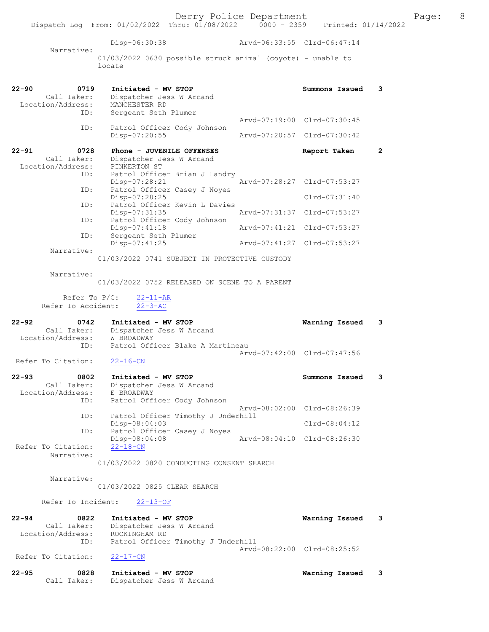Disp-06:30:38 Arvd-06:33:55 Clrd-06:47:14 Narrative: 01/03/2022 0630 possible struck animal (coyote) - unable to locate 22-90 0719 Initiated - MV STOP Summons Issued 3 Call Taker: Dispatcher Jess W Arcand Location/Address: MANCHESTER RD ID: Sergeant Seth Plumer Arvd-07:19:00 Clrd-07:30:45 ID: Patrol Officer Cody Johnson Disp-07:20:55 Arvd-07:20:57 Clrd-07:30:42 22-91 0728 Phone - JUVENILE OFFENSES Report Taken 2 Call Taker: Dispatcher Jess W Arcand Location/Address: PINKERTON ST ID: Patrol Officer Brian J Landry<br>Disp-07:28:21 hrvd-07:28:27 Clrd-07:53:27 Disp-07:28:21 Arvd-07:28:27 Clrd-07:53:27 ID: Patrol Officer Casey J Noyes Disp-07:28:25 Clrd-07:31:40 ID: Patrol Officer Kevin L Davies<br>Disp-07:31:35 Disp-07:31:35 Arvd-07:31:37 Clrd-07:53:27 ID: Patrol Officer Cody Johnson<br>Disp-07:41:18<br>ID: Sergeant Seth Plumer Disp-07:41:18 Arvd-07:41:21 Clrd-07:53:27 ID: Sergeant Seth Plumer Disp-07:41:25 Arvd-07:41:27 Clrd-07:53:27 Narrative: 01/03/2022 0741 SUBJECT IN PROTECTIVE CUSTODY Narrative: 01/03/2022 0752 RELEASED ON SCENE TO A PARENT Refer To P/C: 22-11-AR Refer To Accident: 22-3-AC 22-92 0742 Initiated - MV STOP Warning Issued 3 Call Taker: Dispatcher Jess W Arcand Location/Address: W BROADWAY ID: Patrol Officer Blake A Martineau Arvd-07:42:00 Clrd-07:47:56<br>22-16-CN Refer To Citation: 22-93 0802 Initiated - MV STOP Summons Issued 3 Call Taker: Dispatcher Jess W Arcand<br>ion/Address: E BROADWAY Location/Address:<br>ID: Patrol Officer Cody Johnson Arvd-08:02:00 Clrd-08:26:39 ID: Patrol Officer Timothy J Underhill Disp-08:04:03 Clrd-08:04:12 ID: Patrol Officer Casey J Noyes<br>Disp-08:04:08 Arvd-08:04:10 Clrd-08:26:30 Disp-08:04:08<br>22-18-CN Refer To Citation: Narrative: 01/03/2022 0820 CONDUCTING CONSENT SEARCH Narrative: 01/03/2022 0825 CLEAR SEARCH Refer To Incident: 22-13-OF 22-94 0822 Initiated - MV STOP Warning Issued 3 Call Taker: Dispatcher Jess W Arcand Location/Address: ROCKINGHAM RD ID: Patrol Officer Timothy J Underhill Arvd-08:22:00 Clrd-08:25:52<br>22-17-CN Refer To Citation: 22-95 0828 Initiated - MV STOP Warning Issued 3 Call Taker: Dispatcher Jess W Arcand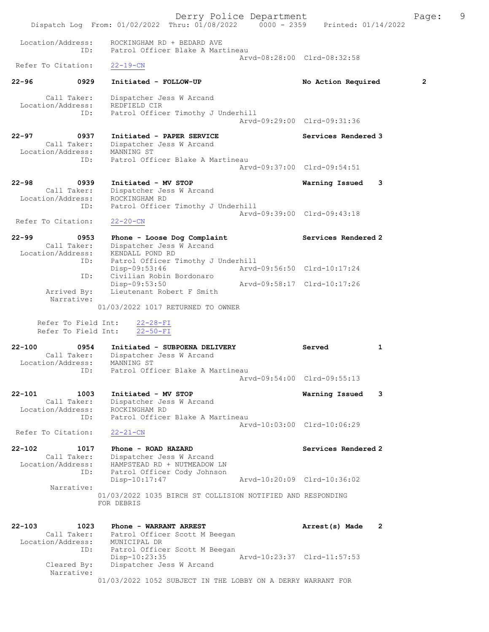Derry Police Department Fage: 9 Dispatch Log From: 01/02/2022 Thru: 01/08/2022 0000 - 2359 Printed: 01/14/2022 Location/Address: ROCKINGHAM RD + BEDARD AVE ID: Patrol Officer Blake A Martineau Arvd-08:28:00 Clrd-08:32:58<br>22-19-CN Refer To Citation: 22-96 0929 Initiated - FOLLOW-UP No Action Required 2 Call Taker: Dispatcher Jess W Arcand Location/Address: REDFIELD CIR ID: Patrol Officer Timothy J Underhill Arvd-09:29:00 Clrd-09:31:36 22-97 0937 Initiated - PAPER SERVICE Services Rendered 3 Call Taker: Dispatcher Jess W Arcand Location/Address: MANNING ST ID: Patrol Officer Blake A Martineau Arvd-09:37:00 Clrd-09:54:51 22-98 0939 Initiated - MV STOP Warning Issued 3 Call Taker: Dispatcher Jess W Arcand Location/Address: ROCKINGHAM RD ID: Patrol Officer Timothy J Underhill Arvd-09:39:00 Clrd-09:43:18 Refer To Citation: 22-20-CN 22-99 0953 Phone - Loose Dog Complaint Services Rendered 2 Call Taker: Dispatcher Jess W Arcand Location/Address: KENDALL POND RD ID: Patrol Officer Timothy J Underhill Disp-09:53:46 Arvd-09:56:50 Clrd-10:17:24 ID: Civilian Robin Bordonaro Disp-09:53:46<br>
D. Civilian Robin Bordonaro<br>
Arvd-09:58:17 Clrd-10:17:26 Arrived By: Lieutenant Robert F Smith Narrative: 01/03/2022 1017 RETURNED TO OWNER Refer To Field Int: 22-28-FI Refer To Field Int: 22-50-FI 22-100 0954 Initiated - SUBPOENA DELIVERY Served 1 Call Taker: Dispatcher Jess W Arcand Location/Address: MANNING ST ID: Patrol Officer Blake A Martineau Arvd-09:54:00 Clrd-09:55:13 22-101 1003 Initiated - MV STOP Warning Issued 3 Call Taker: Dispatcher Jess W Arcand Location/Address: ROCKINGHAM RD ID: Patrol Officer Blake A Martineau Arvd-10:03:00 Clrd-10:06:29 Refer To Citation: 22-21-CN 22-102 1017 Phone - ROAD HAZARD Services Rendered 2 Call Taker: Dispatcher Jess W Arcand Location/Address: HAMPSTEAD RD + NUTMEADOW LN ID: Patrol Officer Cody Johnson Disp-10:17:47 Arvd-10:20:09 Clrd-10:36:02  $\begin{minipage}{0.9\linewidth} \text{ID:} & \begin{equation}\n \text{Patrou} & \text{I-S} \\
 \text{Disp-10:17:47}\n \end{equation} \end{minipage}$ 01/03/2022 1035 BIRCH ST COLLISION NOTIFIED AND RESPONDING FOR DEBRIS 22-103 1023 Phone - WARRANT ARREST Arrest(s) Made 2 Call Taker: Patrol Officer Scott M Beegan Location/Address: MUNICIPAL DR ID: Patrol Officer Scott M Beegan Disp-10:23:35 Arvd-10:23:37 Clrd-11:57:53<br>Cleared By: Dispatcher Jess W Arcand Dispatcher Jess W Arcand Narrative: 01/03/2022 1052 SUBJECT IN THE LOBBY ON A DERRY WARRANT FOR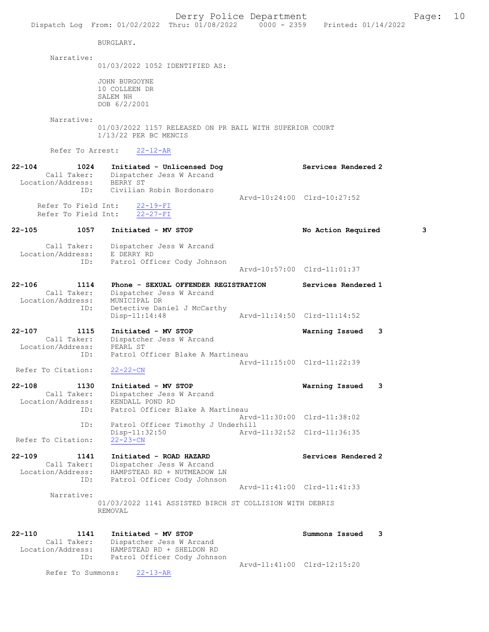|                                       |                                                                                                     | Derry Police Department<br>Dispatch Log From: 01/02/2022 Thru: 01/08/2022 0000 - 2359 Printed: 01/14/2022 |                             | Page: | 10 |
|---------------------------------------|-----------------------------------------------------------------------------------------------------|-----------------------------------------------------------------------------------------------------------|-----------------------------|-------|----|
|                                       | BURGLARY.                                                                                           |                                                                                                           |                             |       |    |
|                                       |                                                                                                     |                                                                                                           |                             |       |    |
| Narrative:                            | 01/03/2022 1052 IDENTIFIED AS:                                                                      |                                                                                                           |                             |       |    |
|                                       | JOHN BURGOYNE                                                                                       |                                                                                                           |                             |       |    |
|                                       | 10 COLLEEN DR                                                                                       |                                                                                                           |                             |       |    |
|                                       | SALEM NH<br>DOB 6/2/2001                                                                            |                                                                                                           |                             |       |    |
|                                       |                                                                                                     |                                                                                                           |                             |       |    |
| Narrative:                            | $1/13/22$ PER BC MENCIS                                                                             | 01/03/2022 1157 RELEASED ON PR BAIL WITH SUPERIOR COURT                                                   |                             |       |    |
| Refer To Arrest:                      | $22 - 12 - AR$                                                                                      |                                                                                                           |                             |       |    |
| 22-104<br>Location/Address: BERRY ST  | 1024 Initiated - Unlicensed Dog<br>Call Taker: Dispatcher Jess W Arcand                             |                                                                                                           | Services Rendered 2         |       |    |
| ID:                                   | Civilian Robin Bordonaro                                                                            |                                                                                                           | Arvd-10:24:00 Clrd-10:27:52 |       |    |
| Refer To Field Int:                   | Refer To Field Int: 22-19-FI<br>$22 - 27 - FI$                                                      |                                                                                                           |                             |       |    |
| 22-105                                | 1057 Initiated - MV STOP                                                                            |                                                                                                           | No Action Required          | 3     |    |
| ID:                                   | Call Taker: Dispatcher Jess W Arcand<br>Location/Address: E DERRY RD<br>Patrol Officer Cody Johnson |                                                                                                           |                             |       |    |
|                                       |                                                                                                     |                                                                                                           | Arvd-10:57:00 Clrd-11:01:37 |       |    |
| 22-106<br>1114                        | Phone - SEXUAL OFFENDER REGISTRATION                                                                |                                                                                                           | Services Rendered 1         |       |    |
|                                       | Call Taker: Dispatcher Jess W Arcand                                                                |                                                                                                           |                             |       |    |
| Location/Address: MUNICIPAL DR<br>ID: |                                                                                                     |                                                                                                           |                             |       |    |
|                                       | Detective Daniel J McCarthy<br>$Disp-11:14:48$                                                      |                                                                                                           | Arvd-11:14:50 Clrd-11:14:52 |       |    |
| 22-107<br>1115                        | Initiated - MV STOP                                                                                 |                                                                                                           | Warning Issued<br>3         |       |    |
|                                       | Call Taker: Dispatcher Jess W Arcand                                                                |                                                                                                           |                             |       |    |
| Location/Address: PEARL ST<br>ID:     | Patrol Officer Blake A Martineau                                                                    |                                                                                                           |                             |       |    |
|                                       |                                                                                                     |                                                                                                           | Arvd-11:15:00 Clrd-11:22:39 |       |    |
| Refer To Citation:                    | $22 - 22 - CN$                                                                                      |                                                                                                           |                             |       |    |
| 22-108<br>1130                        | Initiated - MV STOP                                                                                 |                                                                                                           | Warning Issued<br>3         |       |    |
| Call Taker:                           | Dispatcher Jess W Arcand                                                                            |                                                                                                           |                             |       |    |
| Location/Address:<br>ID:              | KENDALL POND RD<br>Patrol Officer Blake A Martineau                                                 |                                                                                                           |                             |       |    |
|                                       |                                                                                                     |                                                                                                           | Arvd-11:30:00 Clrd-11:38:02 |       |    |
| ID:                                   | Patrol Officer Timothy J Underhill                                                                  |                                                                                                           |                             |       |    |
| Refer To Citation:                    | $Disp-11:32:50$<br>$22 - 23 - CN$                                                                   |                                                                                                           | Arvd-11:32:52 Clrd-11:36:35 |       |    |
| 22-109<br>1141                        | Initiated - ROAD HAZARD                                                                             |                                                                                                           | Services Rendered 2         |       |    |
| Call Taker:                           | Dispatcher Jess W Arcand                                                                            |                                                                                                           |                             |       |    |
| Location/Address:                     | HAMPSTEAD RD + NUTMEADOW LN                                                                         |                                                                                                           |                             |       |    |
| ID:                                   | Patrol Officer Cody Johnson                                                                         |                                                                                                           | Arvd-11:41:00 Clrd-11:41:33 |       |    |
| Narrative:                            |                                                                                                     |                                                                                                           |                             |       |    |
|                                       | REMOVAL                                                                                             | 01/03/2022 1141 ASSISTED BIRCH ST COLLISION WITH DEBRIS                                                   |                             |       |    |
| 22-110<br>1141                        | Initiated - MV STOP                                                                                 |                                                                                                           | Summons Issued<br>3         |       |    |
| Call Taker:                           | Dispatcher Jess W Arcand                                                                            |                                                                                                           |                             |       |    |
| Location/Address:                     | HAMPSTEAD RD + SHELDON RD                                                                           |                                                                                                           |                             |       |    |
| ID:                                   | Patrol Officer Cody Johnson                                                                         |                                                                                                           | Arvd-11:41:00 Clrd-12:15:20 |       |    |
| Refer To Summons:                     | $22 - 13 - AR$                                                                                      |                                                                                                           |                             |       |    |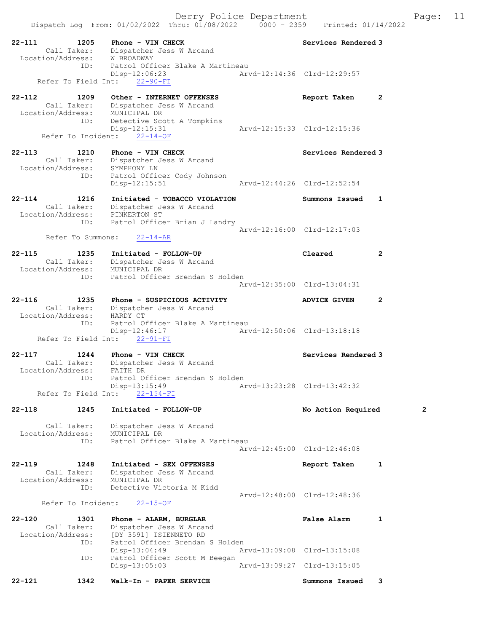Dispatch Log From: 01/02/2022 Thru: 01/08/2022 0000 - 2359 Printed: 01/14/2022

| $22 - 111$<br>1205<br>Call Taker:<br>Location/Address:        | Phone - VIN CHECK<br>Dispatcher Jess W Arcand<br>W BROADWAY                                                            | Services Rendered 3                         |                |
|---------------------------------------------------------------|------------------------------------------------------------------------------------------------------------------------|---------------------------------------------|----------------|
| ID:<br>Refer To Field Int:                                    | Patrol Officer Blake A Martineau<br>Disp-12:06:23<br>$22 - 90 - FI$                                                    | Arvd-12:14:36 Clrd-12:29:57                 |                |
| $22 - 112$<br>1209<br>Call Taker:<br>Location/Address:<br>ID: | Other - INTERNET OFFENSES<br>Dispatcher Jess W Arcand<br>MUNICIPAL DR<br>Detective Scott A Tompkins<br>$Disp-12:15:31$ | Report Taken<br>Arvd-12:15:33 Clrd-12:15:36 | 2              |
| Refer To Incident:                                            | $22 - 14 - OF$                                                                                                         |                                             |                |
| $22 - 113$<br>1210<br>Call Taker:<br>Location/Address:<br>ID: | Phone - VIN CHECK<br>Dispatcher Jess W Arcand<br>SYMPHONY LN                                                           | Services Rendered 3                         |                |
|                                                               | Patrol Officer Cody Johnson<br>$Disp-12:15:51$                                                                         | Arvd-12:44:26 Clrd-12:52:54                 |                |
| $22 - 114$<br>1216<br>Call Taker:<br>Location/Address:<br>ID: | Initiated - TOBACCO VIOLATION<br>Dispatcher Jess W Arcand<br>PINKERTON ST                                              | Summons Issued                              | 1              |
| Refer To Summons:                                             | Patrol Officer Brian J Landry<br>$22 - 14 - AR$                                                                        | Arvd-12:16:00 Clrd-12:17:03                 |                |
| $22 - 115$<br>1235<br>Call Taker:<br>Location/Address:        | Initiated - FOLLOW-UP<br>Dispatcher Jess W Arcand<br>MUNICIPAL DR                                                      | Cleared                                     | $\overline{2}$ |
| ID:                                                           | Patrol Officer Brendan S Holden                                                                                        | Arvd-12:35:00 Clrd-13:04:31                 |                |
| $22 - 116$<br>1235<br>Call Taker:<br>Location/Address:        | Phone - SUSPICIOUS ACTIVITY<br>Dispatcher Jess W Arcand<br>HARDY CT                                                    | <b>ADVICE GIVEN</b>                         | 2              |
| ID:<br>Refer To Field Int:                                    | Patrol Officer Blake A Martineau<br>Disp-12:46:17<br>$22 - 91 - FI$                                                    | Arvd-12:50:06 Clrd-13:18:18                 |                |
| 1244<br>$22 - 117$<br>Call Taker:<br>Location/Address:        | Phone - VIN CHECK<br>Dispatcher Jess W Arcand<br>FAITH DR                                                              | Services Rendered 3                         |                |
| ID:<br>Refer To Field Int:                                    | Patrol Officer Brendan S Holden<br>Disp-13:15:49<br>$22 - 154 - FI$                                                    | Arvd-13:23:28 Clrd-13:42:32                 |                |
| $22 - 118$<br>1245                                            | Initiated - FOLLOW-UP                                                                                                  | No Action Required                          | 2              |
| Call Taker:<br>Location/Address:<br>ID:                       | Dispatcher Jess W Arcand<br>MUNICIPAL DR<br>Patrol Officer Blake A Martineau                                           | Arvd-12:45:00 Clrd-12:46:08                 |                |
| $22 - 119$<br>1248                                            | Initiated - SEX OFFENSES                                                                                               | Report Taken                                | 1              |
| Call Taker:<br>Location/Address:<br>ID:                       | Dispatcher Jess W Arcand<br>MUNICIPAL DR<br>Detective Victoria M Kidd                                                  | Arvd-12:48:00 Clrd-12:48:36                 |                |
| Refer To Incident:                                            | $22 - 15 - OF$                                                                                                         |                                             |                |
| $22 - 120$<br>1301<br>Call Taker:<br>Location/Address:        | Phone - ALARM, BURGLAR<br>Dispatcher Jess W Arcand<br>[DY 3591] TSIENNETO RD                                           | <b>False Alarm</b>                          | $\mathbf{1}$   |
| ID:<br>ID:                                                    | Patrol Officer Brendan S Holden<br>Disp-13:04:49<br>Patrol Officer Scott M Beegan                                      | Arvd-13:09:08 Clrd-13:15:08                 |                |
|                                                               | $Disp-13:05:03$                                                                                                        | Arvd-13:09:27 Clrd-13:15:05                 |                |
| 22-121<br>1342                                                | Walk-In - PAPER SERVICE                                                                                                | Summons Issued                              | 3              |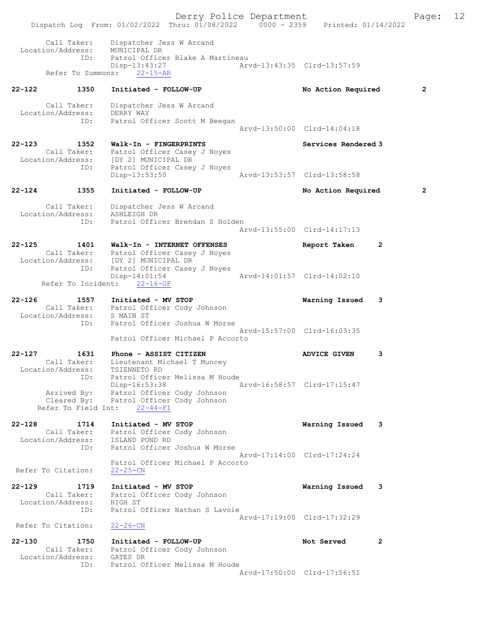Derry Police Department Fage: 12 Dispatch Log From: 01/02/2022 Thru: 01/08/2022 0000 - 2359 Printed: 01/14/2022 Call Taker: Dispatcher Jess W Arcand Location/Address: MUNICIPAL DR ID: Patrol Officer Blake A Martineau Disp-13:43:27 Arvd-13:43:35 Clrd-13:57:59 Refer To Summons: 22-15-AR 22-122 1350 Initiated - FOLLOW-UP No Action Required 2 Call Taker: Dispatcher Jess W Arcand Location/Address: DERRY WAY ID: Patrol Officer Scott M Beegan Arvd-13:50:00 Clrd-14:04:18 22-123 1352 Walk-In - FINGERPRINTS Services Rendered 3 Call Taker: Patrol Officer Casey J Noyes Location/Address: [DY 2] MUNICIPAL DR ID: Patrol Officer Casey J Noyes Disp-13:53:50 Arvd-13:53:57 Clrd-13:58:58 22-124 1355 Initiated - FOLLOW-UP No Action Required 2 Call Taker: Dispatcher Jess W Arcand Location/Address: ASHLEIGH DR ID: Patrol Officer Brendan S Holden Arvd-13:55:00 Clrd-14:17:13 22-125 1401 Walk-In - INTERNET OFFENSES Report Taken 2 Call Taker: Patrol Officer Casey J Noyes Location/Address: [DY 2] MUNICIPAL DR ID: Patrol Officer Casey J Noyes Disp-14:01:54 Arvd-14:01:57 Clrd-14:02:10 Refer To Incident: 22-16-OF 22-126 1557 Initiated - MV STOP Warning Issued 3 Call Taker: Patrol Officer Cody Johnson Location/Address: S MAIN ST ID: Patrol Officer Joshua W Morse Arvd-15:57:00 Clrd-16:03:35 Patrol Officer Michael P Accorto 22-127 1631 Phone - ASSIST CITIZEN 1999 ADVICE GIVEN 3 Call Taker: Lieutenant Michael T Muncey Location/Address: TSIENNETO RD ID: Patrol Officer Melissa M Houde Disp-16:53:38 Arvd-16:58:57 Clrd-17:15:47 Arrived By: Patrol Officer Cody Johnson Cleared By: Patrol Officer Cody Johnson Refer To Field Int: 22-44-FI 22-128 1714 Initiated - MV STOP Warning Issued 3 Call Taker: Patrol Officer Cody Johnson Location/Address: ISLAND POND RD ID: Patrol Officer Joshua W Morse Arvd-17:14:00 Clrd-17:24:24 Patrol Officer Michael P Accorto Refer To Citation: 22-25-CN 22-129 1719 Initiated - MV STOP Warning Issued 3 Call Taker: Patrol Officer Cody Johnson Location/Address: HIGH ST ID: Patrol Officer Nathan S Lavoie Arvd-17:19:00 Clrd-17:32:29 Refer To Citation: 22-26-CN 22-130 1750 Initiated - FOLLOW-UP Not Served 2 Call Taker: Patrol Officer Cody Johnson Location/Address: GATES DR ID: Patrol Officer Melissa M Houde Arvd-17:50:00 Clrd-17:56:51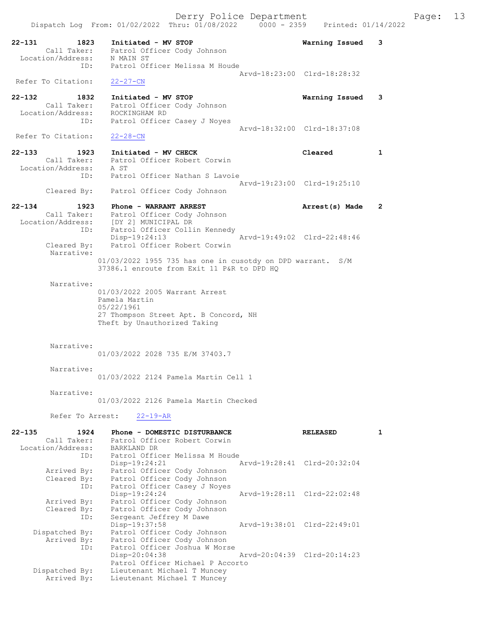Dispatch Log From: 01/02/2022 Thru: 01/08/2022 0000 - 2359 Printed: 01/14/2022 22-131 1823 Initiated - MV STOP Warning Issued 3 Call Taker: Patrol Officer Cody Johnson Location/Address: N MAIN ST ID: Patrol Officer Melissa M Houde Arvd-18:23:00 Clrd-18:28:32 Refer To Citation: 22-27-CN 22-132 1832 Initiated - MV STOP Warning Issued 3 Call Taker: Patrol Officer Cody Johnson Location/Address: ROCKINGHAM RD ID: Patrol Officer Casey J Noyes Arvd-18:32:00 Clrd-18:37:08 Refer To Citation: 22-28-CN 22-133 1923 Initiated - MV CHECK Cleared 1 Call Taker: Patrol Officer Robert Corwin Location/Address: A ST ID: Patrol Officer Nathan S Lavoie Arvd-19:23:00 Clrd-19:25:10 Cleared By: Patrol Officer Cody Johnson 22-134 1923 Phone - WARRANT ARREST Arrest(s) Made 2 Call Taker: Patrol Officer Cody Johnson Location/Address: [DY 2] MUNICIPAL DR ID: Patrol Officer Collin Kennedy Disp-19:24:13 <br>Cleared By: Patrol Officer Robert Corwin Patrol Officer Robert Corwin Narrative: 01/03/2022 1955 735 has one in cusotdy on DPD warrant. S/M 37386.1 enroute from Exit 11 P&R to DPD HQ Narrative: 01/03/2022 2005 Warrant Arrest Pamela Martin 05/22/1961 27 Thompson Street Apt. B Concord, NH Theft by Unauthorized Taking Narrative: 01/03/2022 2028 735 E/M 37403.7 Narrative: 01/03/2022 2124 Pamela Martin Cell 1 Narrative: 01/03/2022 2126 Pamela Martin Checked Refer To Arrest: 22-19-AR 22-135 1924 Phone - DOMESTIC DISTURBANCE RELEASED 1 Call Taker: Patrol Officer Robert Corwin Location/Address: BARKLAND DR ID: Patrol Officer Melissa M Houde Disp-19:24:21 Arvd-19:28:41 Clrd-20:32:04 Arrived By: Patrol Officer Cody Johnson Cleared By: Patrol Officer Cody Johnson ID: Patrol Officer Casey J Noyes Disp-19:24:24 Arvd-19:28:11 Clrd-22:02:48 Arrived By: Patrol Officer Cody Johnson Cleared By: Patrol Officer Cody Johnson ID: Sergeant Jeffrey M Dawe Disp-19:37:58 Arvd-19:38:01 Clrd-22:49:01 Dispatched By: Patrol Officer Cody Johnson Arrived By: Patrol Officer Cody Johnson ID: Patrol Officer Joshua W Morse

Derry Police Department The Page: 13

 Disp-20:04:38 Arvd-20:04:39 Clrd-20:14:23 Patrol Officer Michael P Accorto

 Dispatched By: Lieutenant Michael T Muncey Arrived By: Lieutenant Michael T Muncey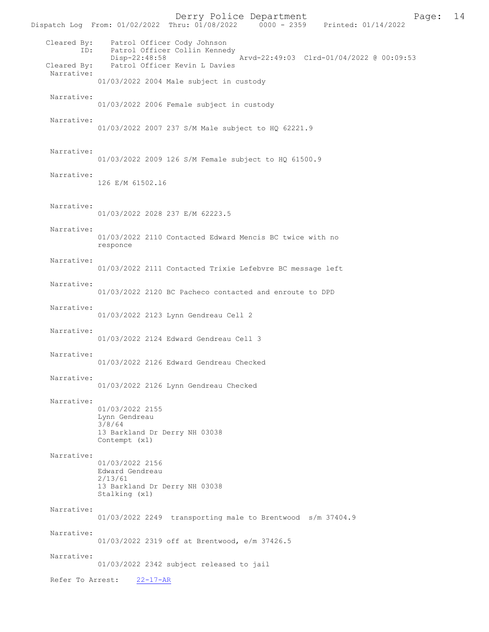Derry Police Department<br>
Page: 14<br>
Printed: 01/14/2022<br>
Printed: 01/14/2022 Dispatch Log From: 01/02/2022 Thru: 01/08/2022 Cleared By: Patrol Officer Cody Johnson ID: Patrol Officer Collin Kennedy<br>Disp-22:48:58 Disp-22:48:58 <br>Cleared By: Patrol Officer Kevin L Davies<br>Cleared By: Patrol Officer Kevin L Davies Patrol Officer Kevin L Davies Narrative: 01/03/2022 2004 Male subject in custody Narrative: 01/03/2022 2006 Female subject in custody Narrative: 01/03/2022 2007 237 S/M Male subject to HQ 62221.9 Narrative: 01/03/2022 2009 126 S/M Female subject to HQ 61500.9 Narrative: 126 E/M 61502.l6 Narrative: 01/03/2022 2028 237 E/M 62223.5 Narrative: 01/03/2022 2110 Contacted Edward Mencis BC twice with no responce Narrative: 01/03/2022 2111 Contacted Trixie Lefebvre BC message left Narrative: 01/03/2022 2120 BC Pacheco contacted and enroute to DPD Narrative: 01/03/2022 2123 Lynn Gendreau Cell 2 Narrative: 01/03/2022 2124 Edward Gendreau Cell 3 Narrative: 01/03/2022 2126 Edward Gendreau Checked Narrative: 01/03/2022 2126 Lynn Gendreau Checked Narrative: 01/03/2022 2155 Lynn Gendreau 3/8/64 13 Barkland Dr Derry NH 03038 Contempt (x1) Narrative: 01/03/2022 2156 Edward Gendreau 2/13/61 13 Barkland Dr Derry NH 03038 Stalking (x1) Narrative: 01/03/2022 2249 transporting male to Brentwood s/m 37404.9 Narrative: 01/03/2022 2319 off at Brentwood, e/m 37426.5 Narrative: 01/03/2022 2342 subject released to jail Refer To Arrest: 22-17-AR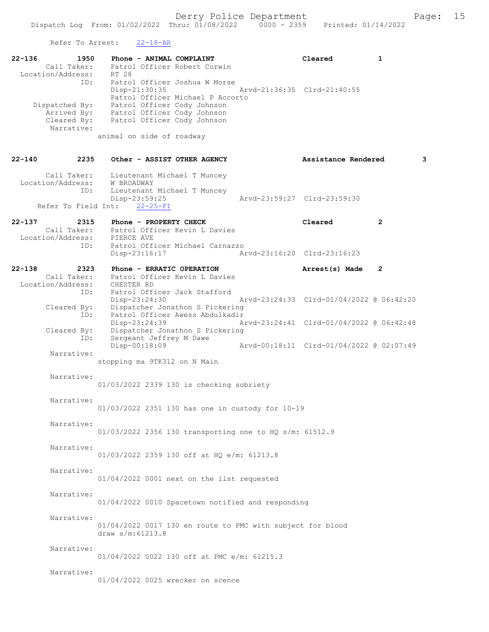Refer To Arrest: 22-18-AR

| $22 - 136$ | 1950<br>Call Taker:<br>Location/Address:                          | Phone - ANIMAL COMPLAINT<br>Patrol Officer Robert Corwin<br>RT 28                                                                                                               | Cleared                                  | 1            |
|------------|-------------------------------------------------------------------|---------------------------------------------------------------------------------------------------------------------------------------------------------------------------------|------------------------------------------|--------------|
|            | ID:<br>Dispatched By:<br>Arrived By:<br>Cleared By:<br>Narrative: | Patrol Officer Joshua W Morse<br>Disp-21:30:35<br>Patrol Officer Michael P Accorto<br>Patrol Officer Cody Johnson<br>Patrol Officer Cody Johnson<br>Patrol Officer Cody Johnson | Arvd-21:36:35 Clrd-21:40:55              |              |
|            |                                                                   | animal on side of roadway                                                                                                                                                       |                                          |              |
| $22 - 140$ | 2235                                                              | Other - ASSIST OTHER AGENCY                                                                                                                                                     | Assistance Rendered                      | 3            |
|            | Call Taker:<br>Location/Address:<br>ID:                           | Lieutenant Michael T Muncey<br>W BROADWAY<br>Lieutenant Michael T Muncey                                                                                                        |                                          |              |
|            | Refer To Field Int:                                               | $Disp-23:59:25$<br>$22 - 25 - FI$                                                                                                                                               | Arvd-23:59:27 Clrd-23:59:30              |              |
| $22 - 137$ | 2315<br>Call Taker:<br>Location/Address:                          | Phone - PROPERTY CHECK<br>Patrol Officer Kevin L Davies<br>PIERCE AVE                                                                                                           | Cleared                                  | $\mathbf{2}$ |
|            | ID:                                                               | Patrol Officer Michael Carnazzo<br>Disp-23:16:17                                                                                                                                | Arvd-23:16:20 Clrd-23:16:23              |              |
| $22 - 138$ | 2323<br>Call Taker:<br>Location/Address:                          | Phone - ERRATIC OPERATION<br>Patrol Officer Kevin L Davies<br>CHESTER RD                                                                                                        | Arrest(s) Made                           | 2            |
|            | ID:<br>Cleared By:<br>ID:                                         | Patrol Officer Jack Stafford<br>Disp-23:24:30<br>Dispatcher Jonathon S Pickering<br>Patrol Officer Awess Abdulkadir                                                             | Arvd-23:24:33 Clrd-01/04/2022 @ 06:42:20 |              |
|            | Cleared By:<br>ID:                                                | Disp-23:24:39<br>Dispatcher Jonathon S Pickering<br>Sergeant Jeffrey M Dawe                                                                                                     | Arvd-23:24:41 Clrd-01/04/2022 @ 06:42:48 |              |
|            | Narrative:                                                        | Disp-00:18:09<br>stopping ma 9TK312 on N Main                                                                                                                                   | Arvd-00:18:11 Clrd-01/04/2022 @ 02:07:49 |              |
|            | Narrative:                                                        | 01/03/2022 2339 130 is checking sobriety                                                                                                                                        |                                          |              |
|            | Narrative:                                                        | 01/03/2022 2351 130 has one in custody for 10-19                                                                                                                                |                                          |              |
|            | Narrative:                                                        | 01/03/2022 2356 130 transporting one to HQ s/m: 61512.9                                                                                                                         |                                          |              |
|            | Narrative:                                                        | 01/03/2022 2359 130 off at HQ e/m: 61213.8                                                                                                                                      |                                          |              |
|            | Narrative:                                                        | 01/04/2022 0001 next on the list requested                                                                                                                                      |                                          |              |
|            | Narrative:                                                        | 01/04/2022 0010 Spacetown notified and responding                                                                                                                               |                                          |              |
|            | Narrative:                                                        | 01/04/2022 0017 130 en route to PMC with subject for blood<br>draw $s/m:61213.8$                                                                                                |                                          |              |
|            | Narrative:                                                        | 01/04/2022 0022 130 off at PMC e/m: 61215.3                                                                                                                                     |                                          |              |
|            | Narrative:                                                        | 01/04/2022 0025 wrecker on scence                                                                                                                                               |                                          |              |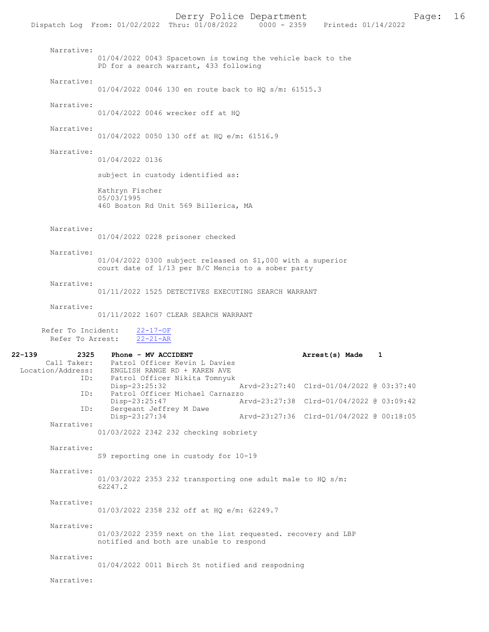| Narrative:                                                | 01/04/2022 0043 Spacetown is towing the vehicle back to the<br>PD for a search warrant, 433 following                 |  |                                          |  |  |
|-----------------------------------------------------------|-----------------------------------------------------------------------------------------------------------------------|--|------------------------------------------|--|--|
| Narrative:                                                | 01/04/2022 0046 130 en route back to HQ s/m: 61515.3                                                                  |  |                                          |  |  |
| Narrative:                                                | 01/04/2022 0046 wrecker off at HO                                                                                     |  |                                          |  |  |
| Narrative:                                                | 01/04/2022 0050 130 off at HO e/m: 61516.9                                                                            |  |                                          |  |  |
| Narrative:                                                | 01/04/2022 0136                                                                                                       |  |                                          |  |  |
|                                                           | subject in custody identified as:                                                                                     |  |                                          |  |  |
|                                                           | Kathryn Fischer<br>05/03/1995<br>460 Boston Rd Unit 569 Billerica, MA                                                 |  |                                          |  |  |
| Narrative:                                                | 01/04/2022 0228 prisoner checked                                                                                      |  |                                          |  |  |
| Narrative:                                                | 01/04/2022 0300 subject released on \$1,000 with a superior<br>court date of 1/13 per B/C Mencis to a sober party     |  |                                          |  |  |
| Narrative:                                                | 01/11/2022 1525 DETECTIVES EXECUTING SEARCH WARRANT                                                                   |  |                                          |  |  |
| Narrative:                                                | 01/11/2022 1607 CLEAR SEARCH WARRANT                                                                                  |  |                                          |  |  |
| Refer To Incident:<br>Refer To Arrest:                    | $22 - 17 - OF$<br>$22 - 21 - AR$                                                                                      |  |                                          |  |  |
| 22-139<br>2325<br>Call Taker:<br>Location/Address:<br>ID: | Phone - MV ACCIDENT<br>Patrol Officer Kevin L Davies<br>ENGLISH RANGE RD + KAREN AVE<br>Patrol Officer Nikita Tomnyuk |  | Arrest(s) Made<br>1                      |  |  |
| ID:                                                       | Disp-23:25:32<br>Patrol Officer Michael Carnazzo                                                                      |  | Arvd-23:27:40 Clrd-01/04/2022 @ 03:37:40 |  |  |
| ID:                                                       | Disp-23:25:47<br>Sergeant Jeffrey M Dawe                                                                              |  | Arvd-23:27:38 Clrd-01/04/2022 @ 03:09:42 |  |  |
| Narrative:                                                | Disp-23:27:34                                                                                                         |  | Arvd-23:27:36 Clrd-01/04/2022 @ 00:18:05 |  |  |
|                                                           | 01/03/2022 2342 232 checking sobriety                                                                                 |  |                                          |  |  |
| Narrative:                                                | S9 reporting one in custody for 10-19                                                                                 |  |                                          |  |  |
| Narrative:                                                | $01/03/2022$ 2353 232 transporting one adult male to HQ s/m:<br>62247.2                                               |  |                                          |  |  |
| Narrative:                                                | 01/03/2022 2358 232 off at HO e/m: 62249.7                                                                            |  |                                          |  |  |
| Narrative:                                                | 01/03/2022 2359 next on the list requested. recovery and LBP<br>notified and both are unable to respond               |  |                                          |  |  |
| Narrative:                                                | 01/04/2022 0011 Birch St notified and respodning                                                                      |  |                                          |  |  |
| Narrative:                                                |                                                                                                                       |  |                                          |  |  |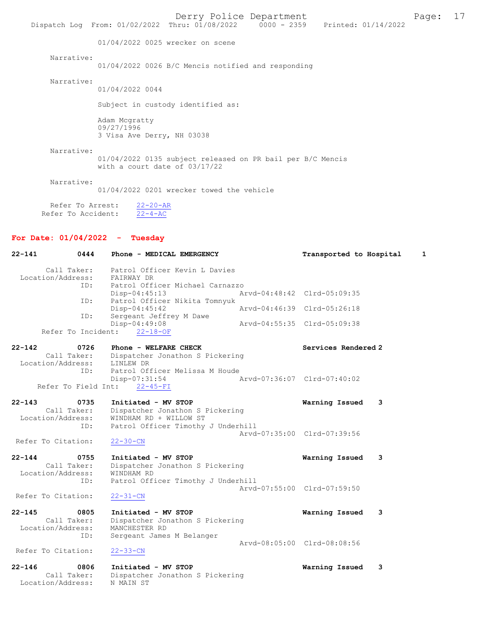Derry Police Department Page: 17 Dispatch Log From: 01/02/2022 Thru: 01/08/2022 01/04/2022 0025 wrecker on scene Narrative: 01/04/2022 0026 B/C Mencis notified and responding Narrative: 01/04/2022 0044 Subject in custody identified as: Adam Mcgratty 09/27/1996 3 Visa Ave Derry, NH 03038 Narrative:

01/04/2022 0135 subject released on PR bail per B/C Mencis with a court date of 03/17/22

Narrative:

01/04/2022 0201 wrecker towed the vehicle

Refer To Arrest:  $\frac{22-20-AR}{22-4-AC}$ Refer To Accident:

### For Date: 01/04/2022 - Tuesday

| $22 - 141$ | 0444                                     | Phone - MEDICAL EMERGENCY                                                        | Transported to Hospital     | 1 |
|------------|------------------------------------------|----------------------------------------------------------------------------------|-----------------------------|---|
|            | Call Taker:<br>Location/Address:         | Patrol Officer Kevin L Davies<br>FAIRWAY DR                                      |                             |   |
|            | ID:                                      | Patrol Officer Michael Carnazzo<br>Disp-04:45:13                                 | Arvd-04:48:42 Clrd-05:09:35 |   |
|            | ID:<br>ID:                               | Patrol Officer Nikita Tomnyuk<br>Disp-04:45:42<br>Sergeant Jeffrey M Dawe        | Arvd-04:46:39 Clrd-05:26:18 |   |
|            | Refer To Incident:                       | Disp-04:49:08<br>$22 - 18 - OF$                                                  | Arvd-04:55:35 Clrd-05:09:38 |   |
| $22 - 142$ | 0726<br>Call Taker:<br>Location/Address: | Phone - WELFARE CHECK<br>Dispatcher Jonathon S Pickering<br>LINLEW DR            | Services Rendered 2         |   |
|            | ID:<br>Refer To Field Int:               | Patrol Officer Melissa M Houde<br>Disp-07:31:54<br>$22 - 45 - FI$                | Arvd-07:36:07 Clrd-07:40:02 |   |
| $22 - 143$ | 0735<br>Call Taker:<br>Location/Address: | Initiated - MV STOP<br>Dispatcher Jonathon S Pickering<br>WINDHAM RD + WILLOW ST | Warning Issued              | 3 |
|            | ID:<br>Refer To Citation:                | Patrol Officer Timothy J Underhill<br>$22 - 30 - CN$                             | Arvd-07:35:00 Clrd-07:39:56 |   |
| $22 - 144$ | 0755<br>Call Taker:<br>Location/Address: | Initiated - MV STOP<br>Dispatcher Jonathon S Pickering<br>WINDHAM RD             | Warning Issued              | 3 |
|            | ID:<br>Refer To Citation:                | Patrol Officer Timothy J Underhill<br>$22 - 31 - CN$                             | Arvd-07:55:00 Clrd-07:59:50 |   |
| $22 - 145$ | 0805<br>Call Taker:<br>Location/Address: | Initiated - MV STOP<br>Dispatcher Jonathon S Pickering<br>MANCHESTER RD          | Warning Issued              | 3 |
|            | ID:<br>Refer To Citation:                | Sergeant James M Belanger<br>$22 - 33 - CN$                                      | Arvd-08:05:00 Clrd-08:08:56 |   |
| $22 - 146$ | 0806<br>Call Taker:<br>Location/Address: | Initiated - MV STOP<br>Dispatcher Jonathon S Pickering<br>N MAIN ST              | Warning Issued              | 3 |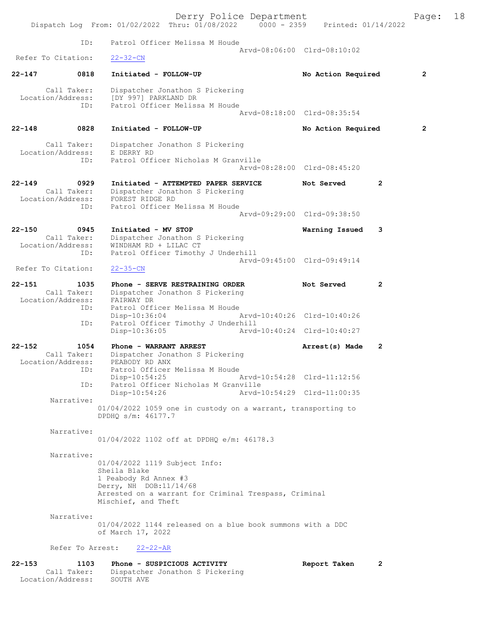|                                                        | Dispatch Log From: 01/02/2022 Thru: 01/08/2022 0000 - 2359 Printed: 01/14/2022                                                                                                   | Derry Police Department |                                                            |                | Page:          | 18 |
|--------------------------------------------------------|----------------------------------------------------------------------------------------------------------------------------------------------------------------------------------|-------------------------|------------------------------------------------------------|----------------|----------------|----|
| ID:                                                    | Patrol Officer Melissa M Houde                                                                                                                                                   |                         |                                                            |                |                |    |
| Refer To Citation:                                     | $22 - 32 - CN$                                                                                                                                                                   |                         | Arvd-08:06:00 Clrd-08:10:02                                |                |                |    |
| $22 - 147$<br>0818                                     | Initiated - FOLLOW-UP                                                                                                                                                            |                         | No Action Required                                         |                | $\overline{2}$ |    |
| Call Taker:<br>Location/Address:                       | Dispatcher Jonathon S Pickering<br>[DY 997] PARKLAND DR<br>Patrol Officer Melissa M Houde<br>ID:                                                                                 |                         |                                                            |                |                |    |
|                                                        |                                                                                                                                                                                  |                         | Arvd-08:18:00 Clrd-08:35:54                                |                |                |    |
| $22 - 148$<br>0828                                     | Initiated - FOLLOW-UP                                                                                                                                                            |                         | No Action Required                                         |                | $\overline{2}$ |    |
| Call Taker:<br>Location/Address:                       | Dispatcher Jonathon S Pickering<br>E DERRY RD                                                                                                                                    |                         |                                                            |                |                |    |
| ID:                                                    | Patrol Officer Nicholas M Granville                                                                                                                                              |                         | Arvd-08:28:00 Clrd-08:45:20                                |                |                |    |
| $22 - 149$<br>0929<br>Call Taker:<br>Location/Address: | Initiated - ATTEMPTED PAPER SERVICE<br>Dispatcher Jonathon S Pickering<br>FOREST RIDGE RD                                                                                        |                         | Not Served                                                 | $\mathbf{2}$   |                |    |
| ID:                                                    | Patrol Officer Melissa M Houde                                                                                                                                                   |                         | Arvd-09:29:00 Clrd-09:38:50                                |                |                |    |
| $22 - 150$<br>0945<br>Call Taker:                      | Initiated - MV STOP<br>Dispatcher Jonathon S Pickering                                                                                                                           |                         | Warning Issued                                             | 3              |                |    |
| Location/Address:<br>ID:                               | WINDHAM RD + LILAC CT<br>Patrol Officer Timothy J Underhill                                                                                                                      |                         | Arvd-09:45:00 Clrd-09:49:14                                |                |                |    |
| Refer To Citation:                                     | $22 - 35 - CN$                                                                                                                                                                   |                         |                                                            |                |                |    |
| $22 - 151$<br>1035<br>Call Taker:<br>Location/Address: | Phone - SERVE RESTRAINING ORDER<br>Dispatcher Jonathon S Pickering<br>FAIRWAY DR<br>Patrol Officer Melissa M Houde<br>ID:                                                        |                         | Not Served                                                 | $\mathbf{2}$   |                |    |
| ID:                                                    | Disp-10:36:04<br>Patrol Officer Timothy J Underhill<br>Disp-10:36:05                                                                                                             |                         | Arvd-10:40:26 Clrd-10:40:26<br>Arvd-10:40:24 Clrd-10:40:27 |                |                |    |
| $22 - 152$<br>1054<br>Call Taker:<br>Location/Address: | Phone - WARRANT ARREST<br>Dispatcher Jonathon S Pickering<br>PEABODY RD ANX                                                                                                      |                         | Arrest(s) Made                                             | 2              |                |    |
| ID:                                                    | Patrol Officer Melissa M Houde<br>$Disp-10:54:25$                                                                                                                                |                         | Arvd-10:54:28 Clrd-11:12:56                                |                |                |    |
|                                                        | Patrol Officer Nicholas M Granville<br>ID:<br>$Disp-10:54:26$                                                                                                                    |                         | Arvd-10:54:29 Clrd-11:00:35                                |                |                |    |
| Narrative:                                             | 01/04/2022 1059 one in custody on a warrant, transporting to<br>DPDHO s/m: 46177.7                                                                                               |                         |                                                            |                |                |    |
| Narrative:                                             | 01/04/2022 1102 off at DPDHQ e/m: 46178.3                                                                                                                                        |                         |                                                            |                |                |    |
| Narrative:                                             | 01/04/2022 1119 Subject Info:<br>Sheila Blake<br>1 Peabody Rd Annex #3<br>Derry, NH DOB:11/14/68<br>Arrested on a warrant for Criminal Trespass, Criminal<br>Mischief, and Theft |                         |                                                            |                |                |    |
| Narrative:                                             | 01/04/2022 1144 released on a blue book summons with a DDC<br>of March 17, 2022                                                                                                  |                         |                                                            |                |                |    |
|                                                        | Refer To Arrest:<br>$22 - 22 - AR$                                                                                                                                               |                         |                                                            |                |                |    |
| $22 - 153$<br>1103                                     | Phone - SUSPICIOUS ACTIVITY                                                                                                                                                      |                         | Report Taken                                               | $\overline{2}$ |                |    |

Call Taker: Dispatcher Jonathon S Pickering

Location/Address: SOUTH AVE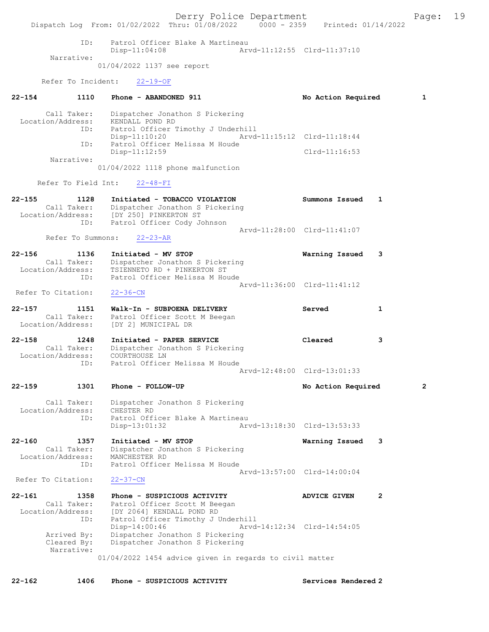Derry Police Department Fage: 19 Dispatch Log From: 01/02/2022 Thru: 01/08/2022 0000 - 2359 Printed: 01/14/2022 ID: Patrol Officer Blake A Martineau Disp-11:04:08 Arvd-11:12:55 Clrd-11:37:10 Narrative: 01/04/2022 1137 see report Refer To Incident: 22-19-OF 22-154 1110 Phone - ABANDONED 911 10 No Action Required 1 Call Taker: Dispatcher Jonathon S Pickering Location/Address: KENDALL POND RD ID: Patrol Officer Timothy J Underhill<br>Disp-11:10:20 Arvd Disp-11:10:20 Arvd-11:15:12 Clrd-11:18:44<br>TD: Patrol Officer Melissa M Houde Patrol Officer Melissa M Houde Disp-11:12:59 Clrd-11:16:53 Narrative: 01/04/2022 1118 phone malfunction Refer To Field Int: 22-48-FI 22-155 1128 Initiated - TOBACCO VIOLATION Summons Issued 1 Call Taker: Dispatcher Jonathon S Pickering<br>Location/Address: [DY 250] PINKERTON ST Location/Address: [DY 250] PINKERTON ST ID: Patrol Officer Cody Johnson Arvd-11:28:00 Clrd-11:41:07 Refer To Summons: 22-23-AR 22-156 1136 Initiated - MV STOP Warning Issued 3 Call Taker: Dispatcher Jonathon S Pickering Location/Address: TSIENNETO RD + PINKERTON ST ID: Patrol Officer Melissa M Houde Arvd-11:36:00 Clrd-11:41:12<br>22-36-CN Refer To Citation: 22-157 1151 Walk-In - SUBPOENA DELIVERY Served 1 Call Taker: Patrol Officer Scott M Beegan<br>Location/Address: [DY 2] MUNICIPAL DR [DY 2] MUNICIPAL DR 22-158 1248 Initiated - PAPER SERVICE Cleared 3 Call Taker: Dispatcher Jonathon S Pickering Location/Address: COURTHOUSE LN ID: Patrol Officer Melissa M Houde Arvd-12:48:00 Clrd-13:01:33 22-159 1301 Phone - FOLLOW-UP No Action Required 2 Call Taker: Dispatcher Jonathon S Pickering Location/Address: CHESTER RD<br>ID: Patrol Offi Patrol Officer Blake A Martineau<br>Disp-13:01:32 Art Arvd-13:18:30 Clrd-13:53:33 22-160 1357 Initiated - MV STOP Warning Issued 3 Call Taker: Dispatcher Jonathon S Pickering Location/Address: MANCHESTER RD ID: Patrol Officer Melissa M Houde Arvd-13:57:00 Clrd-14:00:04<br>22-37-CN Refer To Citation: 22-161 1358 Phone - SUSPICIOUS ACTIVITY ADVICE GIVEN 2 Call Taker: Patrol Officer Scott M Beegan Location/Address: [DY 2064] KENDALL POND RD ID: Patrol Officer Timothy J Underhill<br>Disp-14:00:46 Arvd-Disp-14:00:46 Arvd-14:12:34 Clrd-14:54:05<br>Arrived By: Dispatcher Jonathon S Pickering Arrived By: Dispatcher Jonathon S Pickering Cleared By: Dispatcher Jonathon S Pickering Narrative: 01/04/2022 1454 advice given in regards to civil matter 22-162 1406 Phone - SUSPICIOUS ACTIVITY Services Rendered 2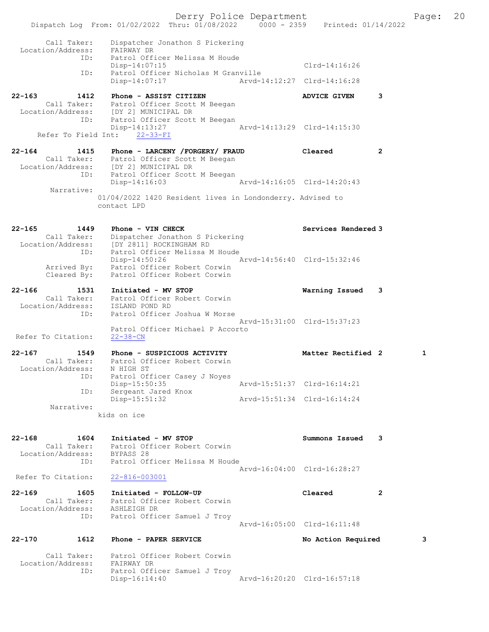Derry Police Department Fage: 20 Dispatch Log From: 01/02/2022 Thru: 01/08/2022 0000 - 2359 Printed: 01/14/2022 Call Taker: Dispatcher Jonathon S Pickering Location/Address: FAIRWAY DR ID: Patrol Officer Melissa M Houde Disp-14:07:15 Clrd-14:16:26 ID: Patrol Officer Nicholas M Granville Disp-14:07:17 Arvd-14:12:27 Clrd-14:16:28 22-163 1412 Phone - ASSIST CITIZEN ADVICE GIVEN 3 Call Taker: Patrol Officer Scott M Beegan Location/Address: [DY 2] MUNICIPAL DR ID: Patrol Officer Scott M Beegan Disp-14:13:27 Arvd-14:13:29 Clrd-14:15:30 Refer To Field Int: 22-33-FI 22-164 1415 Phone - LARCENY /FORGERY/ FRAUD Cleared 2 Call Taker: Patrol Officer Scott M Beegan Location/Address: [DY 2] MUNICIPAL DR ID: Patrol Officer Scott M Beegan Disp-14:16:03 Arvd-14:16:05 Clrd-14:20:43 Narrative: 01/04/2022 1420 Resident lives in Londonderry. Advised to contact LPD 22-165 1449 Phone - VIN CHECK Services Rendered 3 Call Taker: Dispatcher Jonathon S Pickering Location/Address: [DY 2811] ROCKINGHAM RD ID: Patrol Officer Melissa M Houde Disp-14:50:26 Arvd-14:56:40 Clrd-15:32:46 Arrived By: Patrol Officer Robert Corwin Cleared By: Patrol Officer Robert Corwin 22-166 1531 Initiated - MV STOP Warning Issued 3 Call Taker: Patrol Officer Robert Corwin Location/Address: ISLAND POND RD ID: Patrol Officer Joshua W Morse<br>Arvd-15:31:00 Clrd-15:37:23 Arvd-15:31:00 Clrd-15:37:23 Patrol Officer Michael P Accorto Refer To Citation: 22-38-CN 22-167 1549 Phone - SUSPICIOUS ACTIVITY 1990 Matter Rectified 2 1 Call Taker: Patrol Officer Robert Corwin Location/Address: N HIGH ST ID: Patrol Officer Casey J Noyes Disp-15:50:35 Arvd-15:51:37 Clrd-16:14:21 ID: Sergeant Jared Knox Disp-15:51:32 Arvd-15:51:34 Clrd-16:14:24 Narrative: kids on ice 22-168 1604 Initiated - MV STOP Summons Issued 3 Call Taker: Patrol Officer Robert Corwin Location/Address: BYPASS 28 ID: Patrol Officer Melissa M Houde Arvd-16:04:00 Clrd-16:28:27 Refer To Citation: 22-816-003001 22-169 1605 Initiated - FOLLOW-UP Cleared 2 Call Taker: Patrol Officer Robert Corwin Location/Address: ASHLEIGH DR ID: Patrol Officer Samuel J Troy Arvd-16:05:00 Clrd-16:11:48 22-170 1612 Phone - PAPER SERVICE No Action Required 3 Call Taker: Patrol Officer Robert Corwin Location/Address: FAIRWAY DR ID: Patrol Officer Samuel J Troy Disp-16:14:40 Arvd-16:20:20 Clrd-16:57:18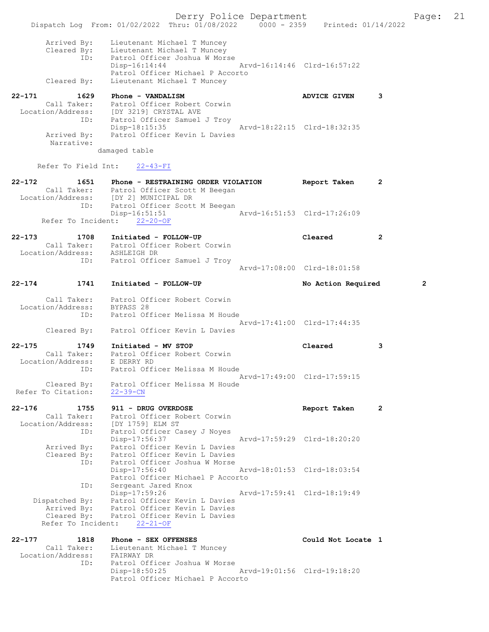Derry Police Department Fage: 21 Dispatch Log From: 01/02/2022 Thru: 01/08/2022 0000 - 2359 Printed: 01/14/2022 Arrived By: Lieutenant Michael T Muncey Cleared By: Lieutenant Michael T Muncey ID: Patrol Officer Joshua W Morse Disp-16:14:44 Arvd-16:14:46 Clrd-16:57:22 Patrol Officer Michael P Accorto Cleared By: Lieutenant Michael T Muncey 22-171 1629 Phone - VANDALISM 1620 1620 ADVICE GIVEN 3 Call Taker: Patrol Officer Robert Corwin Location/Address: [DY 3219] CRYSTAL AVE ID: Patrol Officer Samuel J Troy Disp-18:15:35 Arvd-18:22:15 Clrd-18:32:35 Arrived By: Patrol Officer Kevin L Davies Narrative: damaged table Refer To Field Int: 22-43-FI 22-172 1651 Phone - RESTRAINING ORDER VIOLATION Report Taken 2 Call Taker: Patrol Officer Scott M Beegan<br>Location/Address: [DY 2] MUNICIPAL DR ress: [DY 2] MUNICIPAL DR<br>ID: Patrol Officer Scott ID: Patrol Officer Scott M Beegan Disp-16:51:51 Arvd-16:51:53 Clrd-17:26:09 Refer To Incident: 22-20-OF 22-173 1708 Initiated - FOLLOW-UP Cleared 2 Call Taker: Patrol Officer Robert Corwin Location/Address: ASHLEIGH DR ID: Patrol Officer Samuel J Troy Arvd-17:08:00 Clrd-18:01:58 22-174 1741 Initiated - FOLLOW-UP No Action Required 2 Call Taker: Patrol Officer Robert Corwin Location/Address: BYPASS 28 ID: Patrol Officer Melissa M Houde Arvd-17:41:00 Clrd-17:44:35 Cleared By: Patrol Officer Kevin L Davies 22-175 1749 Initiated - MV STOP Cleared 3 Call Taker: Patrol Officer Robert Corwin Location/Address: E DERRY RD ID: Patrol Officer Melissa M Houde Arvd-17:49:00 Clrd-17:59:15 Cleared By: Patrol Officer Melissa M Houde Refer To Citation: 22-39-CN 22-176 1755 911 - DRUG OVERDOSE Report Taken 2 Call Taker: Patrol Officer Robert Corwin Location/Address: [DY 1759] ELM ST ID: Patrol Officer Casey J Noyes Disp-17:56:37 Arvd-17:59:29 Clrd-18:20:20 Arrived By: Patrol Officer Kevin L Davies Cleared By: Patrol Officer Kevin L Davies ID: Patrol Officer Joshua W Morse Disp-17:56:40 Arvd-18:01:53 Clrd-18:03:54 Patrol Officer Michael P Accorto ID: Sergeant Jared Knox Disp-17:59:26 Arvd-17:59:41 Clrd-18:19:49 Dispatched By: Patrol Officer Kevin L Davies Arrived By: Patrol Officer Kevin L Davies Cleared By: Patrol Officer Kevin L Davies Refer To Incident: 22-21-OF 22-177 1818 Phone - SEX OFFENSES Could Not Locate 1 Call Taker: Lieutenant Michael T Muncey Location/Address: FAIRWAY DR ID: Patrol Officer Joshua W Morse

Disp-18:50:25 Arvd-19:01:56 Clrd-19:18:20

Patrol Officer Michael P Accorto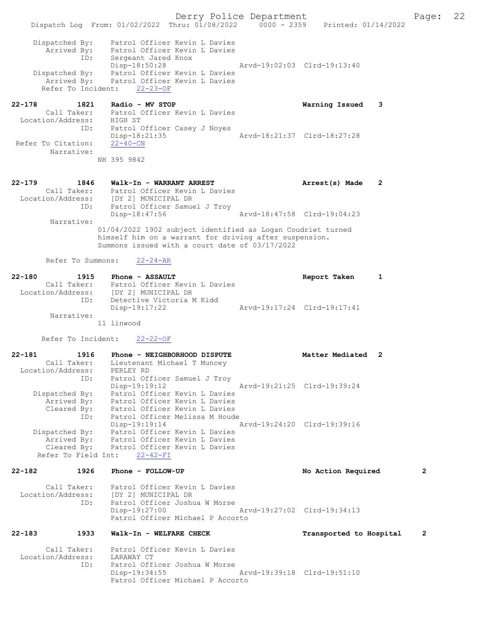Dispatch Log From: 01/02/2022 Thru: 01/08/2022 0000 - 2359 Printed: 01/14/2022 Dispatched By: Patrol Officer Kevin L Davies Arrived By: Patrol Officer Kevin L Davies ID: Sergeant Jared Knox Disp-18:50:28 Arvd-19:02:03 Clrd-19:13:40 Dispatched By: Patrol Officer Kevin L Davies Arrived By: Patrol Officer Kevin L Davies Refer To Incident: 22-23-OF 22-178 1821 Radio - MV STOP Warning Issued 3 Call Taker: Patrol Officer Kevin L Davies Location/Address: HIGH ST ID: Patrol Officer Casey J Noyes<br>Disp-18:21:35 <br>Arvd-18:21:37 Clrd-18:27:28 Disp-18:21:35<br>22-40-CN Refer To Citation: Narrative: NH 395 9842 22-179 1846 Walk-In - WARRANT ARREST Arrest(s) Made 2 Call Taker: Patrol Officer Kevin L Davies Location/Address: [DY 2] MUNICIPAL DR ID: Patrol Officer Samuel J Troy Disp-18:47:56 Arvd-18:47:58 Clrd-19:04:23 Narrative: 01/04/2022 1902 subject identified as Logan Coudriet turned himself him on a warrant for driving after suspension. Summons issued with a court date of 03/17/2022 Refer To Summons: 22-24-AR 22-180 1915 Phone - ASSAULT Report Taken 1 Call Taker: Patrol Officer Kevin L Davies Location/Address: [DY 2] MUNICIPAL DR ID: Detective Victoria M Kidd Disp-19:17:22 Arvd-19:17:24 Clrd-19:17:41 Narrative: 11 linwood Refer To Incident: 22-22-OF 22-181 1916 Phone - NEIGHBORHOOD DISPUTE 1988 Matter Mediated 2 Call Taker: Lieutenant Michael T Muncey Location/Address: PERLEY RD ID: Patrol Officer Samuel J Troy Disp-19:19:12 Arvd-19:21:25 Clrd-19:39:24 Dispatched By: Patrol Officer Kevin L Davies Arrived By: Patrol Officer Kevin L Davies Cleared By: Patrol Officer Kevin L Davies ID: Patrol Officer Melissa M Houde Disp-19:19:14 Arvd-19:24:20 Clrd-19:39:16 Dispatched By: Patrol Officer Kevin L Davies Arrived By: Patrol Officer Kevin L Davies Cleared By: Patrol Officer Kevin L Davies Refer To Field Int: 22-42-FI 22-182 1926 Phone - FOLLOW-UP No Action Required 2 Call Taker: Patrol Officer Kevin L Davies Location/Address: [DY 2] MUNICIPAL DR ID: Patrol Officer Joshua W Morse Disp-19:27:00 Arvd-19:27:02 Clrd-19:34:13 Patrol Officer Michael P Accorto 22-183 1933 Walk-In - WELFARE CHECK Transported to Hospital 2 Call Taker: Patrol Officer Kevin L Davies Location/Address: LARAWAY CT<br>ID: Patrol Offi Patrol Officer Joshua W Morse Disp-19:34:55 Arvd-19:39:18 Clrd-19:51:10

Patrol Officer Michael P Accorto

Derry Police Department Fage: 22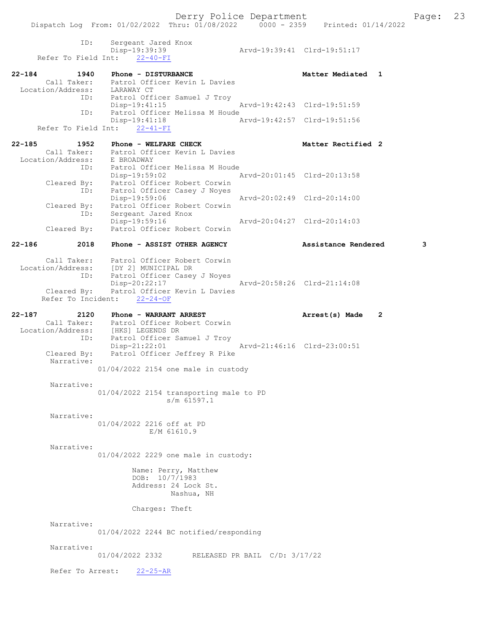ID: Sergeant Jared Knox Disp-19:39:39 Arvd-19:39:41 Clrd-19:51:17 Refer To Field Int: 22-40-FI 22-184 1940 Phone - DISTURBANCE Matter Mediated 1 Call Taker: Patrol Officer Kevin L Davies Location/Address: LARAWAY CT ID: Patrol Officer Samuel J Troy Disp-19:41:15 Arvd-19:42:43 Clrd-19:51:59 ID: Patrol Officer Melissa M Houde Disp-19:41:18 Arvd-19:42:57 Clrd-19:51:56 Refer To Field Int: 22-41-FI 22-185 1952 Phone - WELFARE CHECK Noted that Matter Rectified 2 Call Taker: Patrol Officer Kevin L Davies Location/Address: E BROADWAY ID: Patrol Officer Melissa M Houde Disp-19:59:02 Arvd-20:01:45 Clrd-20:13:58 Cleared By: Patrol Officer Robert Corwin ID: Patrol Officer Casey J Noyes Disp-19:59:06 Arvd-20:02:49 Clrd-20:14:00 Cleared By: Patrol Officer Robert Corwin ID: Sergeant Jared Knox Disp-19:59:16 Arvd-20:04:27 Clrd-20:14:03 Cleared By: Patrol Officer Robert Corwin 22-186 2018 Phone - ASSIST OTHER AGENCY Assistance Rendered 3 Call Taker: Patrol Officer Robert Corwin Location/Address: [DY 2] MUNICIPAL DR ID: Patrol Officer Casey J Noyes Disp-20:22:17 Arvd-20:58:26 Clrd-21:14:08 Cleared By: Patrol Officer Kevin L Davies Refer To Incident: 22-24-OF 22-187 2120 Phone - WARRANT ARREST Arrest(s) Made 2 Call Taker: Patrol Officer Robert Corwin Location/Address: [HKS] LEGENDS DR ID: Patrol Officer Samuel J Troy Disp-21:22:01 Arvd-21:46:16 Clrd-23:00:51 Cleared By: Patrol Officer Jeffrey R Pike Narrative: 01/04/2022 2154 one male in custody Narrative: 01/04/2022 2154 transporting male to PD s/m 61597.1 Narrative: 01/04/2022 2216 off at PD E/M 61610.9 Narrative: 01/04/2022 2229 one male in custody: Name: Perry, Matthew DOB: 10/7/1983 Address: 24 Lock St. Nashua, NH Charges: Theft Narrative: 01/04/2022 2244 BC notified/responding Narrative: 01/04/2022 2332 RELEASED PR BAIL C/D: 3/17/22 Refer To Arrest: 22-25-AR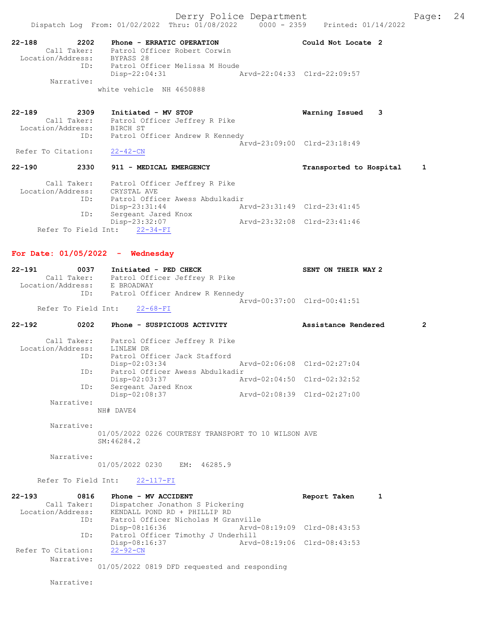22-188 2202 Phone - ERRATIC OPERATION Could Not Locate 2 Call Taker: Patrol Officer Robert Corwin Location/Address: BYPASS 28 ID: Patrol Officer Melissa M Houde Disp-22:04:31 Arvd-22:04:33 Clrd-22:09:57 Narrative: white vehicle NH 4650888 22-189 2309 Initiated - MV STOP Warning Issued 3 Call Taker: Patrol Officer Jeffrey R Pike Location/Address: BIRCH ST ID: Patrol Officer Andrew R Kennedy Arvd-23:09:00 Clrd-23:18:49<br>22-42-CN Refer To Citation: 22-190 2330 911 - MEDICAL EMERGENCY Transported to Hospital 1 Call Taker: Patrol Officer Jeffrey R Pike

| Location/Address: | CRYSTAL AVE                     |                             |                             |
|-------------------|---------------------------------|-----------------------------|-----------------------------|
| ID:               | Patrol Officer Awess Abdulkadir |                             |                             |
|                   | Disp-23:31:44                   |                             | Arvd-23:31:49 Clrd-23:41:45 |
| ID:               | Sergeant Jared Knox             |                             |                             |
|                   | Disp-23:32:07                   | Arvd-23:32:08 Clrd-23:41:46 |                             |
|                   | Refer To Field Int: 22-34-FI    |                             |                             |

# For Date: 01/05/2022 - Wednesday

| $22 - 191$<br>0037 | Initiated - PED CHECK           | SENT ON THEIR WAY 2         |
|--------------------|---------------------------------|-----------------------------|
| Call Taker:        | Patrol Officer Jeffrey R Pike   |                             |
| Location/Address:  | E BROADWAY                      |                             |
| ID:                | Patrol Officer Andrew R Kennedy |                             |
|                    |                                 | Aryd-00:37:00 Clrd-00:41:51 |
|                    | $D = 5$                         |                             |

Refer To Field Int: 22-68-FI

| $22 - 192$ | 0202              | Phone - SUSPICIOUS ACTIVITY     | Assistance Rendered         | $\overline{2}$ |
|------------|-------------------|---------------------------------|-----------------------------|----------------|
|            | Call Taker:       | Patrol Officer Jeffrey R Pike   |                             |                |
|            | Location/Address: | LINLEW DR                       |                             |                |
|            | ID:               | Patrol Officer Jack Stafford    |                             |                |
|            |                   | $Disp-02:03:34$                 | Arvd-02:06:08 Clrd-02:27:04 |                |
|            | ID:               | Patrol Officer Awess Abdulkadir |                             |                |
|            |                   | $Disp-02:03:37$                 | Arvd-02:04:50 Clrd-02:32:52 |                |
|            | ID:               | Sergeant Jared Knox             |                             |                |
|            |                   | Disp-02:08:37                   | Aryd-02:08:39 Clrd-02:27:00 |                |
|            | Narrative:        |                                 |                             |                |
|            |                   | NH# DAVE4                       |                             |                |
|            |                   |                                 |                             |                |
|            |                   |                                 |                             |                |

 Narrative: 01/05/2022 0226 COURTESY TRANSPORT TO 10 WILSON AVE SM:46284.2

Narrative:

01/05/2022 0230 EM: 46285.9

### Refer To Field Int: 22-117-FI

| $22 - 193$<br>0816 | Phone - MV ACCIDENT                          | Report Taken                |  |
|--------------------|----------------------------------------------|-----------------------------|--|
| Call Taker:        | Dispatcher Jonathon S Pickering              |                             |  |
| Location/Address:  | KENDALL POND RD + PHILLIP RD                 |                             |  |
| ID:                | Patrol Officer Nicholas M Granville          |                             |  |
|                    | Arvd-08:19:09 Clrd-08:43:53<br>Disp-08:16:36 |                             |  |
| ID:                | Patrol Officer Timothy J Underhill           |                             |  |
|                    | Disp-08:16:37                                | Arvd-08:19:06 Clrd-08:43:53 |  |
| Refer To Citation: | $22 - 92 - CN$                               |                             |  |
| Narrative:         |                                              |                             |  |
|                    | 01/05/2022 0819 DFD requested and responding |                             |  |

Narrative: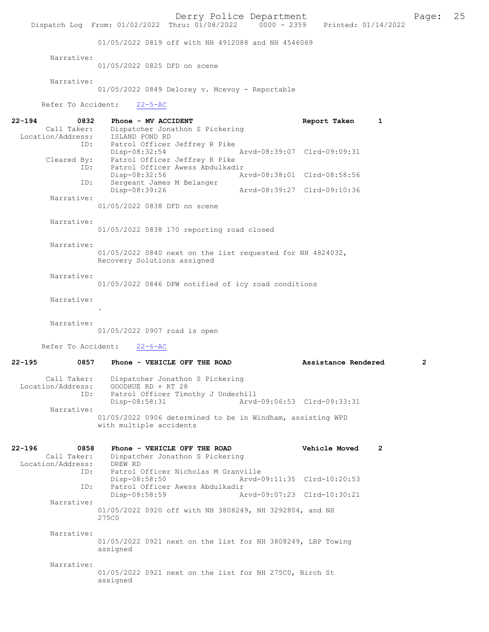Derry Police Department<br>
Page: 25 Printed: 01/14/2022 0000 - 2359 Printed: 01/14/2022 Dispatch Log From: 01/02/2022 Thru: 01/08/2022 01/05/2022 0819 off with NH 4912088 and NH 4546069 Narrative: 01/05/2022 0825 DFD on scene Narrative: 01/05/2022 0849 Delorey v. Mcevoy - Reportable Refer To Accident: 22-5-AC 22-194 0832 Phone - MV ACCIDENT Report Taken 1 Call Taker: Dispatcher Jonathon S Pickering Location/Address: ISLAND POND RD ID: Patrol Officer Jeffrey R Pike Disp-08:32:54 Arvd-08:39:07 Clrd-09:09:31 Cleared By: Patrol Officer Jeffrey R Pike ID: Patrol Officer Awess Abdulkadir Disp-08:32:56 Arvd-08:38:01 Clrd-08:58:56<br>TD: Sergeant James M Belanger Sergeant James M Belanger<br>Disp-08:39:26 Disp-08:39:26 Arvd-08:39:27 Clrd-09:10:36 Narrative: 01/05/2022 0838 DFD on scene Narrative: 01/05/2022 0838 170 reporting road closed Narrative: 01/05/2022 0840 next on the list requested for NH 4824032, Recovery Solutions assigned Narrative: 01/05/2022 0846 DPW notified of icy road conditions Narrative: . Narrative: 01/05/2022 0907 road is open Refer To Accident: 22-6-AC 22-195 0857 Phone - VEHICLE OFF THE ROAD **Assistance Rendered** 2 Call Taker: Dispatcher Jonathon S Pickering Location/Address: GOODHUE RD + RT 28<br>TD: Patrol Officer Timo Patrol Officer Timothy J Underhill Disp-08:58:31 Arvd-09:06:53 Clrd-09:33:31 Narrative: 01/05/2022 0906 determined to be in Windham, assisting WPD with multiple accidents 22-196 0858 Phone - VEHICLE OFF THE ROAD Vehicle Moved 2 Call Taker: Dispatcher Jonathon S Pickering<br>ion/Address: DREW RD Location/Address: ID: Patrol Officer Nicholas M Granville<br>Disp-08:58:50 Arvd-Disp-08:58:50 Arvd-09:11:35 Clrd-10:20:53<br>TD: Patrol Officer Awess Abdulkadir Patrol Officer Awess Abdulkadir<br>Disp-08:58:59 A Disp-08:58:59 Arvd-09:07:23 Clrd-10:30:21 Narrative: 01/05/2022 0920 off with NH 3808249, NH 3292804, and NH 275C0 Narrative: 01/05/2022 0921 next on the list for NH 3808249, LBP Towing assigned Narrative: 01/05/2022 0921 next on the list for NH 275C0, Birch St assigned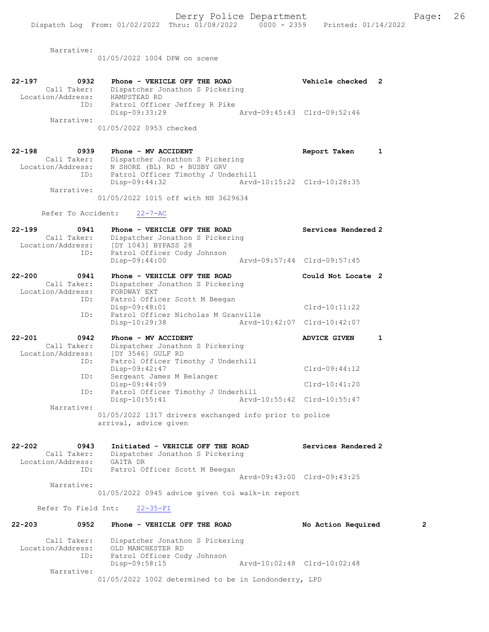Narrative:

01/05/2022 1004 DPW on scene

| $22 - 197$<br>0932 | Phone - VEHICLE OFF THE ROAD    | Vehicle checked 2           |  |
|--------------------|---------------------------------|-----------------------------|--|
| Call Taker:        | Dispatcher Jonathon S Pickering |                             |  |
| Location/Address:  | HAMPSTEAD RD                    |                             |  |
| ID:                | Patrol Officer Jeffrey R Pike   |                             |  |
|                    | Disp-09:33:29                   | Arvd-09:45:43 Clrd-09:52:46 |  |
| Narrative:         |                                 |                             |  |
|                    | 01/05/2022 0953 checked         |                             |  |

| $22 - 198$<br>0939 | Phone - MV ACCIDENT                 | Report Taken                |  |
|--------------------|-------------------------------------|-----------------------------|--|
| Call Taker:        | Dispatcher Jonathon S Pickering     |                             |  |
| Location/Address:  | N SHORE (BL) RD + BUSBY GRV         |                             |  |
| ID:                | Patrol Officer Timothy J Underhill  |                             |  |
|                    | Disp-09:44:32                       | Arvd-10:15:22 Clrd-10:28:35 |  |
| Narrative:         |                                     |                             |  |
|                    | 01/05/2022 1015 off with NH 3629634 |                             |  |

Refer To Accident: 22-7-AC

| $22 - 199$<br>0941<br>Call Taker:<br>Location/Address:<br>ID:                                               | Phone - VEHICLE OFF THE ROAD<br>Dispatcher Jonathon S Pickering<br>[DY 1043] BYPASS 28<br>Patrol Officer Cody Johnson<br>Disp-09:44:00                                                                                                                                                                                       | Services Rendered 2<br>Arvd-09:57:44 Clrd-09:57:45                                            |
|-------------------------------------------------------------------------------------------------------------|------------------------------------------------------------------------------------------------------------------------------------------------------------------------------------------------------------------------------------------------------------------------------------------------------------------------------|-----------------------------------------------------------------------------------------------|
| $22 - 200$<br>0941<br>Call Taker:<br>Location/Address:<br>ID:<br>ID:                                        | Phone - VEHICLE OFF THE ROAD<br>Dispatcher Jonathon S Pickering<br>FORDWAY EXT<br>Patrol Officer Scott M Beegan<br>Disp-09:48:01<br>Patrol Officer Nicholas M Granville<br>Disp-10:29:38                                                                                                                                     | Could Not Locate 2<br>$Clrd-10:11:22$<br>Arvd-10:42:07 Clrd-10:42:07                          |
| $22 - 201$<br>0942<br>Call Taker:<br>Location/Address:<br>ID:<br>ID:<br>ID:<br>Narrative:                   | Phone - MV ACCIDENT<br>Dispatcher Jonathon S Pickering<br>[DY 3546] GULF RD<br>Patrol Officer Timothy J Underhill<br>Disp-09:42:47<br>Sergeant James M Belanger<br>Disp-09:44:09<br>Patrol Officer Timothy J Underhill<br>$Disp-10:55:41$<br>01/05/2022 1317 drivers exchanged info prior to police<br>arrival, advice given | <b>ADVICE GIVEN</b><br>1<br>$Clrd-09:44:12$<br>$Clrd-10:41:20$<br>Arvd-10:55:42 Clrd-10:55:47 |
| $22 - 202$<br>0943<br>Call Taker:<br>Location/Address: GAITA DR<br>ID:<br>Narrative:<br>Refer To Field Int: | Initiated - VEHICLE OFF THE ROAD<br>Dispatcher Jonathon S Pickering<br>Patrol Officer Scott M Beegan<br>01/05/2022 0945 advice given toi walk-in report<br>$22 - 35 - FI$                                                                                                                                                    | Services Rendered 2<br>Aryd-09:43:00 Clrd-09:43:25                                            |
| $22 - 203$<br>0952                                                                                          | Phone - VEHICLE OFF THE ROAD                                                                                                                                                                                                                                                                                                 | $\mathbf{2}$<br>No Action Required                                                            |

 Call Taker: Dispatcher Jonathon S Pickering Location/Address: OLD MANCHESTER RD ID: Patrol Officer Cody Johnson Disp-09:58:15 Arvd-10:02:48 Clrd-10:02:48 Narrative: 01/05/2022 1002 determined to be in Londonderry, LPD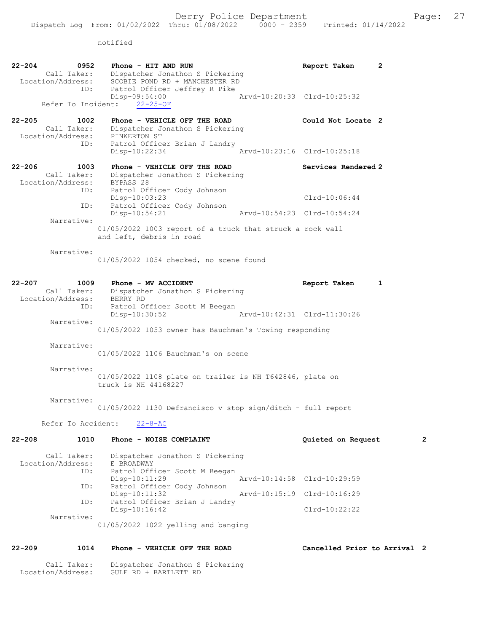notified

| 22-204 | 0952<br>Call Taker:<br>Location/Address:           | Phone - HIT AND RUN<br>Dispatcher Jonathon S Pickering<br>SCOBIE POND RD + MANCHESTER RD               | Report Taken<br>2            |                |
|--------|----------------------------------------------------|--------------------------------------------------------------------------------------------------------|------------------------------|----------------|
|        | ID:<br>Refer To Incident:                          | Patrol Officer Jeffrey R Pike<br>Disp-09:54:00<br>Arvd-10:20:33 Clrd-10:25:32<br>$22 - 25 - OF$        |                              |                |
| 22-205 | 1002<br>Call Taker:                                | Phone - VEHICLE OFF THE ROAD<br>Dispatcher Jonathon S Pickering<br>Location/Address: PINKERTON ST      | Could Not Locate 2           |                |
|        | ID:                                                | Patrol Officer Brian J Landry<br>Arvd-10:23:16 Clrd-10:25:18<br>Disp-10:22:34                          |                              |                |
| 22-206 | 1003<br>Call Taker:<br>Location/Address: BYPASS 28 | Phone - VEHICLE OFF THE ROAD<br>Dispatcher Jonathon S Pickering                                        | Services Rendered 2          |                |
|        | ID:                                                | Patrol Officer Cody Johnson<br>Disp-10:03:23                                                           | Clrd-10:06:44                |                |
|        | ID:<br>Narrative:                                  | Patrol Officer Cody Johnson<br>$Disp-10:54:21$<br>Arvd-10:54:23 Clrd-10:54:24                          |                              |                |
|        |                                                    | 01/05/2022 1003 report of a truck that struck a rock wall<br>and left, debris in road                  |                              |                |
|        | Narrative:                                         | 01/05/2022 1054 checked, no scene found                                                                |                              |                |
| 22-207 | 1009                                               | Phone - MV ACCIDENT<br>Call Taker: Dispatcher Jonathon S Pickering                                     | Report Taken<br>1            |                |
|        | Location/Address: BERRY RD<br>ID:                  | Patrol Officer Scott M Beegan                                                                          |                              |                |
|        | Narrative:                                         | Arvd-10:42:31 Clrd-11:30:26<br>Disp-10:30:52<br>01/05/2022 1053 owner has Bauchman's Towing responding |                              |                |
|        | Narrative:                                         |                                                                                                        |                              |                |
|        |                                                    | 01/05/2022 1106 Bauchman's on scene                                                                    |                              |                |
|        | Narrative:                                         | 01/05/2022 1108 plate on trailer is NH T642846, plate on<br>truck is NH 44168227                       |                              |                |
|        | Narrative:                                         | 01/05/2022 1130 Defrancisco v stop sign/ditch - full report                                            |                              |                |
|        | Refer To Accident:                                 | $22 - 8 - AC$                                                                                          |                              |                |
| 22-208 | 1010                                               | Phone - NOISE COMPLAINT                                                                                | Quieted on Request           | $\overline{2}$ |
|        | Call Taker:<br>Location/Address:<br>ID:            | Dispatcher Jonathon S Pickering<br>E BROADWAY<br>Patrol Officer Scott M Beegan                         |                              |                |
|        | ID:                                                | Disp-10:11:29<br>Arvd-10:14:58 Clrd-10:29:59<br>Patrol Officer Cody Johnson                            |                              |                |
|        | ID:                                                | $Disp-10:11:32$<br>Aryd-10:15:19 Clrd-10:16:29<br>Patrol Officer Brian J Landry<br>Disp-10:16:42       | $Clrd-10:22:22$              |                |
|        | Narrative:                                         | $01/05/2022$ 1022 yelling and banging                                                                  |                              |                |
| 22-209 | 1014                                               | Phone - VEHICLE OFF THE ROAD                                                                           | Cancelled Prior to Arrival 2 |                |
|        | Call Taker:<br>Location/Address:                   | Dispatcher Jonathon S Pickering<br>GULF RD + BARTLETT RD                                               |                              |                |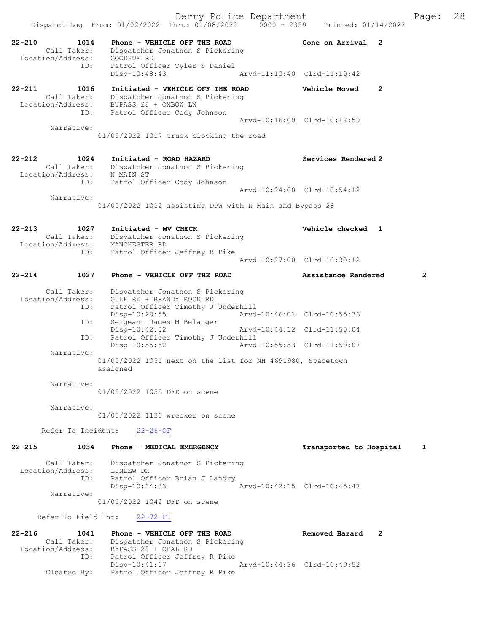Dispatch Log From: 01/02/2022 Thru: 01/08/2022 0000 - 2359 Printed: 01/14/2022 22-210 1014 Phone - VEHICLE OFF THE ROAD 600 Gone on Arrival 2 Call Taker: Dispatcher Jonathon S Pickering Location/Address: GOODHUE RD ID: Patrol Officer Tyler S Daniel Disp-10:48:43 Arvd-11:10:40 Clrd-11:10:42 22-211 1016 Initiated - VEHICLE OFF THE ROAD Vehicle Moved 2 Call Taker: Dispatcher Jonathon S Pickering Location/Address: BYPASS 28 + OXBOW LN ID: Patrol Officer Cody Johnson Arvd-10:16:00 Clrd-10:18:50 Narrative: 01/05/2022 1017 truck blocking the road 22-212 1024 Initiated - ROAD HAZARD Services Rendered 2 Call Taker: Dispatcher Jonathon S Pickering Location/Address: N MAIN ST ID: Patrol Officer Cody Johnson Arvd-10:24:00 Clrd-10:54:12 Narrative: 01/05/2022 1032 assisting DPW with N Main and Bypass 28 22-213 1027 Initiated - MV CHECK Vehicle checked 1 Call Taker: Dispatcher Jonathon S Pickering<br>Location/Address: MANCHESTER RD<br>ID: Patrol Officer Jeffrev R Pike Location/Address: MANCHESTER RD ID: Patrol Officer Jeffrey R Pike Arvd-10:27:00 Clrd-10:30:12 22-214 1027 Phone - VEHICLE OFF THE ROAD **Assistance Rendered** 2 Call Taker: Dispatcher Jonathon S Pickering Location/Address: GULF RD + BRANDY ROCK RD ID: Patrol Officer Timothy J Underhill Disp-10:28:55 Arvd-10:46:01 Clrd-10:55:36 ID: Sergeant James M Belanger Disp-10:42:02 Arvd-10:44:12 Clrd-11:50:04<br>ID: Patrol Officer Timothy J Underhill<br>
Disp-10:55:52 Arvd-10:55:53 Clrd-11:50:07 Patrol Officer Timothy J Underhill Disp-10:55:52 Arvd-10:55:53 Clrd-11:50:07 Narrative: 01/05/2022 1051 next on the list for NH 4691980, Spacetown assigned Narrative: 01/05/2022 1055 DFD on scene Narrative: 01/05/2022 1130 wrecker on scene Refer To Incident: 22-26-OF 22-215 1034 Phone - MEDICAL EMERGENCY Transported to Hospital 1 Call Taker: Dispatcher Jonathon S Pickering Location/Address: LINLEW DR ID: Patrol Officer Brian J Landry<br>Disp-10:34:33 Arvd-10:42:15 Clrd-10:45:47 Narrative: 01/05/2022 1042 DFD on scene Refer To Field Int: 22-72-FI 22-216 1041 Phone - VEHICLE OFF THE ROAD Removed Hazard 2 Call Taker: Dispatcher Jonathon S Pickering Location/Address: BYPASS 28 + OPAL RD ID: Patrol Officer Jeffrey R Pike Disp-10:41:17 Arvd-10:44:36 Clrd-10:49:52 Cleared By: Patrol Officer Jeffrey R Pike

Derry Police Department The Page: 28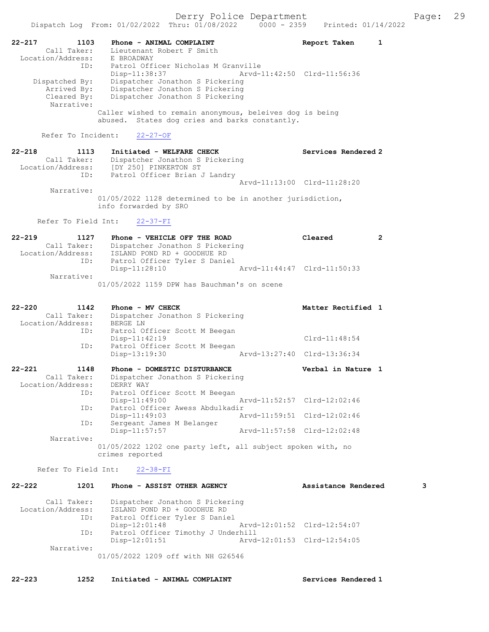|                                                               | Dispatch Log From: 01/02/2022 Thru: 01/08/2022                                                                                           | $0000 - 2359$               | Printed: 01/14/2022 |                |
|---------------------------------------------------------------|------------------------------------------------------------------------------------------------------------------------------------------|-----------------------------|---------------------|----------------|
| $22 - 217$<br>1103<br>Call Taker:<br>Location/Address:<br>ID: | Phone - ANIMAL COMPLAINT<br>Lieutenant Robert F Smith<br>E BROADWAY<br>Patrol Officer Nicholas M Granville<br>Disp-11:38:37              | Arvd-11:42:50 Clrd-11:56:36 | Report Taken        | 1              |
| Dispatched By:<br>Arrived By:<br>Cleared By:<br>Narrative:    | Dispatcher Jonathon S Pickering<br>Dispatcher Jonathon S Pickering<br>Dispatcher Jonathon S Pickering                                    |                             |                     |                |
|                                                               | Caller wished to remain anonymous, beleives dog is being<br>abused. States dog cries and barks constantly.                               |                             |                     |                |
| Refer To Incident:                                            | $22 - 27 - OF$                                                                                                                           |                             |                     |                |
| $22 - 218$<br>1113<br>Call Taker:<br>ID:                      | Initiated - WELFARE CHECK<br>Dispatcher Jonathon S Pickering<br>Location/Address: [DY 250] PINKERTON ST<br>Patrol Officer Brian J Landry |                             | Services Rendered 2 |                |
|                                                               |                                                                                                                                          | Arvd-11:13:00 Clrd-11:28:20 |                     |                |
| Narrative:                                                    | 01/05/2022 1128 determined to be in another jurisdiction,<br>info forwarded by SRO                                                       |                             |                     |                |
| Refer To Field Int:                                           | $22 - 37 - FI$                                                                                                                           |                             |                     |                |
| $22 - 219$<br>1127<br>Call Taker:<br>Location/Address:        | Phone - VEHICLE OFF THE ROAD<br>Dispatcher Jonathon S Pickering<br>ISLAND POND RD + GOODHUE RD                                           |                             | Cleared             | $\overline{2}$ |
| ID:                                                           | Patrol Officer Tyler S Daniel<br>$Disp-11:28:10$                                                                                         | Arvd-11:44:47 Clrd-11:50:33 |                     |                |
| Narrative:                                                    | 01/05/2022 1159 DPW has Bauchman's on scene                                                                                              |                             |                     |                |
| $22 - 220$<br>1142                                            | Phone - MV CHECK                                                                                                                         |                             | Matter Rectified 1  |                |
| Call Taker:<br>Location/Address:                              | Dispatcher Jonathon S Pickering<br>BERGE LN                                                                                              |                             |                     |                |
| ID:                                                           | Patrol Officer Scott M Beegan<br>$Disp-11:42:19$<br>Patrol Officer Scott M Beegan                                                        |                             | $Clrd-11:48:54$     |                |
| ID:                                                           | Disp-13:19:30                                                                                                                            | Arvd-13:27:40 Clrd-13:36:34 |                     |                |
| $22 - 221$<br>1148                                            | Phone - DOMESTIC DISTURBANCE                                                                                                             |                             |                     |                |
| Call Taker:<br>Location/Address:                              | Dispatcher Jonathon S Pickering<br>DERRY WAY                                                                                             |                             | Verbal in Nature 1  |                |
| ID:                                                           | Patrol Officer Scott M Beegan<br>Disp-11:49:00                                                                                           | Arvd-11:52:57 Clrd-12:02:46 |                     |                |
| ID:                                                           | Patrol Officer Awess Abdulkadir<br>$Disp-11:49:03$                                                                                       | Arvd-11:59:51 Clrd-12:02:46 |                     |                |
| ID:                                                           | Sergeant James M Belanger                                                                                                                |                             |                     |                |
| Narrative:                                                    | $Disp-11:57:57$<br>01/05/2022 1202 one party left, all subject spoken with, no<br>crimes reported                                        | Arvd-11:57:58 Clrd-12:02:48 |                     |                |
| Refer To Field Int:                                           | $22 - 38 - FI$                                                                                                                           |                             |                     |                |
| 1201<br>$22 - 222$<br>Call Taker:                             | Phone - ASSIST OTHER AGENCY<br>Dispatcher Jonathon S Pickering                                                                           |                             | Assistance Rendered | 3              |

 ID: Patrol Officer Tyler S Daniel Disp-12:01:48 Arvd-12:01:52 Clrd-12:54:07 ID: Patrol Officer Timothy J Underhill<br>Disp-12:01:51 Arvd- Disp-12:01:51 Arvd-12:01:53 Clrd-12:54:05 Narrative: 01/05/2022 1209 off with NH G26546

22-223 1252 Initiated - ANIMAL COMPLAINT Services Rendered 1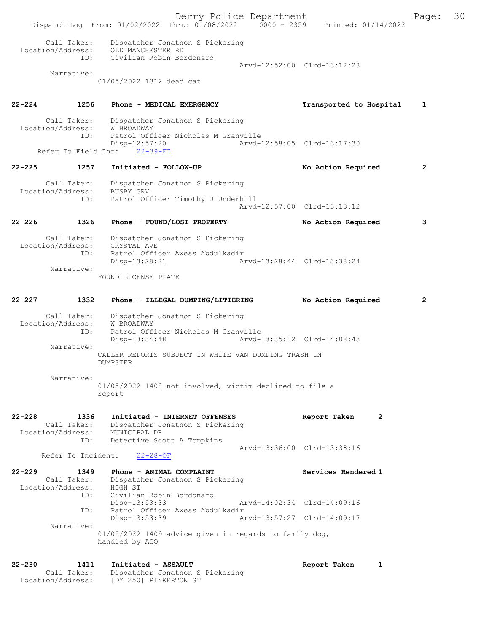Derry Police Department The Page: 30 Dispatch Log From: 01/02/2022 Thru: 01/08/2022 0000 - 2359 Printed: 01/14/2022 Call Taker: Dispatcher Jonathon S Pickering Location/Address: OLD MANCHESTER RD ID: Civilian Robin Bordonaro Arvd-12:52:00 Clrd-13:12:28 Narrative: 01/05/2022 1312 dead cat 22-224 1256 Phone - MEDICAL EMERGENCY Transported to Hospital 1 Call Taker: Dispatcher Jonathon S Pickering Location/Address: W BROADWAY ID: Patrol Officer Nicholas M Granville<br>Disp-12:57:20 Arvd- Disp-12:57:20 Arvd-12:58:05 Clrd-13:17:30 Refer To Field Int: 22-39-FI 22-225 1257 Initiated - FOLLOW-UP No Action Required 2 Call Taker: Dispatcher Jonathon S Pickering Location/Address: BUSBY GRV<br>TD: Patrol Ofi Patrol Officer Timothy J Underhill Arvd-12:57:00 Clrd-13:13:12 22-226 1326 Phone - FOUND/LOST PROPERTY No Action Required 3 Call Taker: Dispatcher Jonathon S Pickering Location/Address: CRYSTAL AVE<br>ID: Patrol Offic Patrol Officer Awess Abdulkadir<br>Disp-13:28:21 Al Disp-13:28:21 Arvd-13:28:44 Clrd-13:38:24 Narrative: FOUND LICENSE PLATE 22-227 1332 Phone - ILLEGAL DUMPING/LITTERING No Action Required 2 Call Taker: Dispatcher Jonathon S Pickering Location/Address: W BROADWAY ID: Patrol Officer Nicholas M Granville Disp-13:34:48 Arvd-13:35:12 Clrd-14:08:43 Narrative: CALLER REPORTS SUBJECT IN WHITE VAN DUMPING TRASH IN DUMPSTER Narrative: 01/05/2022 1408 not involved, victim declined to file a report 22-228 1336 Initiated - INTERNET OFFENSES Report Taken 2 Call Taker: Dispatcher Jonathon S Pickering Location/Address: MUNICIPAL DR ID: Detective Scott A Tompkins Arvd-13:36:00 Clrd-13:38:16 Refer To Incident: 22-28-OF 22-229 1349 Phone - ANIMAL COMPLAINT Number of Services Rendered 1 Call Taker: Dispatcher Jonathon S Pickering Location/Address: HIGH ST ID: Civilian Robin Bordonaro Disp-13:53:33 Arvd-14:02:34 Clrd-14:09:16<br>TD: Patrol Officer Awess Abdulkadir Patrol Officer Awess Abdulkadir<br>Disp-13:53:39 Ar Disp-13:53:39 Arvd-13:57:27 Clrd-14:09:17 Narrative: 01/05/2022 1409 advice given in regards to family dog, handled by ACO 22-230 1411 Initiated - ASSAULT Report Taken 1 Call Taker: Dispatcher Jonathon S Pickering Location/Address: [DY 250] PINKERTON ST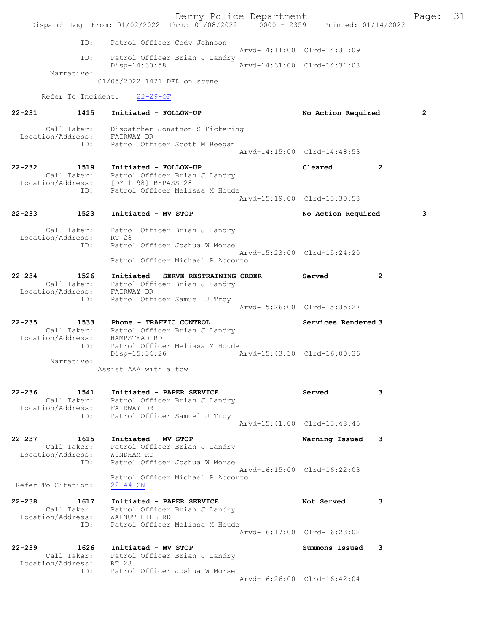Derry Police Department Fage: 31 Dispatch Log From: 01/02/2022 Thru: 01/08/2022 0000 - 2359 Printed: 01/14/2022 ID: Patrol Officer Cody Johnson Arvd-14:11:00 Clrd-14:31:09 ID: Patrol Officer Brian J Landry<br>Disp-14:30:58 Arvd-14:31:00 Clrd-14:31:08 Disp-14:30:58 Narrative: 01/05/2022 1421 DFD on scene Refer To Incident: 22-29-OF 22-231 1415 Initiated - FOLLOW-UP No Action Required 2 Call Taker: Dispatcher Jonathon S Pickering Location/Address: FAIRWAY DR ID: Patrol Officer Scott M Beegan Arvd-14:15:00 Clrd-14:48:53 22-232 1519 Initiated - FOLLOW-UP Cleared 2 Call Taker: Patrol Officer Brian J Landry Location/Address: [DY 1198] BYPASS 28 ID: Patrol Officer Melissa M Houde Arvd-15:19:00 Clrd-15:30:58 22-233 1523 Initiated - MV STOP 10 No Action Required 3 Call Taker: Patrol Officer Brian J Landry Location/Address: RT 28 ID: Patrol Officer Joshua W Morse Arvd-15:23:00 Clrd-15:24:20 Patrol Officer Michael P Accorto 22-234 1526 Initiated - SERVE RESTRAINING ORDER Served 2 Call Taker: Patrol Officer Brian J Landry Location/Address: FAIRWAY DR ID: Patrol Officer Samuel J Troy Arvd-15:26:00 Clrd-15:35:27 22-235 1533 Phone - TRAFFIC CONTROL Services Rendered 3 Call Taker: Patrol Officer Brian J Landry Location/Address: HAMPSTEAD RD ID: Patrol Officer Melissa M Houde Disp-15:34:26 Arvd-15:43:10 Clrd-16:00:36 Narrative: Assist AAA with a tow 22-236 1541 Initiated - PAPER SERVICE Served 3 Call Taker: Patrol Officer Brian J Landry Location/Address: FAIRWAY DR ID: Patrol Officer Samuel J Troy Arvd-15:41:00 Clrd-15:48:45 22-237 1615 Initiated - MV STOP Warning Issued 3 Call Taker: Patrol Officer Brian J Landry Location/Address: WINDHAM RD ID: Patrol Officer Joshua W Morse Arvd-16:15:00 Clrd-16:22:03 Patrol Officer Michael P Accorto Refer To Citation:  $22-44-CN$ 22-238 1617 Initiated - PAPER SERVICE 1998 Not Served 3 Call Taker: Patrol Officer Brian J Landry Location/Address: WALNUT HILL RD ID: Patrol Officer Melissa M Houde Arvd-16:17:00 Clrd-16:23:02 22-239 1626 Initiated - MV STOP Summons Issued 3 Call Taker: Patrol Officer Brian J Landry Location/Address: RT 28 ID: Patrol Officer Joshua W Morse Arvd-16:26:00 Clrd-16:42:04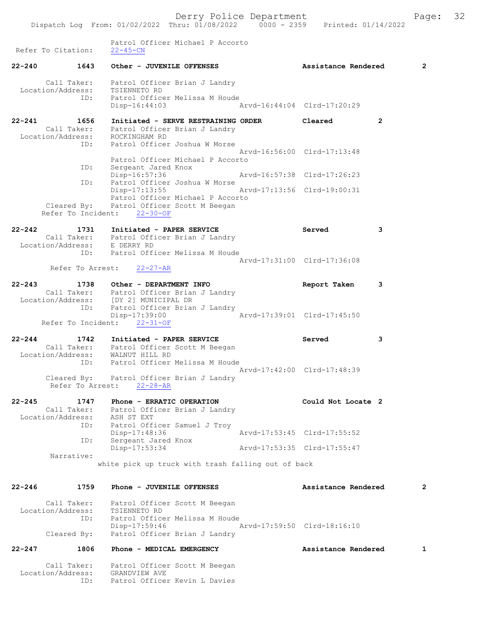Patrol Officer Michael P Accorto

Refer To Citation: 22-45-CN 22-240 1643 Other - JUVENILE OFFENSES Assistance Rendered 2 Call Taker: Patrol Officer Brian J Landry Location/Address: TSIENNETO RD ID: Patrol Officer Melissa M Houde Disp-16:44:03 Arvd-16:44:04 Clrd-17:20:29 22-241 1656 Initiated - SERVE RESTRAINING ORDER Cleared 2 Call Taker: Patrol Officer Brian J Landry Location/Address: ROCKINGHAM RD ID: Patrol Officer Joshua W Morse Arvd-16:56:00 Clrd-17:13:48<br>Patrol Officer Michael P Accorto Patrol Officer Michael P Accorto ID: Sergeant Jared Knox Disp-16:57:36 Arvd-16:57:38 Clrd-17:26:23 ID: Patrol Officer Joshua W Morse Disp-17:13:55 Arvd-17:13:56 Clrd-19:00:31 Patrol Officer Michael P Accorto Cleared By: Patrol Officer Scott M Beegan Refer To Incident: 22-30-OF 22-242 1731 Initiated - PAPER SERVICE Served 3 Call Taker: Patrol Officer Brian J Landry Location/Address: E DERRY RD ID: Patrol Officer Melissa M Houde Arvd-17:31:00 Clrd-17:36:08<br>22-27-AR Refer To Arrest: 22-243 1738 Other - DEPARTMENT INFO Report Taken 3 Call Taker: Patrol Officer Brian J Landry Location/Address: [DY 2] MUNICIPAL DR ID: Patrol Officer Brian J Landry IB: Patrol Officer Brian J Landry<br>Disp-17:39:00 Arvd-17:39:01 Clrd-17:45:50 Refer To Incident: 22-31-OF 22-244 1742 Initiated - PAPER SERVICE Served 3 Call Taker: Patrol Officer Scott M Beegan Location/Address: WALNUT HILL RD ID: Patrol Officer Melissa M Houde Arvd-17:42:00 Clrd-17:48:39 Cleared By: Patrol Officer Brian J Landry Refer To Arrest: 22-28-AR 22-245 1747 Phone - ERRATIC OPERATION Could Not Locate 2 Call Taker: Patrol Officer Brian J Landry Location/Address: ASH ST EXT ID: Patrol Officer Samuel J Troy Disp-17:48:36 Arvd-17:53:45 Clrd-17:55:52 ID: Sergeant Jared Knox Disp-17:53:34 Arvd-17:53:35 Clrd-17:55:47 Narrative: white pick up truck with trash falling out of back 22-246 1759 Phone - JUVENILE OFFENSES Assistance Rendered 2 Call Taker: Patrol Officer Scott M Beegan Location/Address: TSIENNETO RD ID: Patrol Officer Melissa M Houde Disp-17:59:46 Arvd-17:59:50 Clrd-18:16:10 Cleared By: Patrol Officer Brian J Landry 22-247 1806 Phone - MEDICAL EMERGENCY Assistance Rendered 1 Call Taker: Patrol Officer Scott M Beegan Location/Address: GRANDVIEW AVE

ID: Patrol Officer Kevin L Davies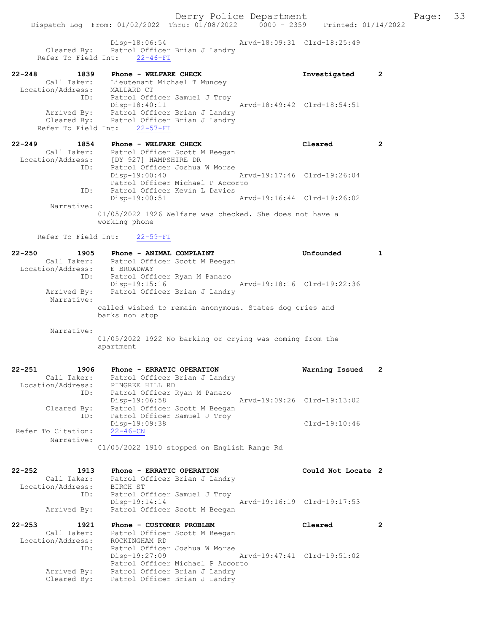Disp-18:06:54 Arvd-18:09:31 Clrd-18:25:49 Cleared By: Patrol Officer Brian J Landry

| $22 - 248$<br>1839 | Phone - WELFARE CHECK         |                             | Investigated |  |
|--------------------|-------------------------------|-----------------------------|--------------|--|
| Call Taker:        | Lieutenant Michael T Muncey   |                             |              |  |
| Location/Address:  | MALLARD CT                    |                             |              |  |
| ID:                | Patrol Officer Samuel J Troy  |                             |              |  |
|                    | $Disp-18:40:11$               | Arvd-18:49:42 Clrd-18:54:51 |              |  |
| Arrived By:        | Patrol Officer Brian J Landry |                             |              |  |
| Cleared By:        | Patrol Officer Brian J Landry |                             |              |  |
|                    | Refer To Field Int: 22-57-FI  |                             |              |  |

| $22 - 249$<br>1854 | Phone - WELFARE CHECK                                                     | Cleared                     |  |
|--------------------|---------------------------------------------------------------------------|-----------------------------|--|
| Call Taker:        | Patrol Officer Scott M Beegan                                             |                             |  |
| Location/Address:  | [DY 927] HAMPSHIRE DR                                                     |                             |  |
| ID:                | Patrol Officer Joshua W Morse                                             |                             |  |
|                    | $Disp-19:00:40$                                                           | Arvd-19:17:46 Clrd-19:26:04 |  |
|                    | Patrol Officer Michael P Accorto                                          |                             |  |
| ID:                | Patrol Officer Kevin L Davies                                             |                             |  |
|                    | $Disp-19:00:51$                                                           | Arvd-19:16:44 Clrd-19:26:02 |  |
| Narrative:         |                                                                           |                             |  |
|                    | 01/05/2022 1926 Welfare was checked. She does not have a<br>working phone |                             |  |

Refer To Field Int: 22-59-FI

Refer To Field Int: 22-46-FI

| $22 - 250$<br>1905                | Phone - ANIMAL COMPLAINT                                   | Unfounded                   | 1              |
|-----------------------------------|------------------------------------------------------------|-----------------------------|----------------|
| Call Taker:                       | Patrol Officer Scott M Beegan                              |                             |                |
| Location/Address:                 | E BROADWAY                                                 |                             |                |
| ID:                               | Patrol Officer Ryan M Panaro                               |                             |                |
|                                   | Disp-19:15:16                                              | Arvd-19:18:16 Clrd-19:22:36 |                |
| Arrived By:                       | Patrol Officer Brian J Landry                              |                             |                |
| Narrative:                        |                                                            |                             |                |
|                                   | called wished to remain anonymous. States dog cries and    |                             |                |
|                                   | barks non stop                                             |                             |                |
| Narrative:                        |                                                            |                             |                |
|                                   | 01/05/2022 1922 No barking or crying was coming from the   |                             |                |
|                                   | apartment                                                  |                             |                |
|                                   |                                                            |                             |                |
|                                   |                                                            |                             |                |
| $22 - 251$<br>1906<br>Call Taker: | Phone - ERRATIC OPERATION<br>Patrol Officer Brian J Landry | Warning Issued              | $\mathbf{2}$   |
| Location/Address:                 | PINGREE HILL RD                                            |                             |                |
| ID:                               | Patrol Officer Ryan M Panaro                               |                             |                |
|                                   | Disp-19:06:58                                              | Arvd-19:09:26 Clrd-19:13:02 |                |
| Cleared By:                       | Patrol Officer Scott M Beegan                              |                             |                |
| ID:                               | Patrol Officer Samuel J Troy                               |                             |                |
|                                   | Disp-19:09:38                                              | $Clrd-19:10:46$             |                |
| Refer To Citation:                | $22 - 46 - CN$                                             |                             |                |
| Narrative:                        |                                                            |                             |                |
|                                   | 01/05/2022 1910 stopped on English Range Rd                |                             |                |
|                                   |                                                            |                             |                |
| $22 - 252$<br>1913                | Phone - ERRATIC OPERATION                                  | Could Not Locate 2          |                |
| Call Taker:                       | Patrol Officer Brian J Landry                              |                             |                |
| Location/Address:                 | BIRCH ST                                                   |                             |                |
| ID:                               | Patrol Officer Samuel J Troy                               |                             |                |
|                                   | $Disp-19:14:14$                                            | Arvd-19:16:19 Clrd-19:17:53 |                |
| Arrived By:                       | Patrol Officer Scott M Beegan                              |                             |                |
|                                   |                                                            |                             | $\overline{2}$ |
| $22 - 253$<br>1921<br>Call Taker: | Phone - CUSTOMER PROBLEM                                   | Cleared                     |                |
| Location/Address:                 | Patrol Officer Scott M Beegan<br>ROCKINGHAM RD             |                             |                |
| ID:                               | Patrol Officer Joshua W Morse                              |                             |                |
|                                   | Disp-19:27:09                                              | Arvd-19:47:41 Clrd-19:51:02 |                |
|                                   | Patrol Officer Michael P Accorto                           |                             |                |
| Arrived By:                       | Patrol Officer Brian J Landry                              |                             |                |
| Cleared By:                       | Patrol Officer Brian J Landry                              |                             |                |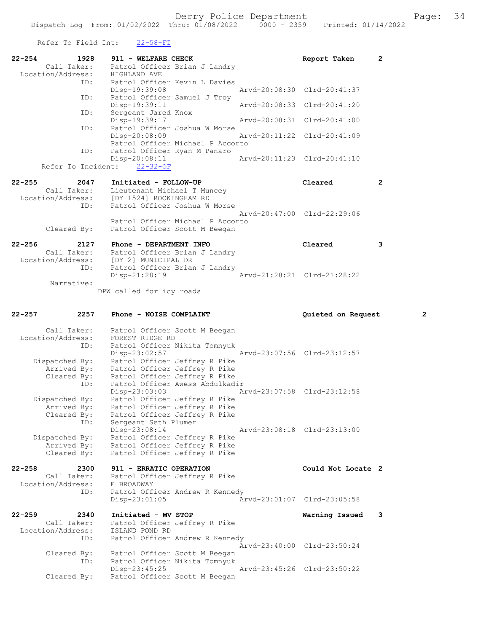Refer To Field Int:  $22-58-FI$ 

| $22 - 254$ | 1928<br>Call Taker:<br>Location/Address: | 911 - WELFARE CHECK<br>Patrol Officer Brian J Landry<br>HIGHLAND AVE                 | 2<br>Report Taken           |   |
|------------|------------------------------------------|--------------------------------------------------------------------------------------|-----------------------------|---|
|            | ID:                                      | Patrol Officer Kevin L Davies                                                        |                             |   |
|            |                                          | Disp-19:39:08                                                                        | Arvd-20:08:30 Clrd-20:41:37 |   |
|            | ID:                                      | Patrol Officer Samuel J Troy                                                         |                             |   |
|            | ID:                                      | Disp-19:39:11                                                                        | Arvd-20:08:33 Clrd-20:41:20 |   |
|            |                                          | Sergeant Jared Knox<br>Disp-19:39:17                                                 | Arvd-20:08:31 Clrd-20:41:00 |   |
|            | ID:                                      | Patrol Officer Joshua W Morse                                                        |                             |   |
|            |                                          | Disp-20:08:09                                                                        | Arvd-20:11:22 Clrd-20:41:09 |   |
|            | ID:                                      | Patrol Officer Michael P Accorto<br>Patrol Officer Ryan M Panaro                     |                             |   |
|            |                                          | $Disp-20:08:11$                                                                      | Arvd-20:11:23 Clrd-20:41:10 |   |
|            | Refer To Incident:                       | $22 - 32 - OF$                                                                       |                             |   |
|            |                                          |                                                                                      |                             |   |
| $22 - 255$ | 2047                                     | Initiated - FOLLOW-UP                                                                | Cleared<br>2                |   |
|            |                                          | Call Taker: Lieutenant Michael T Muncey<br>Location/Address: [DY 1524] ROCKINGHAM RD |                             |   |
|            | ID:                                      | Patrol Officer Joshua W Morse                                                        |                             |   |
|            |                                          |                                                                                      | Arvd-20:47:00 Clrd-22:29:06 |   |
|            |                                          | Patrol Officer Michael P Accorto                                                     |                             |   |
|            | Cleared By:                              | Patrol Officer Scott M Beegan                                                        |                             |   |
| $22 - 256$ | 2127                                     | Phone - DEPARTMENT INFO                                                              | Cleared<br>3                |   |
|            |                                          | Call Taker: Patrol Officer Brian J Landry<br>Location/Address: [DY 2] MUNICIPAL DR   |                             |   |
|            |                                          |                                                                                      |                             |   |
|            | ID:                                      | Patrol Officer Brian J Landry<br>Disp-21:28:19                                       | Arvd-21:28:21 Clrd-21:28:22 |   |
|            | Narrative:                               |                                                                                      |                             |   |
|            |                                          | DPW called for icy roads                                                             |                             |   |
|            |                                          |                                                                                      |                             |   |
|            |                                          |                                                                                      |                             |   |
|            |                                          |                                                                                      |                             |   |
| 22-257     | 2257                                     | Phone - NOISE COMPLAINT                                                              | Quieted on Request          | 2 |
|            | Call Taker:                              | Patrol Officer Scott M Beegan                                                        |                             |   |
|            | Location/Address:                        | FOREST RIDGE RD                                                                      |                             |   |
|            | ID:                                      | Patrol Officer Nikita Tomnyuk                                                        |                             |   |
|            |                                          | $Disp-23:02:57$                                                                      | Arvd-23:07:56 Clrd-23:12:57 |   |
|            | Dispatched By:<br>Arrived By:            | Patrol Officer Jeffrey R Pike<br>Patrol Officer Jeffrey R Pike                       |                             |   |
|            | Cleared By:                              | Patrol Officer Jeffrey R Pike                                                        |                             |   |
|            | ID:                                      | Patrol Officer Awess Abdulkadir                                                      |                             |   |
|            |                                          | Disp-23:03:03                                                                        | Arvd-23:07:58 Clrd-23:12:58 |   |
|            | Dispatched By:                           | Patrol Officer Jeffrey R Pike                                                        |                             |   |
|            | Arrived By:<br>Cleared By:               | Patrol Officer Jeffrey R Pike<br>Patrol Officer Jeffrey R Pike                       |                             |   |
|            | ID:                                      | Sergeant Seth Plumer                                                                 |                             |   |
|            |                                          | Disp-23:08:14                                                                        | Arvd-23:08:18 Clrd-23:13:00 |   |
|            | Dispatched By:<br>Arrived By:            | Patrol Officer Jeffrey R Pike                                                        |                             |   |
|            | Cleared By:                              | Patrol Officer Jeffrey R Pike<br>Patrol Officer Jeffrey R Pike                       |                             |   |
|            |                                          |                                                                                      |                             |   |
| $22 - 258$ | 2300                                     | 911 - ERRATIC OPERATION                                                              | Could Not Locate 2          |   |
|            | Call Taker:<br>Location/Address:         | Patrol Officer Jeffrey R Pike<br>E BROADWAY                                          |                             |   |
|            | ID:                                      | Patrol Officer Andrew R Kennedy                                                      |                             |   |
|            |                                          | $Disp-23:01:05$                                                                      | Arvd-23:01:07 Clrd-23:05:58 |   |
|            |                                          |                                                                                      |                             |   |
| $22 - 259$ | 2340<br>Call Taker:                      | Initiated - MV STOP                                                                  | Warning Issued<br>3         |   |
|            | Location/Address:                        | Patrol Officer Jeffrey R Pike<br>ISLAND POND RD                                      |                             |   |
|            | ID:                                      | Patrol Officer Andrew R Kennedy                                                      |                             |   |
|            |                                          |                                                                                      | Arvd-23:40:00 Clrd-23:50:24 |   |
|            | Cleared By:                              | Patrol Officer Scott M Beegan                                                        |                             |   |
|            | ID:                                      | Patrol Officer Nikita Tomnyuk<br>$Disp-23:45:25$                                     | Arvd-23:45:26 Clrd-23:50:22 |   |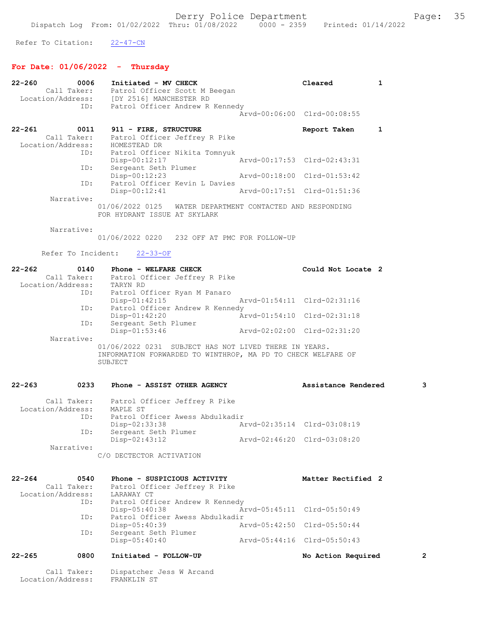Refer To Citation: 22-47-CN

# For Date: 01/06/2022 - Thursday

Call Taker: Dispatcher Jess W Arcand

Location/Address: FRANKLIN ST

| 22-260            | 0006                | Initiated - MV CHECK<br>Call Taker: Patrol Officer Scott M Beegan       | Cleared                     | 1 |
|-------------------|---------------------|-------------------------------------------------------------------------|-----------------------------|---|
|                   |                     | Location/Address: [DY 2516] MANCHESTER RD                               |                             |   |
|                   | ID:                 | Patrol Officer Andrew R Kennedy                                         |                             |   |
|                   |                     |                                                                         | Arvd-00:06:00 Clrd-00:08:55 |   |
| 22-261            | 0011                | 911 - FIRE, STRUCTURE                                                   | Report Taken                | 1 |
|                   | Call Taker:         | Patrol Officer Jeffrey R Pike                                           |                             |   |
|                   |                     | Location/Address: HOMESTEAD DR<br>ID: Patrol Office                     |                             |   |
|                   |                     | Patrol Officer Nikita Tomnyuk<br>Disp-00:12:17                          | Arvd-00:17:53 Clrd-02:43:31 |   |
|                   | ID:                 | Sergeant Seth Plumer                                                    |                             |   |
|                   |                     | $Disp-00:12:23$                                                         | Arvd-00:18:00 Clrd-01:53:42 |   |
|                   | ID:                 | Patrol Officer Kevin L Davies<br>$Disp-00:12:41$                        |                             |   |
|                   | Narrative:          |                                                                         |                             |   |
|                   |                     | 01/06/2022 0125 WATER DEPARTMENT CONTACTED AND RESPONDING               |                             |   |
|                   |                     | FOR HYDRANT ISSUE AT SKYLARK                                            |                             |   |
|                   | Narrative:          |                                                                         |                             |   |
|                   |                     | 01/06/2022 0220 232 OFF AT PMC FOR FOLLOW-UP                            |                             |   |
|                   |                     |                                                                         |                             |   |
|                   |                     | Refer To Incident:<br>$22 - 33 - OF$                                    |                             |   |
| 22-262            | 0140                | Phone - WELFARE CHECK                                                   | Could Not Locate 2          |   |
|                   |                     | Call Taker: Patrol Officer Jeffrey R Pike                               |                             |   |
|                   | ID:                 | Location/Address: TARYN RD<br>Patrol Officer Ryan M Panaro              |                             |   |
|                   |                     | $Disp-01:42:15$                                                         | Arvd-01:54:11 Clrd-02:31:16 |   |
|                   | ID:                 | Patrol Officer Andrew R Kennedy                                         |                             |   |
|                   | ID:                 | Disp-01:42:20                                                           | Arvd-01:54:10 Clrd-02:31:18 |   |
|                   |                     | Sergeant Seth Plumer<br>Disp-01:53:46                                   | Arvd-02:02:00 Clrd-02:31:20 |   |
|                   | Narrative:          |                                                                         |                             |   |
|                   |                     | 01/06/2022 0231 SUBJECT HAS NOT LIVED THERE IN YEARS.                   |                             |   |
|                   |                     | INFORMATION FORWARDED TO WINTHROP, MA PD TO CHECK WELFARE OF<br>SUBJECT |                             |   |
|                   |                     |                                                                         |                             |   |
| 22-263            | 0233                |                                                                         |                             | 3 |
|                   |                     | Phone - ASSIST OTHER AGENCY                                             | Assistance Rendered         |   |
|                   |                     | Call Taker: Patrol Officer Jeffrey R Pike                               |                             |   |
|                   |                     | Location/Address: MAPLE ST                                              |                             |   |
|                   | ID:                 | Patrol Officer Awess Abdulkadir<br>Disp-02:33:38                        | Arvd-02:35:14 Clrd-03:08:19 |   |
|                   | ID:                 | Sergeant Seth Plumer                                                    |                             |   |
|                   |                     | Disp-02:43:12                                                           | Arvd-02:46:20 Clrd-03:08:20 |   |
|                   | Narrative:          | C/O DECTECTOR ACTIVATION                                                |                             |   |
|                   |                     |                                                                         |                             |   |
|                   |                     |                                                                         |                             |   |
| 22-264            | 0540<br>Call Taker: | Phone - SUSPICIOUS ACTIVITY<br>Patrol Officer Jeffrey R Pike            | Matter Rectified 2          |   |
| Location/Address: |                     | LARAWAY CT                                                              |                             |   |
|                   | ID:                 | Patrol Officer Andrew R Kennedy                                         |                             |   |
|                   | ID:                 | Disp-05:40:38<br>Patrol Officer Awess Abdulkadir                        | Arvd-05:45:11 Clrd-05:50:49 |   |
|                   |                     | Disp-05:40:39                                                           | Arvd-05:42:50 Clrd-05:50:44 |   |
|                   | ID:                 | Sergeant Seth Plumer                                                    |                             |   |
|                   |                     | Disp-05:40:40                                                           | Arvd-05:44:16 Clrd-05:50:43 |   |
| 22-265            | 0800                | Initiated - FOLLOW-UP                                                   | No Action Required          | 2 |
|                   |                     |                                                                         |                             |   |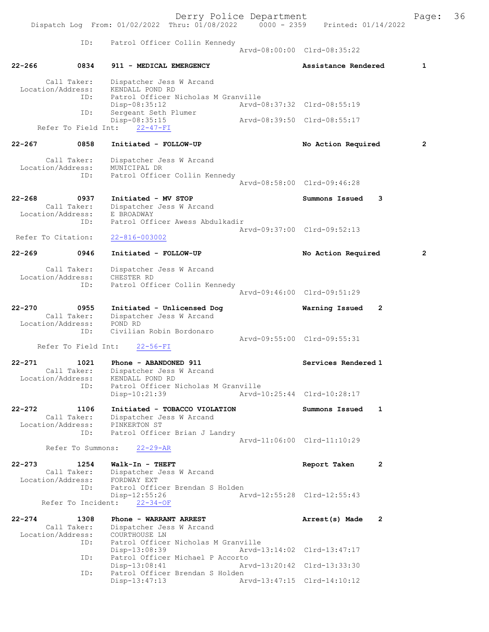Derry Police Department The Page: 36 Dispatch Log From: 01/02/2022 Thru: 01/08/2022 0000 - 2359 Printed: 01/14/2022 ID: Patrol Officer Collin Kennedy Arvd-08:00:00 Clrd-08:35:22 22-266 0834 911 - MEDICAL EMERGENCY 1 Assistance Rendered 1 Call Taker: Dispatcher Jess W Arcand Location/Address: KENDALL POND RD<br>TD: Patrol Officer N Patrol Officer Nicholas M Granville<br>Disp-08:35:12 Arvd-0 Disp-08:35:12 Arvd-08:37:32 Clrd-08:55:19 ID: Sergeant Seth Plumer Disp-08:35:15 Arvd-08:39:50 Clrd-08:55:17 Refer To Field Int: 22-47-FI 22-267 0858 Initiated - FOLLOW-UP No Action Required 2 Call Taker: Dispatcher Jess W Arcand Location/Address: MUNICIPAL DR Patrol Officer Collin Kennedy Arvd-08:58:00 Clrd-09:46:28 22-268 0937 Initiated - MV STOP Call Taker: Dispatcher Jess W Arcand Call Taker: Dispatcher Jess W Arcand Location/Address: E BROADWAY ID: Patrol Officer Awess Abdulkadir Arvd-09:37:00 Clrd-09:52:13<br>22-816-003002 Refer To Citation: 22-269 0946 Initiated - FOLLOW-UP No Action Required 2 Call Taker: Dispatcher Jess W Arcand<br>ion/Address: CHESTER RD Location/Address:<br>ID: Patrol Officer Collin Kennedy Arvd-09:46:00 Clrd-09:51:29 22-270 0955 Initiated - Unlicensed Dog Warning Issued 2 Dispatcher Jess W Arcand<br>POND BD Call Taker:<br>Location/Address:<br>D. Civilian Robin Bordonaro Arvd-09:55:00 Clrd-09:55:31<br>22-56-FI Refer To Field Int: 22-271 1021 Phone - ABANDONED 911 Services Rendered 1 Call Taker: Dispatcher Jess W Arcand Call Taker: Dispatcher Jess W Arcand Location/Address: KENDALL POND RD ID: Patrol Officer Nicholas M Granville<br>Disp-10:21:39 Arvd-1 Disp-10:21:39 Arvd-10:25:44 Clrd-10:28:17 22-272 1106 Initiated - TOBACCO VIOLATION Summons Issued 1<br>Call Taker: Dispatcher Jess W Arcand Call Taker: Dispatcher Jess W Arcand Location/Address: PINKERTON ST ID: Patrol Officer Brian J Landry Arvd-11:06:00 Clrd-11:10:29<br>22-29-AR Refer To Summons: 22-273 1254 Walk-In - THEFT Report Taken 2<br>Call Taker: Dispatcher Jess W Arcand Dispatcher Jess W Arcand Location/Address: FORDWAY EXT ID: Patrol Officer Brendan S Holden Disp-12:55:26 Arvd-12:55:28 Clrd-12:55:43 Refer To Incident: 22-34-OF 22-274 1308 Phone - WARRANT ARREST Arrest(s) Made 2 Call Taker: Dispatcher Jess W Arcand<br>ion/Address: COURTHOUSE LN Location/Address:<br>TD: ID: Patrol Officer Nicholas M Granville Arvd-13:14:02 Clrd-13:47:17 ID: Patrol Officer Michael P Accorto<br>Disp-13:08:41 Art Disp-13:08:41 Arvd-13:20:42 Clrd-13:33:30 ID: Patrol Officer Brendan S Holden Disp-13:47:13 Arvd-13:47:15 Clrd-14:10:12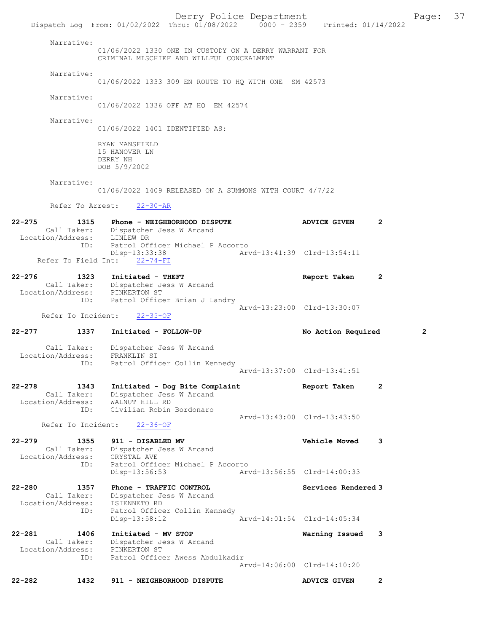Derry Police Department Fage: 37 Dispatch Log From: 01/02/2022 Thru: 01/08/2022 0000 - 2359 Printed: 01/14/2022 Narrative: 01/06/2022 1330 ONE IN CUSTODY ON A DERRY WARRANT FOR CRIMINAL MISCHIEF AND WILLFUL CONCEALMENT Narrative: 01/06/2022 1333 309 EN ROUTE TO HQ WITH ONE SM 42573 Narrative: 01/06/2022 1336 OFF AT HQ EM 42574 Narrative: 01/06/2022 1401 IDENTIFIED AS: RYAN MANSFIELD 15 HANOVER LN DERRY NH DOB 5/9/2002 Narrative: 01/06/2022 1409 RELEASED ON A SUMMONS WITH COURT 4/7/22 Refer To Arrest: 22-30-AR 22-275 1315 Phone - NEIGHBORHOOD DISPUTE ADVICE GIVEN 2 Call Taker: Dispatcher Jess W Arcand Location/Address: LINLEW DR ID: Patrol Officer Michael P Accorto Disp-13:33:38 Arvd-13:41:39 Clrd-13:54:11 Refer To Field Int: 22-74-FI 22-276 1323 Initiated - THEFT Report Taken 2 Call Taker: Dispatcher Jess W Arcand Location/Address: PINKERTON ST ID: Patrol Officer Brian J Landry Arvd-13:23:00 Clrd-13:30:07 Refer To Incident: 22-35-OF 22-277 1337 Initiated - FOLLOW-UP No Action Required 2 Call Taker: Dispatcher Jess W Arcand Location/Address: FRANKLIN ST ID: Patrol Officer Collin Kennedy Arvd-13:37:00 Clrd-13:41:51 22-278 1343 Initiated - Dog Bite Complaint Report Taken 2 Call Taker: Dispatcher Jess W Arcand Location/Address: WALNUT HILL RD ID: Civilian Robin Bordonaro Arvd-13:43:00 Clrd-13:43:50 Refer To Incident: 22-36-OF 22-279 1355 911 - DISABLED MV Vehicle Moved 3 Call Taker: Dispatcher Jess W Arcand Location/Address: CRYSTAL AVE ID: Patrol Officer Michael P Accorto Disp-13:56:53 Arvd-13:56:55 Clrd-14:00:33 22-280 1357 Phone - TRAFFIC CONTROL 120 Services Rendered 3 Call Taker: Dispatcher Jess W Arcand Location/Address: TSIENNETO RD ID: Patrol Officer Collin Kennedy Disp-13:58:12 Arvd-14:01:54 Clrd-14:05:34 22-281 1406 Initiated - MV STOP Warning Issued 3 Call Taker: Dispatcher Jess W Arcand Location/Address: PINKERTON ST ID: Patrol Officer Awess Abdulkadir Arvd-14:06:00 Clrd-14:10:20 22-282 1432 911 - NEIGHBORHOOD DISPUTE ADVICE GIVEN 2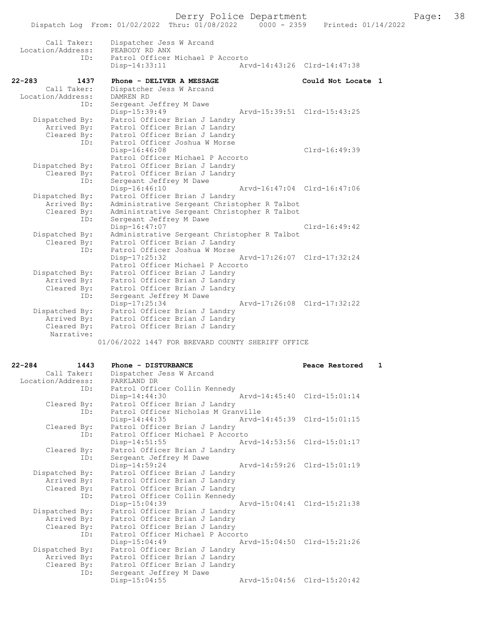|        |                                  | Dispatch Log From: 01/02/2022 Thru: 01/08/2022 |                                                                | $0000 - 2359$ |                             | Printed: 01/14/2022 |
|--------|----------------------------------|------------------------------------------------|----------------------------------------------------------------|---------------|-----------------------------|---------------------|
|        | Call Taker:<br>Location/Address: | PEABODY RD ANX                                 | Dispatcher Jess W Arcand                                       |               |                             |                     |
|        |                                  | ID:<br>$Disp-14:33:11$                         | Patrol Officer Michael P Accorto                               |               | Arvd-14:43:26 Clrd-14:47:38 |                     |
| 22-283 | 1437                             |                                                | Phone - DELIVER A MESSAGE                                      |               | Could Not Locate 1          |                     |
|        | Call Taker:                      |                                                | Dispatcher Jess W Arcand                                       |               |                             |                     |
|        | Location/Address:                | DAMREN RD                                      |                                                                |               |                             |                     |
|        | ID:                              |                                                | Sergeant Jeffrey M Dawe                                        |               |                             |                     |
|        |                                  | Disp-15:39:49                                  |                                                                |               | Arvd-15:39:51 Clrd-15:43:25 |                     |
|        | Dispatched By:                   |                                                | Patrol Officer Brian J Landry                                  |               |                             |                     |
|        | Arrived By:                      |                                                | Patrol Officer Brian J Landry                                  |               |                             |                     |
|        | Cleared By:                      |                                                | Patrol Officer Brian J Landry                                  |               |                             |                     |
|        | ID:                              |                                                | Patrol Officer Joshua W Morse                                  |               |                             |                     |
|        |                                  | Disp-16:46:08                                  |                                                                |               | Clrd-16:49:39               |                     |
|        |                                  |                                                | Patrol Officer Michael P Accorto                               |               |                             |                     |
|        | Dispatched By:                   |                                                | Patrol Officer Brian J Landry                                  |               |                             |                     |
|        | Cleared By:                      |                                                | Patrol Officer Brian J Landry                                  |               |                             |                     |
|        | ID:                              |                                                | Sergeant Jeffrey M Dawe                                        |               |                             |                     |
|        |                                  | Disp-16:46:10                                  |                                                                |               | Arvd-16:47:04 Clrd-16:47:06 |                     |
|        | Dispatched By:                   |                                                | Patrol Officer Brian J Landry                                  |               |                             |                     |
|        | Arrived By:                      |                                                | Administrative Sergeant Christopher R Talbot                   |               |                             |                     |
|        | Cleared By:                      |                                                | Administrative Sergeant Christopher R Talbot                   |               |                             |                     |
|        | ID:                              |                                                | Sergeant Jeffrey M Dawe                                        |               |                             |                     |
|        |                                  | Disp-16:47:07                                  |                                                                |               | $Clrd-16:49:42$             |                     |
|        | Dispatched By:                   |                                                | Administrative Sergeant Christopher R Talbot                   |               |                             |                     |
|        | Cleared By:                      |                                                | Patrol Officer Brian J Landry                                  |               |                             |                     |
|        | ID:                              |                                                | Patrol Officer Joshua W Morse                                  |               |                             |                     |
|        |                                  | Disp-17:25:32                                  |                                                                |               | Arvd-17:26:07 Clrd-17:32:24 |                     |
|        |                                  |                                                | Patrol Officer Michael P Accorto                               |               |                             |                     |
|        | Dispatched By:                   |                                                | Patrol Officer Brian J Landry                                  |               |                             |                     |
|        | Arrived By:                      |                                                | Patrol Officer Brian J Landry                                  |               |                             |                     |
|        | Cleared By:                      |                                                | Patrol Officer Brian J Landry                                  |               |                             |                     |
|        | ID:                              |                                                | Sergeant Jeffrey M Dawe                                        |               | Arvd-17:26:08 Clrd-17:32:22 |                     |
|        |                                  | Disp-17:25:34                                  |                                                                |               |                             |                     |
|        | Dispatched By:                   |                                                | Patrol Officer Brian J Landry                                  |               |                             |                     |
|        | Arrived By:<br>Cleared By:       |                                                | Patrol Officer Brian J Landry<br>Patrol Officer Brian J Landry |               |                             |                     |
|        | Narrative:                       |                                                |                                                                |               |                             |                     |
|        |                                  |                                                |                                                                |               |                             |                     |
|        |                                  |                                                | 01/06/2022 1447 FOR BREVARD COUNTY SHERIFF OFFICE              |               |                             |                     |

| $22 - 284$        | 1443 | Phone - DISTURBANCE                 | Peace Restored              | $\mathbf{1}$ |
|-------------------|------|-------------------------------------|-----------------------------|--------------|
| Call Taker:       |      | Dispatcher Jess W Arcand            |                             |              |
| Location/Address: |      | PARKLAND DR                         |                             |              |
|                   | ID:  | Patrol Officer Collin Kennedy       |                             |              |
|                   |      | Disp-14:44:30                       | Arvd-14:45:40 Clrd-15:01:14 |              |
| Cleared By:       |      | Patrol Officer Brian J Landry       |                             |              |
|                   | ID:  | Patrol Officer Nicholas M Granville |                             |              |
|                   |      | $Disp-14:44:35$                     | Arvd-14:45:39 Clrd-15:01:15 |              |
| Cleared By:       |      | Patrol Officer Brian J Landry       |                             |              |
|                   | ID:  | Patrol Officer Michael P Accorto    |                             |              |
|                   |      | $Disp-14:51:55$                     | Arvd-14:53:56 Clrd-15:01:17 |              |
| Cleared By:       |      | Patrol Officer Brian J Landry       |                             |              |
|                   | ID:  | Sergeant Jeffrey M Dawe             |                             |              |
|                   |      | Disp-14:59:24                       | Aryd-14:59:26 Clrd-15:01:19 |              |
| Dispatched By:    |      | Patrol Officer Brian J Landry       |                             |              |
| Arrived By:       |      | Patrol Officer Brian J Landry       |                             |              |
| Cleared By:       |      | Patrol Officer Brian J Landry       |                             |              |
|                   | ID:  | Patrol Officer Collin Kennedy       |                             |              |
|                   |      | Disp-15:04:39                       | Arvd-15:04:41 Clrd-15:21:38 |              |
| Dispatched By:    |      | Patrol Officer Brian J Landry       |                             |              |
| Arrived By:       |      | Patrol Officer Brian J Landry       |                             |              |
| Cleared By:       |      | Patrol Officer Brian J Landry       |                             |              |
|                   | ID:  | Patrol Officer Michael P Accorto    |                             |              |
|                   |      | $Disp-15:04:49$                     | Arvd-15:04:50 Clrd-15:21:26 |              |
| Dispatched By:    |      | Patrol Officer Brian J Landry       |                             |              |
| Arrived By:       |      | Patrol Officer Brian J Landry       |                             |              |
| Cleared By:       |      | Patrol Officer Brian J Landry       |                             |              |
|                   | ID:  | Sergeant Jeffrey M Dawe             |                             |              |
|                   |      | $Disp-15:04:55$                     | Arvd-15:04:56 Clrd-15:20:42 |              |
|                   |      |                                     |                             |              |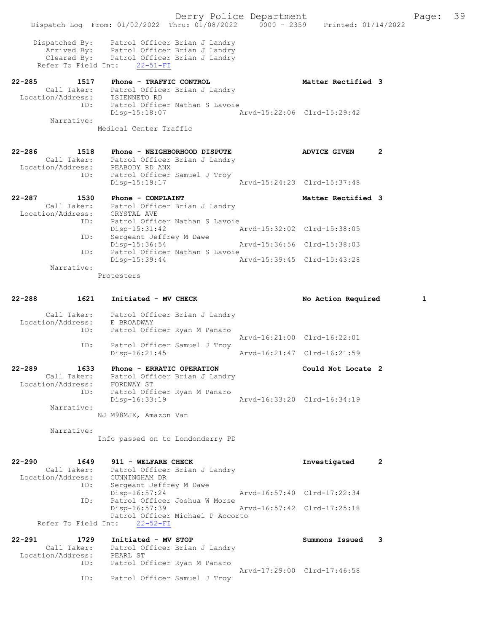Derry Police Department Fage: 39 Dispatch Log From: 01/02/2022 Thru: 01/08/2022 0000 - 2359 Printed: 01/14/2022 Dispatched By: Patrol Officer Brian J Landry Arrived By: Patrol Officer Brian J Landry Cleared By: Patrol Officer Brian J Landry Refer To Field Int: 22-51-FI 22-285 1517 Phone - TRAFFIC CONTROL 1988 1988 Matter Rectified 3 Call Taker: Patrol Officer Brian J Landry Location/Address: TSIENNETO RD ID: Patrol Officer Nathan S Lavoie Disp-15:18:07 Arvd-15:22:06 Clrd-15:29:42 Narrative: Medical Center Traffic 22-286 1518 Phone - NEIGHBORHOOD DISPUTE ADVICE GIVEN 2 Call Taker: Patrol Officer Brian J Landry Location/Address: PEABODY RD ANX ID: Patrol Officer Samuel J Troy Disp-15:19:17 Arvd-15:24:23 Clrd-15:37:48 22-287 1530 Phone - COMPLAINT 1990 1990 Matter Rectified 3 Call Taker: Patrol Officer Brian J Landry Location/Address: CRYSTAL AVE ID: Patrol Officer Nathan S Lavoie Disp-15:31:42 Arvd-15:32:02 Clrd-15:38:05 ID: Sergeant Jeffrey M Dawe Disp-15:36:54 Arvd-15:36:56 Clrd-15:38:03 ID: Patrol Officer Nathan S Lavoie Disp-15:39:44 Arvd-15:39:45 Clrd-15:43:28 Narrative: Protesters 22-288 1621 Initiated - MV CHECK 1 No Action Required 1 Call Taker: Patrol Officer Brian J Landry Location/Address: E BROADWAY ID: Patrol Officer Ryan M Panaro Arvd-16:21:00 Clrd-16:22:01 ID: Patrol Officer Samuel<br>Disp-16:21:45 Disp-16:21:45 Arvd-16:21:47 Clrd-16:21:59 22-289 1633 Phone - ERRATIC OPERATION Could Not Locate 2 Call Taker: Patrol Officer Brian J Landry Location/Address: FORDWAY ST ID: Patrol Officer Ryan M Panaro Disp-16:33:19 Arvd-16:33:20 Clrd-16:34:19 Narrative: NJ M98MJX, Amazon Van Narrative: Info passed on to Londonderry PD 22-290 1649 911 - WELFARE CHECK Investigated 2 Call Taker: Patrol Officer Brian J Landry Location/Address: CUNNINGHAM DR ID: Sergeant Jeffrey M Dawe Disp-16:57:24 Arvd-16:57:40 Clrd-17:22:34 ID: Patrol Officer Joshua W Morse Disp-16:57:39 Arvd-16:57:42 Clrd-17:25:18 Patrol Officer Michael P Accorto Refer To Field Int: 22-52-FI 22-291 1729 Initiated - MV STOP Summons Issued 3 Call Taker: Patrol Officer Brian J Landry Location/Address: PEARL ST ID: Patrol Officer Ryan M Panaro Arvd-17:29:00 Clrd-17:46:58 ID: Patrol Officer Samuel J Troy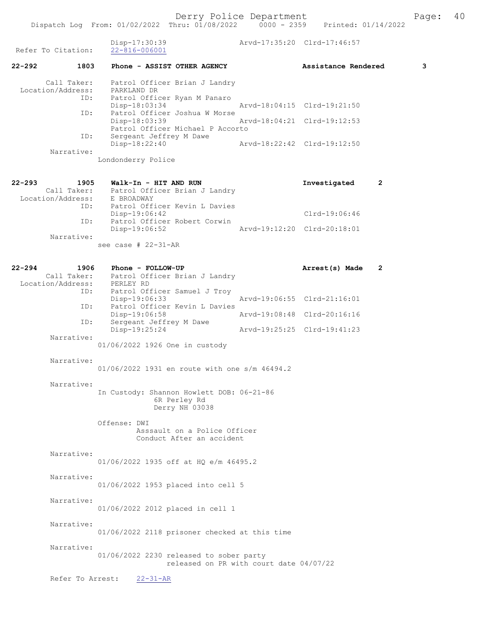| Refer To Citation:                                                | Disp-17:30:39<br>$22 - 816 - 006001$                                                           | Arvd-17:35:20 Clrd-17:46:57 |                             |   |   |
|-------------------------------------------------------------------|------------------------------------------------------------------------------------------------|-----------------------------|-----------------------------|---|---|
| 22-292<br>1803                                                    | Phone - ASSIST OTHER AGENCY                                                                    |                             | Assistance Rendered         |   | 3 |
| Call Taker:<br>Location/Address:<br>ID:                           | Patrol Officer Brian J Landry<br>PARKLAND DR<br>Patrol Officer Ryan M Panaro<br>Disp-18:03:34  |                             | Arvd-18:04:15 Clrd-19:21:50 |   |   |
| ID:                                                               | Patrol Officer Joshua W Morse                                                                  |                             |                             |   |   |
| ID:                                                               | Disp-18:03:39<br>Patrol Officer Michael P Accorto<br>Sergeant Jeffrey M Dawe                   |                             | Arvd-18:04:21 Clrd-19:12:53 |   |   |
| Narrative:                                                        | Disp-18:22:40                                                                                  | Arvd-18:22:42 Clrd-19:12:50 |                             |   |   |
|                                                                   | Londonderry Police                                                                             |                             |                             |   |   |
| 22-293<br>1905<br>Location/Address: E BROADWAY<br>TD: Patrol Off: | Walk-In - HIT AND RUN<br>Call Taker: Patrol Officer Brian J Landry                             |                             | Investigated                | 2 |   |
| ID:                                                               | Patrol Officer Kevin L Davies<br>Disp-19:06:42                                                 |                             | $Clrd-19:06:46$             |   |   |
| ID:                                                               | Patrol Officer Robert Corwin<br>Disp-19:06:52                                                  |                             | Arvd-19:12:20 Clrd-20:18:01 |   |   |
| Narrative:                                                        | see case $#$ 22-31-AR                                                                          |                             |                             |   |   |
|                                                                   |                                                                                                |                             |                             |   |   |
| 22-294<br>1906<br>Location/Address: PERLEY RD<br>ID:              | Phone - FOLLOW-UP<br>Call Taker: Patrol Officer Brian J Landry<br>Patrol Officer Samuel J Troy |                             | Arrest(s) Made              | 2 |   |
| ID:                                                               | Disp-19:06:33<br>Patrol Officer Kevin L Davies                                                 |                             | Arvd-19:06:55 Clrd-21:16:01 |   |   |
|                                                                   | Disp-19:06:58                                                                                  |                             | Arvd-19:08:48 Clrd-20:16:16 |   |   |
| ID:                                                               | Sergeant Jeffrey M Dawe<br>Disp-19:25:24                                                       | Arvd-19:25:25 Clrd-19:41:23 |                             |   |   |
| Narrative:                                                        | 01/06/2022 1926 One in custody                                                                 |                             |                             |   |   |
| Narrative:                                                        | 01/06/2022 1931 en route with one s/m 46494.2                                                  |                             |                             |   |   |
| Narrative:                                                        | In Custody: Shannon Howlett DOB: 06-21-86<br>6R Perley Rd<br>Derry NH 03038                    |                             |                             |   |   |
|                                                                   | Offense: DWI<br>Asssault on a Police Officer<br>Conduct After an accident                      |                             |                             |   |   |
| Narrative:                                                        | 01/06/2022 1935 off at HO e/m 46495.2                                                          |                             |                             |   |   |
| Narrative:                                                        | 01/06/2022 1953 placed into cell 5                                                             |                             |                             |   |   |
| Narrative:                                                        | 01/06/2022 2012 placed in cell 1                                                               |                             |                             |   |   |
| Narrative:                                                        | 01/06/2022 2118 prisoner checked at this time                                                  |                             |                             |   |   |
| Narrative:                                                        | 01/06/2022 2230 released to sober party<br>released on PR with court date 04/07/22             |                             |                             |   |   |
| Refer To Arrest:                                                  | $22 - 31 - AR$                                                                                 |                             |                             |   |   |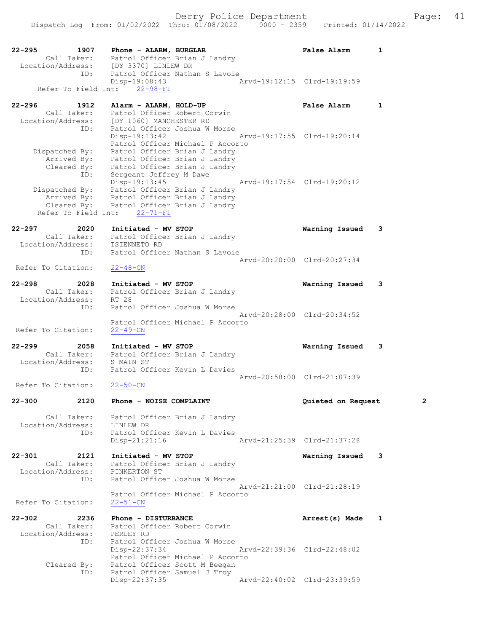|            |                                  |                                                                             | Dispatch Log From: 01/02/2022 Thru: 01/08/2022<br>$0000 - 2359$ | Printed: 01/14/2022         |              |
|------------|----------------------------------|-----------------------------------------------------------------------------|-----------------------------------------------------------------|-----------------------------|--------------|
| $22 - 295$ |                                  | 1907 Phone - ALARM, BURGLAR                                                 |                                                                 | <b>False Alarm</b>          | $\mathbf{1}$ |
|            |                                  | Call Taker: Patrol Officer Brian J Landry                                   |                                                                 |                             |              |
|            |                                  | Location/Address: [DY 3370] LINLEW DR<br>ID: Patrol Officer Nathan S Lavoie |                                                                 |                             |              |
|            |                                  |                                                                             |                                                                 |                             |              |
|            | Refer To Field Int:              | Disp-19:08:43<br>$22 - 98 - FI$                                             |                                                                 | Arvd-19:12:15 Clrd-19:19:59 |              |
|            |                                  |                                                                             |                                                                 |                             |              |
| $22 - 296$ | 1912                             | Alarm - ALARM, HOLD-UP                                                      |                                                                 | <b>False Alarm</b>          | $\mathbf{1}$ |
|            | Call Taker:                      | Patrol Officer Robert Corwin                                                |                                                                 |                             |              |
|            |                                  | Location/Address: [DY 1060] MANCHESTER RD                                   |                                                                 |                             |              |
|            | ID:                              |                                                                             | Patrol Officer Joshua W Morse                                   |                             |              |
|            |                                  | Disp-19:13:42                                                               |                                                                 | Arvd-19:17:55 Clrd-19:20:14 |              |
|            |                                  |                                                                             | Patrol Officer Michael P Accorto                                |                             |              |
|            | Dispatched By:                   |                                                                             | Patrol Officer Brian J Landry                                   |                             |              |
|            |                                  | Arrived By: Patrol Officer Brian J Landry                                   |                                                                 |                             |              |
|            | ID:                              | Cleared By: Patrol Officer Brian J Landry<br>Sergeant Jeffrey M Dawe        |                                                                 |                             |              |
|            |                                  | Disp-19:13:45                                                               |                                                                 | Arvd-19:17:54 Clrd-19:20:12 |              |
|            |                                  | Dispatched By: Patrol Officer Brian J Landry                                |                                                                 |                             |              |
|            |                                  | Arrived By: Patrol Officer Brian J Landry                                   |                                                                 |                             |              |
|            |                                  | Cleared By: Patrol Officer Brian J Landry                                   |                                                                 |                             |              |
|            | Refer To Field Int:              | $22 - 71 - FI$                                                              |                                                                 |                             |              |
|            |                                  |                                                                             |                                                                 |                             |              |
| 22-297     | 2020                             | Initiated - MV STOP                                                         |                                                                 | Warning Issued              | 3            |
|            |                                  | Call Taker: Patrol Officer Brian J Landry                                   |                                                                 |                             |              |
|            | Location/Address:                | TSIENNETO RD                                                                | Patrol Officer Nathan S Lavoie                                  |                             |              |
|            | ID:                              |                                                                             |                                                                 | Arvd-20:20:00 Clrd-20:27:34 |              |
|            | Refer To Citation:               | $22 - 48 - CN$                                                              |                                                                 |                             |              |
|            |                                  |                                                                             |                                                                 |                             |              |
| $22 - 298$ | 2028                             | Initiated - MV STOP                                                         |                                                                 | Warning Issued              | 3            |
|            | Call Taker:                      |                                                                             | Patrol Officer Brian J Landry                                   |                             |              |
|            | Location/Address:                | RT 28                                                                       |                                                                 |                             |              |
|            | ID:                              |                                                                             | Patrol Officer Joshua W Morse                                   |                             |              |
|            |                                  |                                                                             |                                                                 | Arvd-20:28:00 Clrd-20:34:52 |              |
|            |                                  |                                                                             | Patrol Officer Michael P Accorto                                |                             |              |
|            | Refer To Citation:               | $22 - 49 - CN$                                                              |                                                                 |                             |              |
| $22 - 299$ | 2058                             | Initiated - MV STOP                                                         |                                                                 | Warning Issued              | 3            |
|            | Call Taker:                      |                                                                             | Patrol Officer Brian J Landry                                   |                             |              |
|            | Location/Address:                | S MAIN ST                                                                   |                                                                 |                             |              |
|            | ID:                              |                                                                             | Patrol Officer Kevin L Davies                                   |                             |              |
|            |                                  |                                                                             |                                                                 | Arvd-20:58:00 Clrd-21:07:39 |              |
|            | Refer To Citation:               | $22 - 50 - CN$                                                              |                                                                 |                             |              |
|            |                                  |                                                                             |                                                                 |                             |              |
| $22 - 300$ | 2120                             | Phone - NOISE COMPLAINT                                                     |                                                                 | Quieted on Request          | 2            |
|            |                                  |                                                                             |                                                                 |                             |              |
|            | Call Taker:<br>Location/Address: | LINLEW DR                                                                   | Patrol Officer Brian J Landry                                   |                             |              |
|            | ID:                              |                                                                             | Patrol Officer Kevin L Davies                                   |                             |              |
|            |                                  | $Disp-21:21:16$                                                             |                                                                 | Arvd-21:25:39 Clrd-21:37:28 |              |
|            |                                  |                                                                             |                                                                 |                             |              |
| 22-301     | 2121                             | Initiated - MV STOP                                                         |                                                                 | Warning Issued              | 3            |
|            | Call Taker:                      |                                                                             | Patrol Officer Brian J Landry                                   |                             |              |
|            | Location/Address:                | PINKERTON ST                                                                |                                                                 |                             |              |
|            | ID:                              |                                                                             | Patrol Officer Joshua W Morse                                   |                             |              |
|            |                                  |                                                                             |                                                                 | Arvd-21:21:00 Clrd-21:28:19 |              |
|            |                                  |                                                                             | Patrol Officer Michael P Accorto                                |                             |              |
|            | Refer To Citation:               | $22 - 51 - CN$                                                              |                                                                 |                             |              |
| $22 - 302$ | 2236                             | Phone - DISTURBANCE                                                         |                                                                 |                             | 1            |
|            | Call Taker:                      |                                                                             | Patrol Officer Robert Corwin                                    | Arrest(s) Made              |              |
|            | Location/Address:                | PERLEY RD                                                                   |                                                                 |                             |              |
|            | ID:                              |                                                                             | Patrol Officer Joshua W Morse                                   |                             |              |
|            |                                  | $Disp-22:37:34$                                                             |                                                                 | Arvd-22:39:36 Clrd-22:48:02 |              |
|            |                                  |                                                                             | Patrol Officer Michael P Accorto                                |                             |              |
|            | Cleared By:                      |                                                                             | Patrol Officer Scott M Beegan                                   |                             |              |
|            | ID:                              |                                                                             | Patrol Officer Samuel J Troy                                    |                             |              |
|            |                                  | Disp-22:37:35                                                               |                                                                 | Arvd-22:40:02 Clrd-23:39:59 |              |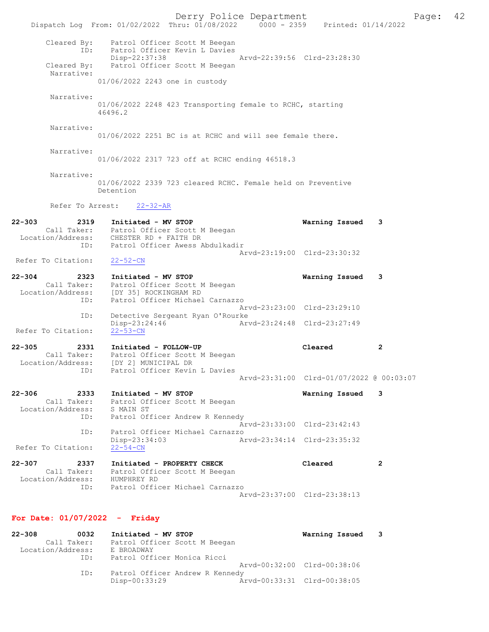Derry Police Department The Page: 42 Dispatch Log From: 01/02/2022 Thru: 01/08/2022 0000 - 2359 Printed: 01/14/2022 Cleared By: Patrol Officer Scott M Beegan<br>ID: Patrol Officer Kevin L Davies Patrol Officer Kevin L Davies Disp-22:37:38 Arvd-22:39:56 Clrd-23:28:30<br>Cleared By: Patrol Officer Scott M Beegan Patrol Officer Scott M Beegan Narrative: 01/06/2022 2243 one in custody Narrative: 01/06/2022 2248 423 Transporting female to RCHC, starting 46496.2 Narrative: 01/06/2022 2251 BC is at RCHC and will see female there. Narrative: 01/06/2022 2317 723 off at RCHC ending 46518.3 Narrative: 01/06/2022 2339 723 cleared RCHC. Female held on Preventive Detention Refer To Arrest: 22-32-AR 22-303 2319 Initiated - MV STOP Warning Issued 3 Call Taker: Patrol Officer Scott M Beegan Location/Address: CHESTER RD + FAITH DR ID: Patrol Officer Awess Abdulkadir Arvd-23:19:00 Clrd-23:30:32<br>22-52-CN Refer To Citation: 22-304 2323 Initiated - MV STOP Warning Issued 3 Call Taker: Patrol Officer Scott M Beegan Location/Address: [DY 35] ROCKINGHAM RD ID: Patrol Officer Michael Carnazzo Arvd-23:23:00 Clrd-23:29:10 ID: Detective Sergeant Ryan O'Rourke<br>Disp-23:24:46 Art Disp-23:24:46 Arvd-23:24:48 Clrd-23:27:49 Refer To Citation: 22-305 2331 Initiated - FOLLOW-UP Cleared 2 Call Taker: Patrol Officer Scott M Beegan Location/Address: [DY 2] MUNICIPAL DR ID: Patrol Officer Kevin L Davies Arvd-23:31:00 Clrd-01/07/2022 @ 00:03:07 22-306 2333 Initiated - MV STOP Warning Issued 3 Call Taker: Patrol Officer Scott M Beegan Location/Address: S MAIN ST ID: Patrol Officer Andrew R Kennedy Arvd-23:33:00 Clrd-23:42:43 ID: Patrol Officer Michael Carnazzo Disp-23:34:03 Arvd-23:34:14 Clrd-23:35:32 Refer To Citation: 22-307 2337 Initiated - PROPERTY CHECK Cleared 2 Call Taker: Patrol Officer Scott M Beegan Location/Address: HUMPHREY RD ID: Patrol Officer Michael Carnazzo Arvd-23:37:00 Clrd-23:38:13 For Date: 01/07/2022 - Friday 22-308 0032 Initiated - MV STOP Warning Issued 3

 Call Taker: Patrol Officer Scott M Beegan Location/Address: E BROADWAY ID: Patrol Officer Monica Ricci Arvd-00:32:00 Clrd-00:38:06 ID: Patrol Officer Andrew R Kennedy Disp-00:33:29 Arvd-00:33:31 Clrd-00:38:05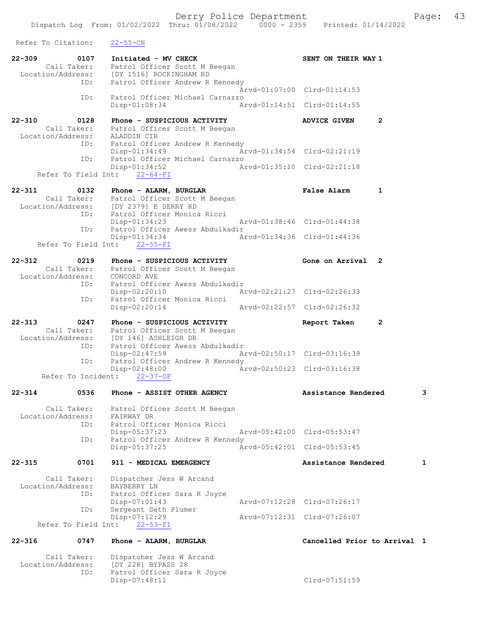Refer To Citation: 22-55-CN 22-309 0107 Initiated - MV CHECK SENT ON THEIR WAY 1 Call Taker: Patrol Officer Scott M Beegan Location/Address: [DY 1516] ROCKINGHAM RD ID: Patrol Officer Andrew R Kennedy Arvd-01:07:00 Clrd-01:14:53 ID: Patrol Officer Michael Carnazzo Disp-01:08:34 Arvd-01:14:51 Clrd-01:14:55 22-310 0128 Phone - SUSPICIOUS ACTIVITY ADVICE GIVEN 2 Call Taker: Patrol Officer Scott M Beegan Location/Address: ALADDIN CIR ID: Patrol Officer Andrew R Kennedy<br>Disp-01:34:49 A Disp-01:34:49 Arvd-01:34:54 Clrd-02:21:19 ID: Patrol Officer Michael Carnazzo Disp-01:34:52 Arvd-01:35:10 Clrd-02:21:18 Refer To Field Int: 22-64-FI 22-311 0132 Phone - ALARM, BURGLAR False Alarm 1 Call Taker: Patrol Officer Scott M Beegan Location/Address: [DY 2379] E DERRY RD ID: Patrol Officer Monica Ricci Disp-01:34:23 Arvd-01:38:46 Clrd-01:44:38<br>ID: Patrol Officer Awess Abdulkadir Patrol Officer Awess Abdulkadir<br>Disp-01:34:34 Ar Disp-01:34:34 Arvd-01:34:36 Clrd-01:44:36 Refer To Field Int: 22-55-FI 22-312 0219 Phone - SUSPICIOUS ACTIVITY Gone on Arrival 2 Call Taker: Patrol Officer Scott M Beegan Location/Address: CONCORD AVE ID: Patrol Officer Awess Abdulkadir Disp-02:20:10 Arvd-02:21:27 Clrd-02:26:33 ID: Patrol Officer Monica Ricci Disp-02:20:14 Arvd-02:22:57 Clrd-02:26:32 22-313 0247 Phone - SUSPICIOUS ACTIVITY Report Taken 2 Call Taker: Patrol Officer Scott M Beegan Location/Address: [DY 146] ASHLEIGH DR ID: Patrol Officer Awess Abdulkadir Disp-02:47:59 Arvd-02:50:17 Clrd-03:16:39<br>TD: Patrol Officer Andrew R Kennedy Patrol Officer Andrew R Kennedy Disp-02:48:00 Arvd-02:50:23 Clrd-03:16:38 Refer To Incident: 22-37-OF 22-314 0536 Phone - ASSIST OTHER AGENCY Assistance Rendered 3 Call Taker: Patrol Officer Scott M Beegan Location/Address: FAIRWAY DR ID: Patrol Officer Monica Ricci Disp-05:37:23 Arvd-05:42:00 Clrd-05:53:47<br>TD: Patrol Officer Andrew R Kennedy Patrol Officer Andrew R Kennedy<br>Disp-05:37:25 Ar Disp-05:37:25 Arvd-05:42:01 Clrd-05:53:45 22-315 0701 911 - MEDICAL EMERGENCY Assistance Rendered 1 Call Taker: Dispatcher Jess W Arcand Location/Address: BAYBERRY LN<br>ID: Patrol Offic Patrol Officer Sara R Joyce<br>Disp-07:01:43 Disp-07:01:43 Arvd-07:12:28 Clrd-07:26:17<br>ID: Sergeant Seth Plumer Sergeant Seth Plumer<br>Disp-07:12:29 Disp-07:12:29 Arvd-07:12:31 Clrd-07:26:07 Refer To Field Int: 22-53-FI 22-316 0747 Phone - ALARM, BURGLAR Cancelled Prior to Arrival 1 Call Taker: Dispatcher Jess W Arcand<br>Location/Address: [DY 228] BYPASS 28 Location/Address: [DY 228] BYPASS 28 ID: Patrol Officer Sara R Joyce

Disp-07:48:11 Clrd-07:51:59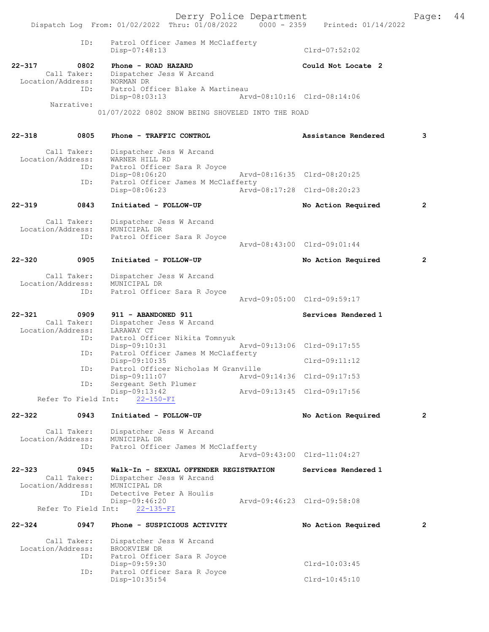Derry Police Department<br>Page: 44 Phru: 01/08/2022 0000 - 2359 Printed: 01/14/2022 Dispatch Log From: 01/02/2022 Thru: 01/08/2022 ID: Patrol Officer James M McClafferty Disp-07:48:13 Clrd-07:52:02 22-317 0802 Phone - ROAD HAZARD Could Not Locate 2 Call Taker: Dispatcher Jess W Arcand Location/Address: NORMAN DR<br>ID: Patrol Of: Patrol Officer Blake A Martineau<br>Disp-08:03:13 Art Disp-08:03:13 Arvd-08:10:16 Clrd-08:14:06 Narrative: 01/07/2022 0802 SNOW BEING SHOVELED INTO THE ROAD 22-318 0805 Phone - TRAFFIC CONTROL Assistance Rendered 3 Call Taker: Dispatcher Jess W Arcand<br>ion/Address: WARNER HILL RD Location/Address:<br>ID: Patrol Officer Sara R Joyce Disp-08:06:20 Arvd-08:16:35 Clrd-08:20:25<br>TD: Patrol Officer James M McClafferty Patrol Officer James M McClafferty<br>Disp-08:06:23 Arvd- Disp-08:06:23 Arvd-08:17:28 Clrd-08:20:23 22-319 0843 Initiated - FOLLOW-UP No Action Required 2 Call Taker: Dispatcher Jess W Arcand Location/Address: MUNICIPAL DR ID: Patrol Officer Sara R Joyce Arvd-08:43:00 Clrd-09:01:44 22-320 0905 Initiated - FOLLOW-UP No Action Required 2 Call Taker: Dispatcher Jess W Arcand Location/Address: MUNICIPAL DR Patrol Officer Sara R Joyce Arvd-09:05:00 Clrd-09:59:17 22-321 0909 911 - ABANDONED 911 Services Rendered 1 Call Taker: Dispatcher Jess W Arcand<br>ion/Address: LARAWAY CT Location/Address:<br>ID: Patrol Officer Nikita Tomnyuk<br>Disp-09:10:31 Disp-09:10:31 Arvd-09:13:06 Clrd-09:17:55 ID: Patrol Officer James M McClafferty Disp-09:10:35 Clrd-09:11:12 ID: Patrol Officer Nicholas M Granville Disp-09:11:07 <br>
Disp-09:11:07 <br>
Dispose and Seth Plumer <br>
Dispose arvd-09:14:36 Clrd-09:17:53 Sergeant Seth Plumer<br>Disp-09:13:42 Disp-09:13:42 Arvd-09:13:45 Clrd-09:17:56 Refer To Field Int: 22-150-FI 22-322 0943 Initiated - FOLLOW-UP No Action Required 2 Call Taker: Dispatcher Jess W Arcand Location/Address: MUNICIPAL DR<br>TD: Patrol Office Patrol Officer James M McClafferty Arvd-09:43:00 Clrd-11:04:27 22-323 0945 Walk-In - SEXUAL OFFENDER REGISTRATION Services Rendered 1<br>Call Taker: Dispatcher Jess W Arcand Dispatcher Jess W Arcand<br>MUNICIPAL DR Location/Address:<br>ID: Detective Peter A Houlis<br>Disp-09:46:20 -09:46:20 Arvd-09:46:23 Clrd-09:58:08<br>22-135-FI Refer To Field Int: 22-324 0947 Phone - SUSPICIOUS ACTIVITY No Action Required 2 Call Taker: Dispatcher Jess W Arcand<br>ion/Address: BROOKVIEW DR Location/Address:<br>TD: Patrol Officer Sara R Joyce Disp-09:59:30 Clrd-10:03:45

ID: Patrol Officer Sara R Joyce

Disp-10:35:54 Clrd-10:45:10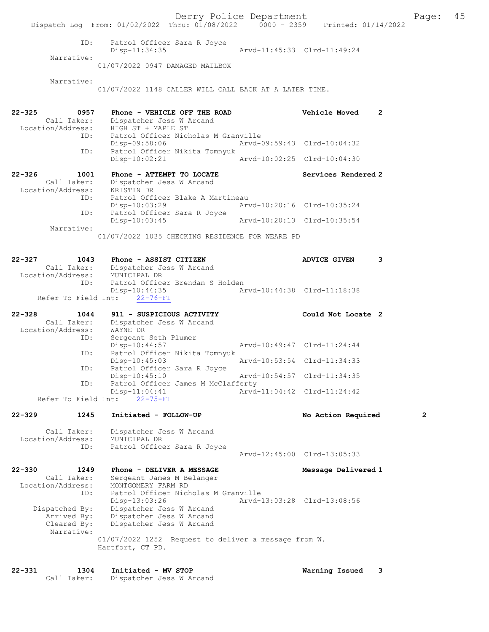Derry Police Department The Page: 45 Dispatch Log From: 01/02/2022 Thru: 01/08/2022 0000 - 2359 Printed: 01/14/2022 ID: Patrol Officer Sara R Joyce Disp-11:34:35 Arvd-11:45:33 Clrd-11:49:24 Narrative: 01/07/2022 0947 DAMAGED MAILBOX Narrative: 01/07/2022 1148 CALLER WILL CALL BACK AT A LATER TIME. 22-325 0957 Phone - VEHICLE OFF THE ROAD Vehicle Moved 2 Call Taker: Dispatcher Jess W Arcand Location/Address: HIGH ST + MAPLE ST<br>ID: Patrol Officer Nich ID: Patrol Officer Nicholas M Granville Arvd-09:59:43 Clrd-10:04:32 ID: Patrol Officer Nikita Tomnyuk Disp-10:02:21 Arvd-10:02:25 Clrd-10:04:30 22-326 1001 Phone - ATTEMPT TO LOCATE Services Rendered 2 Call Taker: Dispatcher Jess W Arcand<br>ion/Address: KRISTIN DR Location/Address:<br>TD: Patrol Officer Blake A Martineau<br>Disp-10:03:29 Art Disp-10:03:29 Arvd-10:20:16 Clrd-10:35:24 ID: Patrol Officer Sara R Joyce Disp-10:03:45 Arvd-10:20:13 Clrd-10:35:54 Narrative: 01/07/2022 1035 CHECKING RESIDENCE FOR WEARE PD 22-327 1043 Phone - ASSIST CITIZEN ADVICE GIVEN 3 Call Taker: Dispatcher Jess W Arcand Location/Address: MUNICIPAL DR Patrol Officer Brendan S Holden<br>Disp-10:44:35 Ar 10:44:35 Arvd-10:44:38 Clrd-11:18:38<br>22-76-FI Refer To Field Int: 22-328 1044 911 - SUSPICIOUS ACTIVITY Could Not Locate 2<br>Call Taker: Dispatcher Jess W Arcand Dispatcher Jess W Arcand Location/Address: WAYNE DR<br>ID: Sergeant Sergeant Seth Plumer<br>Disp-10:44:57 Arvd-10:49:47 Clrd-11:24:44 ID: Patrol Officer Nikita Tomnyuk Disp-10:45:03 Arvd-10:53:54 Clrd-11:34:33<br>ID: Patrol Officer Sara R Joyce Patrol Officer Sara R Joyce<br>Disp-10:45:10 Disp-10:45:10 Arvd-10:54:57 Clrd-11:34:35<br>ID: Patrol Officer James M McClafferty Patrol Officer James M McClafferty Disp-11:04:41 <br>http://edu.com/models/22-75-FI<br>Arvd-11:04:42 Clrd-11:24:42 Refer To Field Int: 22-329 1245 Initiated - FOLLOW-UP No Action Required 2 Call Taker: Dispatcher Jess W Arcand<br>ion/Address: MUNICIPAL DR Location/Address:<br>ID: Patrol Officer Sara R Joyce Arvd-12:45:00 Clrd-13:05:33 22-330 1249 Phone - DELIVER A MESSAGE Message Delivered 1 Call Taker: Sergeant James M Belanger Location/Address: MONTGOMERY FARM RD<br>ID: Patrol Officer Nichol Patrol Officer Nicholas M Granville<br>Disp-13:03:26 Arvd-Disp-13:03:26 <br>Dispatched By: Dispatcher Jess W Arcand Marvel 23:03:28 Clrd-13:08:56 spatched By: Dispatcher Jess W Arcand<br>Arrived By: Dispatcher Jess W Arcand Dispatcher Jess W Arcand Cleared By: Dispatcher Jess W Arcand Narrative: 01/07/2022 1252 Request to deliver a message from W. Hartfort, CT PD.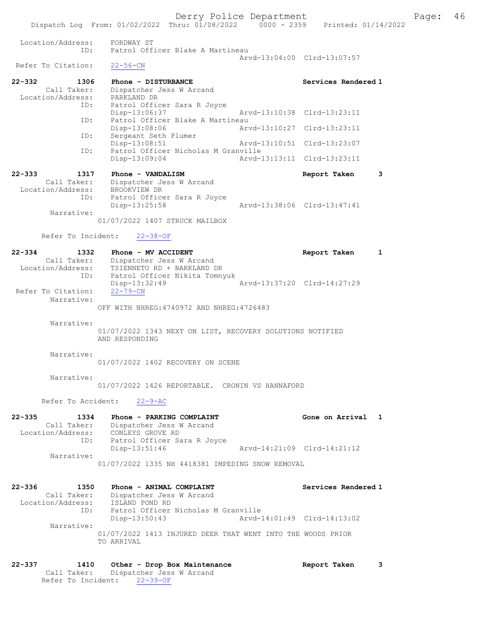|                                                                     | Dispatch Log From: 01/02/2022 Thru: 01/08/2022 0000 - 2359 Printed: 01/14/2022                                                                              | Derry Police Department     |                             |   | Page: | - 46 |
|---------------------------------------------------------------------|-------------------------------------------------------------------------------------------------------------------------------------------------------------|-----------------------------|-----------------------------|---|-------|------|
|                                                                     |                                                                                                                                                             |                             |                             |   |       |      |
| Location/Address:<br>ID:                                            | FORDWAY ST<br>Patrol Officer Blake A Martineau                                                                                                              |                             | Arvd-13:04:00 Clrd-13:07:57 |   |       |      |
| Refer To Citation:                                                  | $22 - 56 - CN$                                                                                                                                              |                             |                             |   |       |      |
| $22 - 332$<br>1306<br>Call Taker:<br>Location/Address:              | Phone - DISTURBANCE<br>Dispatcher Jess W Arcand<br>PARKLAND DR                                                                                              |                             | Services Rendered 1         |   |       |      |
| ID:<br>ID:                                                          | Patrol Officer Sara R Joyce<br>Disp-13:06:37<br>Patrol Officer Blake A Martineau                                                                            | Arvd-13:10:38 Clrd-13:23:11 |                             |   |       |      |
|                                                                     | Disp-13:08:06                                                                                                                                               | Arvd-13:10:27 Clrd-13:23:11 |                             |   |       |      |
| ID:<br>ID:                                                          | Sergeant Seth Plumer<br>$Disp-13:08:51$<br>Patrol Officer Nicholas M Granville                                                                              | Arvd-13:10:51 Clrd-13:23:07 |                             |   |       |      |
|                                                                     | $Disp-13:09:04$                                                                                                                                             | Arvd-13:13:11 Clrd-13:23:11 |                             |   |       |      |
| $22 - 333$<br>1317<br>Call Taker:<br>Location/Address: BROOKVIEW DR | Phone - VANDALISM<br>Dispatcher Jess W Arcand                                                                                                               |                             | Report Taken                | 3 |       |      |
| ID:<br>Narrative:                                                   | Patrol Officer Sara R Joyce<br>Disp-13:25:58                                                                                                                | Arvd-13:38:06 Clrd-13:47:41 |                             |   |       |      |
|                                                                     | 01/07/2022 1407 STRUCK MAILBOX                                                                                                                              |                             |                             |   |       |      |
| Refer To Incident:                                                  | $22 - 38 - OF$                                                                                                                                              |                             |                             |   |       |      |
| $22 - 334$<br>1332<br>Location/Address:<br>ID:                      | Phone - MV ACCIDENT<br>Call Taker: Dispatcher Jess W Arcand<br>TSIENNETO RD + BARKLAND DR<br>Patrol Officer Nikita Tomnyuk                                  |                             | Report Taken                | 1 |       |      |
| Refer To Citation:<br>Narrative:                                    | Disp-13:32:49<br>$22 - 79 - CN$<br>OFF WITH NHREG: 4740972 AND NHREG: 4726483                                                                               | Arvd-13:37:20 Clrd-14:27:29 |                             |   |       |      |
| Narrative:                                                          | 01/07/2022 1343 NEXT ON LIST, RECOVERY SOLUTIONS NOTIFIED<br>AND RESPONDING                                                                                 |                             |                             |   |       |      |
| Narrative:                                                          | 01/07/2022 1402 RECOVERY ON SCENE                                                                                                                           |                             |                             |   |       |      |
| Narrative:                                                          | 01/07/2022 1426 REPORTABLE. CRONIN VS HANNAFORD                                                                                                             |                             |                             |   |       |      |
|                                                                     | Refer To Accident: 22-9-AC                                                                                                                                  |                             |                             |   |       |      |
| $22 - 335$<br>1334                                                  | Phone - PARKING COMPLAINT<br>Call Taker: Dispatcher Jess W Arcand<br>Location/Address: CONLEYS GROVE RD<br>ID: Patrol Officer Sara R Joyce<br>Disp-13:51:46 | Arvd-14:21:09 Clrd-14:21:12 | Gone on Arrival 1           |   |       |      |
| Narrative:                                                          | 01/07/2022 1335 NH 4418381 IMPEDING SNOW REMOVAL                                                                                                            |                             |                             |   |       |      |
| $22 - 336$<br>1350<br>Location/Address: ISLAND POND RD<br>ID:       | Phone - ANIMAL COMPLAINT<br>Call Taker: Dispatcher Jess W Arcand<br>Patrol Officer Nicholas M Granville<br>Disp-13:50:43                                    | Arvd-14:01:49 Clrd-14:13:02 | Services Rendered 1         |   |       |      |
| Narrative:                                                          | 01/07/2022 1413 INJURED DEER THAT WENT INTO THE WOODS PRIOR<br>TO ARRIVAL                                                                                   |                             |                             |   |       |      |

22-337 1410 Other - Drop Box Maintenance Report Taken 3 Call Taker: Dispatcher Jess W Arcand Refer To Incident: 22-39-OF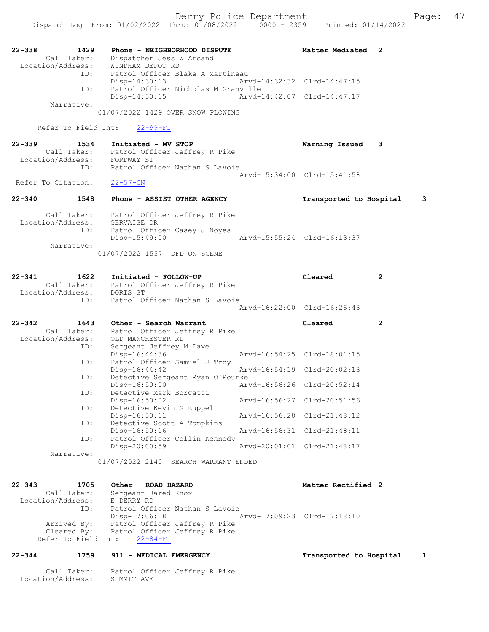| $22 - 338$<br>1429<br>Call Taker:<br>Location/Address:<br>ID: | Phone - NEIGHBORHOOD DISPUTE<br>Dispatcher Jess W Arcand<br>WINDHAM DEPOT RD<br>Patrol Officer Blake A Martineau | Matter Mediated<br>2         |
|---------------------------------------------------------------|------------------------------------------------------------------------------------------------------------------|------------------------------|
| ID:                                                           | $Disp-14:30:13$<br>Patrol Officer Nicholas M Granville                                                           | Arvd-14:32:32 Clrd-14:47:15  |
|                                                               | Disp-14:30:15                                                                                                    | Arvd-14:42:07 Clrd-14:47:17  |
| Narrative:                                                    | 01/07/2022 1429 OVER SNOW PLOWING                                                                                |                              |
| Refer To Field Int:                                           | $22 - 99 - FI$                                                                                                   |                              |
| 22-339<br>1534                                                | Initiated - MV STOP                                                                                              | Warning Issued<br>3          |
| Location/Address: FORDWAY ST                                  | Call Taker: Patrol Officer Jeffrey R Pike                                                                        |                              |
| ID:                                                           | Patrol Officer Nathan S Lavoie                                                                                   |                              |
| Refer To Citation:                                            | $22 - 57 - CN$                                                                                                   | Arvd-15:34:00 Clrd-15:41:58  |
| $22 - 340$<br>1548                                            | Phone - ASSIST OTHER AGENCY                                                                                      | 3<br>Transported to Hospital |
| Call Taker:<br>Location/Address:                              | Patrol Officer Jeffrey R Pike<br>GERVAISE DR                                                                     |                              |
| ID:                                                           | Patrol Officer Casey J Noyes<br>Disp-15:49:00                                                                    | Arvd-15:55:24 Clrd-16:13:37  |
| Narrative:                                                    |                                                                                                                  |                              |
|                                                               | 01/07/2022 1557 DFD ON SCENE                                                                                     |                              |
| 1622<br>22-341                                                | Initiated - FOLLOW-UP                                                                                            | Cleared<br>$\overline{2}$    |
| Location/Address:                                             | Call Taker: Patrol Officer Jeffrey R Pike<br>DORIS ST                                                            |                              |
| ID:                                                           | Patrol Officer Nathan S Lavoie                                                                                   |                              |
|                                                               | Arvd-16:22:00 Clrd-16:26:43                                                                                      |                              |
|                                                               |                                                                                                                  |                              |
| $22 - 342$<br>1643<br>Call Taker:                             | Other - Search Warrant                                                                                           | Cleared<br>$\overline{2}$    |
| Location/Address:                                             | Patrol Officer Jeffrey R Pike<br>OLD MANCHESTER RD                                                               |                              |
| ID:                                                           | Sergeant Jeffrey M Dawe<br>Disp-16:44:36                                                                         | Arvd-16:54:25 Clrd-18:01:15  |
| ID:                                                           | Patrol Officer Samuel J Troy                                                                                     |                              |
| ID:                                                           | Disp-16:44:42<br>Detective Sergeant Ryan O'Rourke                                                                | Arvd-16:54:19 Clrd-20:02:13  |
| ID:                                                           | Disp-16:50:00<br>Detective Mark Borgatti                                                                         | Arvd-16:56:26 Clrd-20:52:14  |
|                                                               | Disp-16:50:02                                                                                                    | Arvd-16:56:27 Clrd-20:51:56  |
| ID:                                                           | Detective Kevin G Ruppel<br>Disp-16:50:11                                                                        | Arvd-16:56:28 Clrd-21:48:12  |
| ID:                                                           | Detective Scott A Tompkins                                                                                       |                              |
| ID:                                                           | Disp-16:50:16<br>Patrol Officer Collin Kennedy                                                                   | Arvd-16:56:31 Clrd-21:48:11  |
| Narrative:                                                    | Disp-20:00:59                                                                                                    | Arvd-20:01:01 Clrd-21:48:17  |
|                                                               | 01/07/2022 2140 SEARCH WARRANT ENDED                                                                             |                              |
| $22 - 343$<br>1705                                            | Other - ROAD HAZARD                                                                                              | Matter Rectified 2           |
| Call Taker:                                                   | Sergeant Jared Knox                                                                                              |                              |
| Location/Address:<br>ID:                                      | E DERRY RD<br>Patrol Officer Nathan S Lavoie                                                                     |                              |
|                                                               | $Disp-17:06:18$                                                                                                  | Arvd-17:09:23 Clrd-17:18:10  |
| Arrived By:<br>Cleared By:                                    | Patrol Officer Jeffrey R Pike<br>Patrol Officer Jeffrey R Pike                                                   |                              |
| Refer To Field Int:                                           | $22 - 84 - FI$                                                                                                   |                              |
| $22 - 344$<br>1759                                            | 911 - MEDICAL EMERGENCY                                                                                          | Transported to Hospital<br>1 |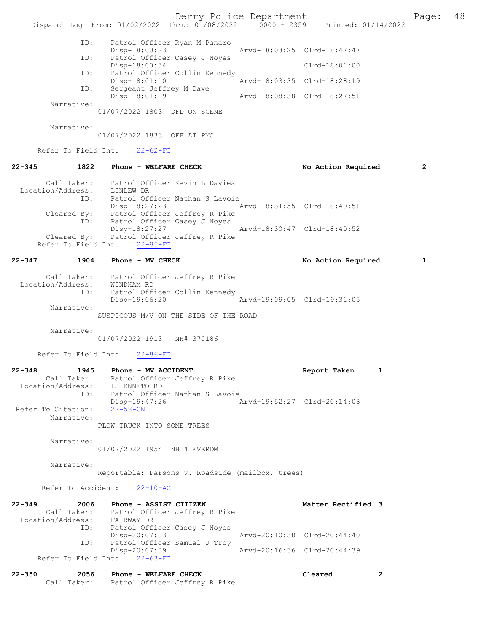Derry Police Department Page: 48 Dispatch Log From: 01/02/2022 Thru: 01/08/2022 0000 - 2359 Printed: 01/14/2022 ID: Patrol Officer Ryan M Panaro Disp-18:00:23 Arvd-18:03:25 Clrd-18:47:47<br>TD: Patrol Officer Casey J Noves Patrol Officer Casey J Noyes Disp-18:00:34 Clrd-18:01:00 ID: Patrol Officer Collin Kennedy<br>Disp-18:01:10 Disp-18:01:10 Arvd-18:03:35 Clrd-18:28:19 ID: Sergeant Jeffrey M Dawe<br>Disp-18:01:19 Disp-18:01:19 Arvd-18:08:38 Clrd-18:27:51 Narrative: 01/07/2022 1803 DFD ON SCENE Narrative: 01/07/2022 1833 OFF AT PMC Refer To Field Int: 22-62-FI 22-345 1822 Phone - WELFARE CHECK No Action Required 2 Call Taker: Patrol Officer Kevin L Davies Location/Address: LINLEW DR ID: Patrol Officer Nathan S Lavoie Disp-18:27:23 Arvd-18:31:55 Clrd-18:40:51 Cleared By: Patrol Officer Jeffrey R Pike ID: Patrol Officer Casey J Noyes Disp-18:27:27 Arvd-18:30:47 Clrd-18:40:52 Cleared By: Patrol Officer Jeffrey R Pike Refer To Field Int: 22-85-FI 22-347 1904 Phone - MV CHECK No Action Required 1 Call Taker: Patrol Officer Jeffrey R Pike Location/Address: WINDHAM RD ID: Patrol Officer Collin Kennedy<br>Disp-19:06:20 Disp-19:06:20 Arvd-19:09:05 Clrd-19:31:05 Narrative: SUSPICOUS M/V ON THE SIDE OF THE ROAD Narrative: 01/07/2022 1913 NH# 370186 Refer To Field Int: 22-86-FI 22-348 1945 Phone - MV ACCIDENT Report Taken 1 Call Taker: Patrol Officer Jeffrey R Pike Location/Address: TSIENNETO RD ID: Patrol Officer Nathan S Lavoie Disp-19:47:26 Arvd-19:52:27 Clrd-20:14:03 Refer To Citation: 22-58-CN Narrative: PLOW TRUCK INTO SOME TREES Narrative: 01/07/2022 1954 NH 4 EVERDM Narrative: Reportable: Parsons v. Roadside (mailbox, trees) Refer To Accident: 22-10-AC 22-349 2006 Phone - ASSIST CITIZEN NE SAN Matter Rectified 3 Call Taker: Patrol Officer Jeffrey R Pike Location/Address: FAIRWAY DR ID: Patrol Officer Casey J Noyes<br>Disp-20:07:03 Disp-20:07:03 Arvd-20:10:38 Clrd-20:44:40<br>ID: Patrol Officer Samuel J Trov Patrol Officer Samuel J Troy<br>Disp-20:07:09 Disp-20:07:09 Arvd-20:16:36 Clrd-20:44:39 Refer To Field Int: 22-63-FI 22-350 2056 Phone - WELFARE CHECK Cleared 2

Call Taker: Patrol Officer Jeffrey R Pike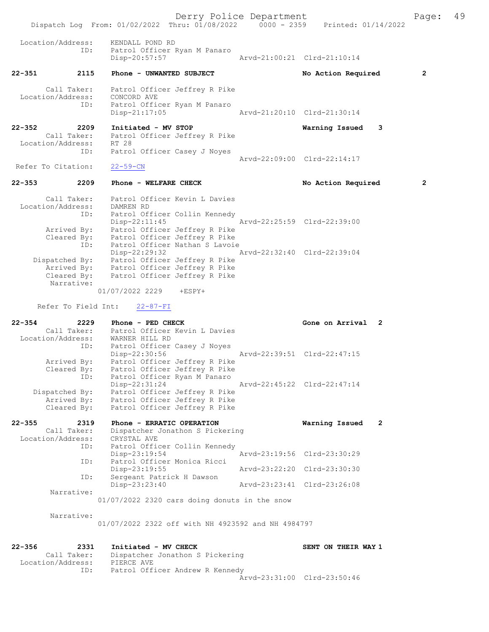Derry Police Department Fage: 49

|                               | Dispatch Loq From: $01/02/2022$ Thru: $01/08/2022$ 0000 - 2359          | Printed: 01/14/2022         |
|-------------------------------|-------------------------------------------------------------------------|-----------------------------|
| Location/Address:             | KENDALL POND RD<br>ID:<br>Patrol Officer Ryan M Panaro                  |                             |
|                               | Disp-20:57:57                                                           | Arvd-21:00:21 Clrd-21:10:14 |
| $22 - 351$                    | 2115<br>Phone - UNWANTED SUBJECT                                        | No Action Required<br>2     |
| Call Taker:                   | Patrol Officer Jeffrey R Pike                                           |                             |
| Location/Address:             | CONCORD AVE                                                             |                             |
|                               | Patrol Officer Ryan M Panaro<br>ID:<br>$Disp-21:17:05$                  | Arvd-21:20:10 Clrd-21:30:14 |
| 22-352                        | 2209<br>Initiated - MV STOP                                             | Warning Issued<br>3         |
| Call Taker:                   | Patrol Officer Jeffrey R Pike                                           |                             |
| Location/Address:             | RT 28                                                                   |                             |
|                               | ID:<br>Patrol Officer Casey J Noyes                                     | Arvd-22:09:00 Clrd-22:14:17 |
| Refer To Citation:            | $22 - 59 - CN$                                                          |                             |
| $22 - 353$                    | 2209<br>Phone - WELFARE CHECK                                           | 2<br>No Action Required     |
| Call Taker:                   | Patrol Officer Kevin L Davies                                           |                             |
| Location/Address:             | DAMREN RD                                                               |                             |
|                               | Patrol Officer Collin Kennedy<br>ID:<br>$Disp-22:11:45$                 | Arvd-22:25:59 Clrd-22:39:00 |
| Arrived By:                   | Patrol Officer Jeffrey R Pike                                           |                             |
| Cleared By:                   | Patrol Officer Jeffrey R Pike<br>ID:<br>Patrol Officer Nathan S Lavoie  |                             |
|                               | Disp-22:29:32                                                           | Arvd-22:32:40 Clrd-22:39:04 |
|                               | Dispatched By: Patrol Officer Jeffrey R Pike                            |                             |
| Arrived By:<br>Cleared By:    | Patrol Officer Jeffrey R Pike<br>Patrol Officer Jeffrey R Pike          |                             |
| Narrative:                    |                                                                         |                             |
|                               | 01/07/2022 2229 +ESPY+                                                  |                             |
| Refer To Field Int:           | $22 - 87 - FI$                                                          |                             |
| $22 - 354$                    | 2229<br>Phone - PED CHECK                                               | Gone on Arrival 2           |
| Call Taker:                   | Patrol Officer Kevin L Davies                                           |                             |
|                               | Location/Address: WARNER HILL RD<br>Patrol Officer Casey J Noyes<br>ID: |                             |
|                               | Disp-22:30:56                                                           | Arvd-22:39:51 Clrd-22:47:15 |
| Arrived By:<br>Cleared By:    | Patrol Officer Jeffrey R Pike<br>Patrol Officer Jeffrey R Pike          |                             |
|                               | Patrol Officer Ryan M Panaro<br>ID:                                     |                             |
|                               | Disp-22:31:24<br>Patrol Officer Jeffrey R Pike                          | Arvd-22:45:22 Clrd-22:47:14 |
| Dispatched By:<br>Arrived By: | Patrol Officer Jeffrey R Pike                                           |                             |
| Cleared By:                   | Patrol Officer Jeffrey R Pike                                           |                             |
| $22 - 355$                    | 2319<br>Phone - ERRATIC OPERATION                                       | 2<br>Warning Issued         |
| Call Taker:                   | Dispatcher Jonathon S Pickering                                         |                             |
| Location/Address:             | CRYSTAL AVE<br>ID:<br>Patrol Officer Collin Kennedy                     |                             |
|                               | $Disp-23:19:54$                                                         | Aryd-23:19:56 Clrd-23:30:29 |
|                               | Patrol Officer Monica Ricci<br>ID:<br>Disp-23:19:55                     | Arvd-23:22:20 Clrd-23:30:30 |
|                               | Sergeant Patrick H Dawson<br>ID:                                        |                             |
|                               | Disp-23:23:40                                                           | Arvd-23:23:41 Clrd-23:26:08 |
| Narrative:                    | 01/07/2022 2320 cars doing donuts in the snow                           |                             |
|                               |                                                                         |                             |
| Narrative:                    |                                                                         |                             |
|                               | 01/07/2022 2322 off with NH 4923592 and NH 4984797                      |                             |
|                               |                                                                         |                             |
| $22 - 356$                    | 2331<br>Initiated - MV CHECK                                            | SENT ON THEIR WAY 1         |
| Call Taker:                   | Dispatcher Jonathon S Pickering                                         |                             |
| Location/Address:             | PIERCE AVE<br>Patrol Officer Andrew R Kennedy<br>ID:                    |                             |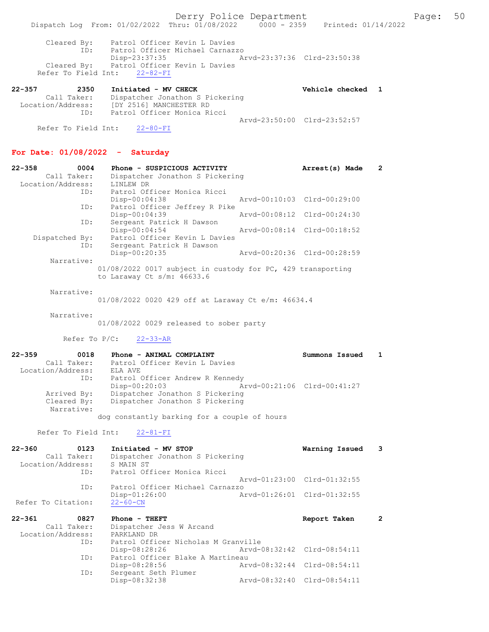Cleared By: Patrol Officer Kevin L Davies ID: Patrol Officer Michael Carnazzo Disp-23:37:35 Arvd-23:37:36 Clrd-23:50:38 Cleared By: Patrol Officer Kevin L Davies Refer To Field Int: 22-82-FI

| $22 - 357$ | 2350                | Initiated - MV CHECK            | Vehicle checked 1           |  |
|------------|---------------------|---------------------------------|-----------------------------|--|
|            | Call Taker:         | Dispatcher Jonathon S Pickering |                             |  |
|            | Location/Address:   | [DY 2516] MANCHESTER RD         |                             |  |
|            | TD:                 | Patrol Officer Monica Ricci     |                             |  |
|            |                     |                                 | Aryd-23:50:00 Clrd-23:52:57 |  |
|            | Refer To Field Int: | $22 - 80 - FI$                  |                             |  |

### For Date: 01/08/2022 - Saturday

| $22 - 358$<br>0004 | Phone - SUSPICIOUS ACTIVITY                                                                    | Arrest(s) Made              | 2 |
|--------------------|------------------------------------------------------------------------------------------------|-----------------------------|---|
| Call Taker:        | Dispatcher Jonathon S Pickering                                                                |                             |   |
| Location/Address:  | LINLEW DR                                                                                      |                             |   |
| ID:                | Patrol Officer Monica Ricci                                                                    |                             |   |
|                    | $Disp-00:04:38$                                                                                | Arvd-00:10:03 Clrd-00:29:00 |   |
| ID:                | Patrol Officer Jeffrey R Pike                                                                  |                             |   |
|                    | $Disp-00:04:39$                                                                                | Arvd-00:08:12 Clrd-00:24:30 |   |
| ID:                | Sergeant Patrick H Dawson                                                                      |                             |   |
|                    | $Disp-00:04:54$                                                                                | Arvd-00:08:14 Clrd-00:18:52 |   |
| Dispatched By:     | Patrol Officer Kevin L Davies                                                                  |                             |   |
| ID:                | Sergeant Patrick H Dawson                                                                      |                             |   |
|                    | Disp-00:20:35                                                                                  | Arvd-00:20:36 Clrd-00:28:59 |   |
| Narrative:         |                                                                                                |                             |   |
|                    | $01/08/2022$ 0017 subject in custody for PC, 429 transporting<br>to Laraway Ct $s/m$ : 46633.6 |                             |   |
|                    |                                                                                                |                             |   |

Narrative:

01/08/2022 0020 429 off at Laraway Ct e/m: 46634.4

Narrative:

01/08/2022 0029 released to sober party

Refer To P/C: 22-33-AR

| $22 - 359$<br>0018 | Phone - ANIMAL COMPLAINT        |                                              | Summons Issued |  |
|--------------------|---------------------------------|----------------------------------------------|----------------|--|
| Call Taker:        | Patrol Officer Kevin L Davies   |                                              |                |  |
| Location/Address:  | ELA AVE                         |                                              |                |  |
| ID:                | Patrol Officer Andrew R Kennedy |                                              |                |  |
|                    | $Disp-00:20:03$                 | Arvd-00:21:06 Clrd-00:41:27                  |                |  |
| Arrived By:        | Dispatcher Jonathon S Pickering |                                              |                |  |
| Cleared By:        | Dispatcher Jonathon S Pickering |                                              |                |  |
| Narrative:         |                                 |                                              |                |  |
|                    |                                 | dog constantly barking for a couple of hours |                |  |

Refer To Field Int: 22-81-FI

| $22 - 360$<br>0123<br>Call Taker:<br>Location/Address:         | ID:                   | Initiated - MV STOP<br>Dispatcher Jonathon S Pickering<br>S MAIN ST<br>Patrol Officer Monica Ricci | Warning Issued              |  |
|----------------------------------------------------------------|-----------------------|----------------------------------------------------------------------------------------------------|-----------------------------|--|
|                                                                |                       |                                                                                                    | Arvd-01:23:00 Clrd-01:32:55 |  |
| Refer To Citation:                                             | ID:<br>$22 - 60 - CN$ | Patrol Officer Michael Carnazzo<br>$Disp-01:26:00$                                                 | Arvd-01:26:01 Clrd-01:32:55 |  |
| $22 - 361$<br>0827<br>Call Taker:<br>Location/Address:<br>$ -$ |                       | Phone - THEFT<br>Dispatcher Jess W Arcand<br>PARKLAND DR                                           | Report Taken                |  |

| LUCALIUII/AUULESS. | FANNLAND DN                         |                             |  |
|--------------------|-------------------------------------|-----------------------------|--|
| ID:                | Patrol Officer Nicholas M Granville |                             |  |
|                    | Disp-08:28:26                       | Arvd-08:32:42 Clrd-08:54:11 |  |
| ID:                | Patrol Officer Blake A Martineau    |                             |  |
|                    | Disp-08:28:56                       | Arvd-08:32:44 Clrd-08:54:11 |  |
| ID:                | Sergeant Seth Plumer                |                             |  |
|                    | Disp-08:32:38                       | Arvd-08:32:40 Clrd-08:54:11 |  |
|                    |                                     |                             |  |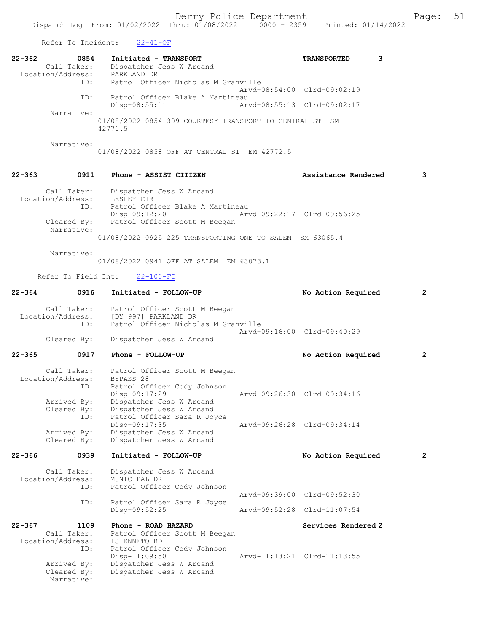Refer To Incident: 22-41-OF

|            | ROLOL 10 INCLUDITO.                             | 22 TI OF                                                                                                                                        |                             |                |
|------------|-------------------------------------------------|-------------------------------------------------------------------------------------------------------------------------------------------------|-----------------------------|----------------|
| 22-362     | 0854                                            | Initiated - TRANSPORT<br>Call Taker: Dispatcher Jess W Arcand<br>Location/Address: PARKLAND DR                                                  | 3<br><b>TRANSPORTED</b>     |                |
|            |                                                 | ID: Patrol Officer Nicholas M Granville                                                                                                         | Arvd-08:54:00 Clrd-09:02:19 |                |
|            | ID:                                             | Patrol Officer Blake A Martineau<br>$Disp-08:55:11$<br>Arvd-08:55:13 Clrd-09:02:17                                                              |                             |                |
|            | Narrative:                                      | 01/08/2022 0854 309 COURTESY TRANSPORT TO CENTRAL ST SM<br>42771.5                                                                              |                             |                |
|            | Narrative:                                      | 01/08/2022 0858 OFF AT CENTRAL ST EM 42772.5                                                                                                    |                             |                |
| 22-363     | 0911                                            | Phone - ASSIST CITIZEN                                                                                                                          | Assistance Rendered         | 3              |
|            | ID:                                             | Call Taker: Dispatcher Jess W Arcand<br>Location/Address: LESLEY CIR<br>Patrol Officer Blake A Martineau                                        |                             |                |
|            | Narrative:                                      | Disp-09:12:20<br>Cleared By: Patrol Officer Scott M Beegan                                                                                      | Arvd-09:22:17 Clrd-09:56:25 |                |
|            |                                                 | 01/08/2022 0925 225 TRANSPORTING ONE TO SALEM SM 63065.4                                                                                        |                             |                |
|            | Narrative:                                      | 01/08/2022 0941 OFF AT SALEM EM 63073.1                                                                                                         |                             |                |
|            |                                                 | Refer To Field Int: 22-100-FI                                                                                                                   |                             |                |
|            | 22-364 0916                                     | Initiated - FOLLOW-UP                                                                                                                           | No Action Required          | 2              |
|            |                                                 | Call Taker: Patrol Officer Scott M Beegan<br>Location/Address: [DY 997] PARKLAND DR<br>ID: Patrol Officer Nicholas M Granville                  |                             |                |
|            |                                                 | Cleared By: Dispatcher Jess W Arcand                                                                                                            | Arvd-09:16:00 Clrd-09:40:29 |                |
| $22 - 365$ | 0917                                            | Phone - FOLLOW-UP                                                                                                                               | No Action Required          | $\overline{2}$ |
|            | ID:                                             | Call Taker: Patrol Officer Scott M Beegan<br>Location/Address: BYPASS 28<br>ID: Patrol Of<br>Patrol Officer Cody Johnson                        |                             |                |
|            | Cleared By:<br>ID:                              | Arvd-09:26:30 Clrd-09:34:16<br>Disp-09:17:29<br>Arrived By: Dispatcher Jess W Arcand<br>Dispatcher Jess W Arcand<br>Patrol Officer Sara R Joyce |                             |                |
|            | Arrived By:<br>Cleared By:                      | Disp-09:17:35<br>Dispatcher Jess W Arcand<br>Dispatcher Jess W Arcand                                                                           | Arvd-09:26:28 Clrd-09:34:14 |                |
| $22 - 366$ | 0939                                            | Initiated - FOLLOW-UP                                                                                                                           | No Action Required          | $\mathbf{2}$   |
|            | Call Taker:<br>Location/Address:<br>ID:         | Dispatcher Jess W Arcand<br>MUNICIPAL DR<br>Patrol Officer Cody Johnson                                                                         |                             |                |
|            | ID:                                             | Patrol Officer Sara R Joyce                                                                                                                     | Arvd-09:39:00 Clrd-09:52:30 |                |
|            |                                                 | $Disp-09:52:25$                                                                                                                                 | Arvd-09:52:28 Clrd-11:07:54 |                |
| 22-367     | 1109<br>Call Taker:<br>Location/Address:<br>ID: | Phone - ROAD HAZARD<br>Patrol Officer Scott M Beegan<br>TSIENNETO RD<br>Patrol Officer Cody Johnson                                             | Services Rendered 2         |                |
|            | Arrived By:<br>Cleared By:<br>Narrative:        | Disp-11:09:50<br>Dispatcher Jess W Arcand<br>Dispatcher Jess W Arcand                                                                           | Arvd-11:13:21 Clrd-11:13:55 |                |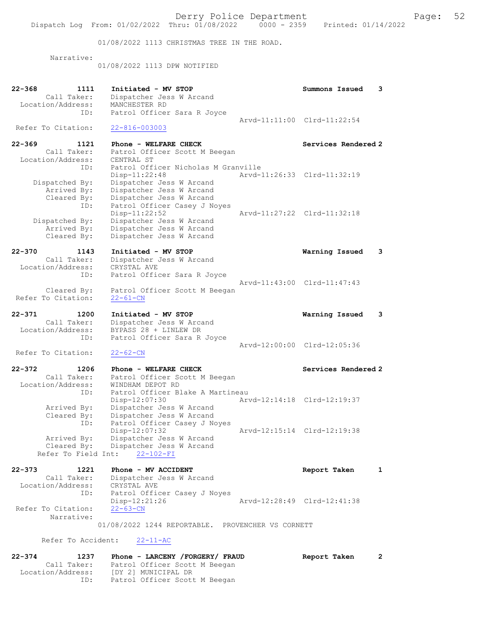01/08/2022 1113 CHRISTMAS TREE IN THE ROAD.

Narrative:

01/08/2022 1113 DPW NOTIFIED

| $22 - 368$ | 1111                     | Initiated - MV STOP                                              | Summons Issued              | 3            |
|------------|--------------------------|------------------------------------------------------------------|-----------------------------|--------------|
|            | Call Taker:              | Dispatcher Jess W Arcand                                         |                             |              |
|            | Location/Address:        | MANCHESTER RD                                                    |                             |              |
|            | ID:                      | Patrol Officer Sara R Joyce                                      |                             |              |
|            | Refer To Citation:       |                                                                  | Arvd-11:11:00 Clrd-11:22:54 |              |
|            |                          | $22 - 816 - 003003$                                              |                             |              |
| $22 - 369$ | 1121                     | Phone - WELFARE CHECK                                            | Services Rendered 2         |              |
|            | Call Taker:              | Patrol Officer Scott M Beegan                                    |                             |              |
|            | Location/Address:        | CENTRAL ST                                                       |                             |              |
|            | ID:                      | Patrol Officer Nicholas M Granville                              |                             |              |
|            |                          | Disp-11:22:48                                                    | Arvd-11:26:33 Clrd-11:32:19 |              |
|            | Dispatched By:           | Dispatcher Jess W Arcand                                         |                             |              |
|            | Arrived By:              | Dispatcher Jess W Arcand                                         |                             |              |
|            | Cleared By:              | Dispatcher Jess W Arcand                                         |                             |              |
|            | ID:                      | Patrol Officer Casey J Noyes<br>Disp-11:22:52                    |                             |              |
|            | Dispatched By:           | Dispatcher Jess W Arcand                                         | Arvd-11:27:22 Clrd-11:32:18 |              |
|            | Arrived By:              | Dispatcher Jess W Arcand                                         |                             |              |
|            | Cleared By:              | Dispatcher Jess W Arcand                                         |                             |              |
|            |                          |                                                                  |                             |              |
| $22 - 370$ | 1143                     | Initiated - MV STOP                                              | Warning Issued              | 3            |
|            | Call Taker:              | Dispatcher Jess W Arcand                                         |                             |              |
|            | Location/Address:        | CRYSTAL AVE                                                      |                             |              |
|            | ID:                      | Patrol Officer Sara R Joyce                                      |                             |              |
|            | Cleared By:              | Patrol Officer Scott M Beegan                                    | Arvd-11:43:00 Clrd-11:47:43 |              |
|            | Refer To Citation:       | $22 - 61 - CN$                                                   |                             |              |
|            |                          |                                                                  |                             |              |
| $22 - 371$ | 1200                     | Initiated - MV STOP                                              | Warning Issued              | 3            |
|            | Call Taker:              | Dispatcher Jess W Arcand                                         |                             |              |
|            | Location/Address:        | BYPASS 28 + LINLEW DR                                            |                             |              |
|            | ID:                      | Patrol Officer Sara R Joyce                                      |                             |              |
|            |                          |                                                                  | Arvd-12:00:00 Clrd-12:05:36 |              |
|            | Refer To Citation:       | $22 - 62 - CN$                                                   |                             |              |
| $22 - 372$ | 1206                     | Phone - WELFARE CHECK                                            | Services Rendered 2         |              |
|            | Call Taker:              | Patrol Officer Scott M Beegan                                    |                             |              |
|            | Location/Address:        | WINDHAM DEPOT RD                                                 |                             |              |
|            | ID:                      | Patrol Officer Blake A Martineau                                 |                             |              |
|            |                          | Disp-12:07:30                                                    | Arvd-12:14:18 Clrd-12:19:37 |              |
|            | Arrived By:              | Dispatcher Jess W Arcand                                         |                             |              |
|            | Cleared By:              | Dispatcher Jess W Arcand                                         |                             |              |
|            | ID:                      | Patrol Officer Casey J Noyes                                     |                             |              |
|            |                          | Disp-12:07:32                                                    | Arvd-12:15:14 Clrd-12:19:38 |              |
|            | Arrived By:              | Dispatcher Jess W Arcand<br>Cleared By: Dispatcher Jess W Arcand |                             |              |
|            | Refer To Field Int:      | $22 - 102 - FI$                                                  |                             |              |
|            |                          |                                                                  |                             |              |
| $22 - 373$ | 1221                     | Phone - MV ACCIDENT                                              | Report Taken                | 1            |
|            | Call Taker:              | Dispatcher Jess W Arcand                                         |                             |              |
|            | Location/Address:        | CRYSTAL AVE                                                      |                             |              |
|            | ID:                      | Patrol Officer Casey J Noyes                                     |                             |              |
|            | Refer To Citation:       | Disp-12:21:26                                                    | Arvd-12:28:49 Clrd-12:41:38 |              |
|            |                          | $22 - 63 - CN$                                                   |                             |              |
|            |                          |                                                                  |                             |              |
|            | Narrative:               |                                                                  |                             |              |
|            |                          | 01/08/2022 1244 REPORTABLE. PROVENCHER VS CORNETT                |                             |              |
|            | Refer To Accident:       | $22 - 11 - AC$                                                   |                             |              |
|            |                          |                                                                  |                             |              |
| $22 - 374$ | 1237                     | Phone - LARCENY /FORGERY/ FRAUD                                  | Report Taken                | $\mathbf{2}$ |
|            | Call Taker:              | Patrol Officer Scott M Beegan                                    |                             |              |
|            | Location/Address:<br>ID: | [DY 2] MUNICIPAL DR<br>Patrol Officer Scott M Beegan             |                             |              |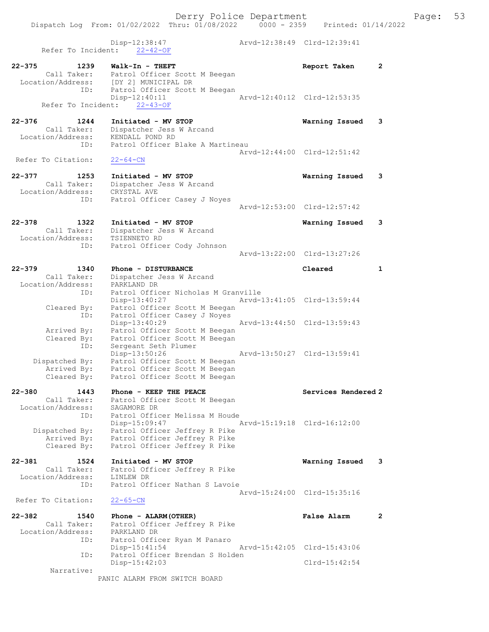Dispatch Log From: 01/02/2022 Thru: 01/08/2022 0000 - 2359 Printed: 01/14/2022

 Disp-12:38:47 Arvd-12:38:49 Clrd-12:39:41 Refer To Incident: 22-42-OF 22-375 1239 Walk-In - THEFT Report Taken 2 Call Taker: Patrol Officer Scott M Beegan Location/Address: [DY 2] MUNICIPAL DR ID: Patrol Officer Scott M Beegan Disp-12:40:11 Arvd-12:40:12 Clrd-12:53:35 Refer To Incident: 22-43-OF 22-376 1244 Initiated - MV STOP Warning Issued 3 Call Taker: Dispatcher Jess W Arcand Location/Address: KENDALL POND RD ID: Patrol Officer Blake A Martineau Arvd-12:44:00 Clrd-12:51:42<br>22-64-CN Refer To Citation: 22-377 1253 Initiated - MV STOP Warning Issued 3 Call Taker: Dispatcher Jess W Arcand Location/Address: CRYSTAL AVE ID: Patrol Officer Casey J Noyes Arvd-12:53:00 Clrd-12:57:42 22-378 1322 Initiated - MV STOP Warning Issued 3 Call Taker: Dispatcher Jess W Arcand Location/Address: TSIENNETO RD ID: Patrol Officer Cody Johnson Arvd-13:22:00 Clrd-13:27:26 22-379 1340 Phone - DISTURBANCE Cleared 1 Call Taker: Dispatcher Jess W Arcand Location/Address: PARKLAND DR ID: Patrol Officer Nicholas M Granville Disp-13:40:27 Arvd-13:41:05 Clrd-13:59:44 Cleared By: Patrol Officer Scott M Beegan ID: Patrol Officer Casey J Noyes Disp-13:40:29 Arvd-13:44:50 Clrd-13:59:43 Arrived By: Patrol Officer Scott M Beegan Cleared By: Patrol Officer Scott M Beegan ID: Sergeant Seth Plumer Disp-13:50:26 Arvd-13:50:27 Clrd-13:59:41 Dispatched By: Patrol Officer Scott M Beegan Arrived By: Patrol Officer Scott M Beegan Cleared By: Patrol Officer Scott M Beegan 22-380 1443 Phone - KEEP THE PEACE Network Services Rendered 2 Call Taker: Patrol Officer Scott M Beegan Location/Address: SAGAMORE DR ID: Patrol Officer Melissa M Houde Disp-15:09:47 Arvd-15:19:18 Clrd-16:12:00 Dispatched By: Patrol Officer Jeffrey R Pike Arrived By: Patrol Officer Jeffrey R Pike Cleared By: Patrol Officer Jeffrey R Pike 22-381 1524 Initiated - MV STOP Warning Issued 3 Call Taker: Patrol Officer Jeffrey R Pike Location/Address: LINLEW DR ID: Patrol Officer Nathan S Lavoie Arvd-15:24:00 Clrd-15:35:16 Refer To Citation: 22-65-CN 22-382 1540 Phone - ALARM(OTHER) False Alarm 2 Call Taker: Patrol Officer Jeffrey R Pike Location/Address: PARKLAND DR ID: Patrol Officer Ryan M Panaro Disp-15:41:54 Arvd-15:42:05 Clrd-15:43:06 ID: Patrol Officer Brendan S Holden Disp-15:42:03 Clrd-15:42:54 Narrative: PANIC ALARM FROM SWITCH BOARD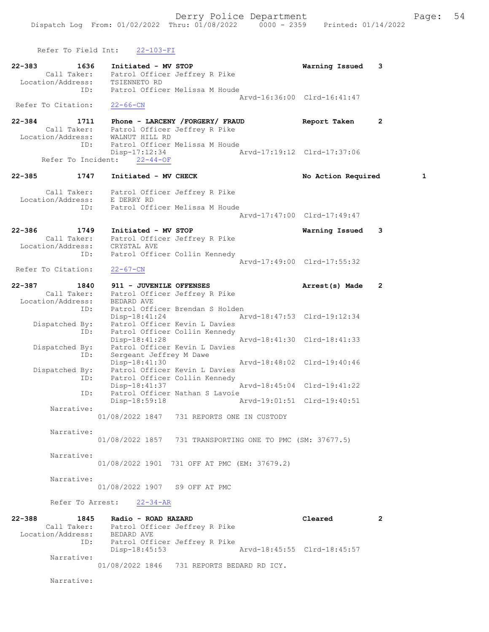Refer To Field Int: 22-103-FI 22-383 1636 Initiated - MV STOP Warning Issued 3 Call Taker: Patrol Officer Jeffrey R Pike Location/Address: TSIENNETO RD ID: Patrol Officer Melissa M Houde Arvd-16:36:00 Clrd-16:41:47 Refer To Citation: 22-66-CN 22-384 1711 Phone - LARCENY /FORGERY/ FRAUD Report Taken 2 Call Taker: Patrol Officer Jeffrey R Pike Location/Address: WALNUT HILL RD ID: Patrol Officer Melissa M Houde Disp-17:12:34 Arvd-17:19:12 Clrd-17:37:06 Refer To Incident: 22-44-OF 22-385 1747 Initiated - MV CHECK 1 No Action Required 1 Call Taker: Patrol Officer Jeffrey R Pike Location/Address: E DERRY RD ID: Patrol Officer Melissa M Houde Arvd-17:47:00 Clrd-17:49:47 22-386 1749 Initiated - MV STOP Warning Issued 3 Call Taker: Patrol Officer Jeffrey R Pike Location/Address: CRYSTAL AVE ID: Patrol Officer Collin Kennedy Arvd-17:49:00 Clrd-17:55:32<br>22-67-CN Refer To Citation: 22-387 1840 911 - JUVENILE OFFENSES 1988 Marrest(s) Made 2 Call Taker: Patrol Officer Jeffrey R Pike Location/Address: BEDARD AVE ID: Patrol Officer Brendan S Holden Disp-18:41:24 Arvd-18:47:53 Clrd-19:12:34 Dispatched By: Patrol Officer Kevin L Davies ID: Patrol Officer Collin Kennedy Disp-18:41:28 Arvd-18:41:30 Clrd-18:41:33 Dispatched By: Patrol Officer Kevin L Davies ID: Sergeant Jeffrey M Dawe Disp-18:41:30 Arvd-18:48:02 Clrd-19:40:46 Dispatched By: Patrol Officer Kevin L Davies ID: Patrol Officer Collin Kennedy Disp-18:41:37 Arvd-18:45:04 Clrd-19:41:22 ID: Patrol Officer Nathan S Lavoie<br>Disp-18:59:18 Disp-18:59:18 Arvd-19:01:51 Clrd-19:40:51 Narrative: 01/08/2022 1847 731 REPORTS ONE IN CUSTODY Narrative: 01/08/2022 1857 731 TRANSPORTING ONE TO PMC (SM: 37677.5) Narrative: 01/08/2022 1901 731 OFF AT PMC (EM: 37679.2) Narrative: 01/08/2022 1907 S9 OFF AT PMC Refer To Arrest: 22-34-AR 22-388 1845 Radio - ROAD HAZARD Cleared 2 Call Taker: Patrol Officer Jeffrey R Pike Location/Address: BEDARD AVE ID: Patrol Officer Jeffrey R Pike Disp-18:45:53 Arvd-18:45:55 Clrd-18:45:57 Narrative: 01/08/2022 1846 731 REPORTS BEDARD RD ICY.

Narrative: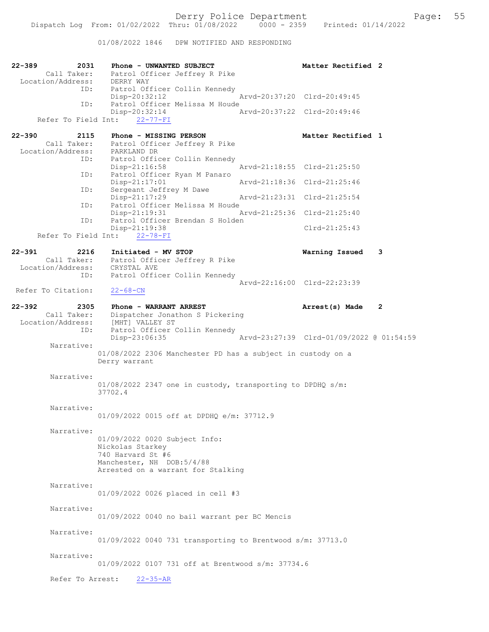01/08/2022 1846 DPW NOTIFIED AND RESPONDING

| $22 - 389$<br>2031<br>Location/Address: DERRY WAY             | Phone - UNWANTED SUBJECT<br>Call Taker: Patrol Officer Jeffrey R Pike                                                                     | Matter Rectified 2                       |   |
|---------------------------------------------------------------|-------------------------------------------------------------------------------------------------------------------------------------------|------------------------------------------|---|
| ID:                                                           | Patrol Officer Collin Kennedy<br>Disp-20:32:12                                                                                            | Arvd-20:37:20 Clrd-20:49:45              |   |
| ID:                                                           | Patrol Officer Melissa M Houde<br>Disp-20:32:14<br>Refer To Field Int: 22-77-FI                                                           | Arvd-20:37:22 Clrd-20:49:46              |   |
| $22 - 390$<br>2115<br>Call Taker:                             | Phone - MISSING PERSON<br>Patrol Officer Jeffrey R Pike                                                                                   | Matter Rectified 1                       |   |
| Location/Address: PARKLAND DR<br>ID:                          | Patrol Officer Collin Kennedy<br>$Disp-21:16:58$                                                                                          | Arvd-21:18:55 Clrd-21:25:50              |   |
| ID:                                                           | Patrol Officer Ryan M Panaro<br>$Disp-21:17:01$                                                                                           | Arvd-21:18:36 Clrd-21:25:46              |   |
| ID:                                                           | Sergeant Jeffrey M Dawe<br>Disp-21:17:29                                                                                                  | Arvd-21:23:31 Clrd-21:25:54              |   |
| ID:                                                           | Patrol Officer Melissa M Houde<br>$Disp-21:19:31$                                                                                         | Arvd-21:25:36 Clrd-21:25:40              |   |
| ID:                                                           | Patrol Officer Brendan S Holden<br>Disp-21:19:38                                                                                          | $Clrd-21:25:43$                          |   |
|                                                               | Refer To Field Int: 22-78-FI                                                                                                              |                                          |   |
| $22 - 391$<br>2216<br>Location/Address:                       | Initiated - MV STOP<br>Call Taker: Patrol Officer Jeffrey R Pike<br>.on/Address: CRYSTAL AVE<br>CRYSTAL AVE                               | Warning Issued                           | 3 |
| ID:                                                           | Patrol Officer Collin Kennedy                                                                                                             | Arvd-22:16:00 Clrd-22:23:39              |   |
| Refer To Citation:                                            | $22 - 68 - CN$                                                                                                                            |                                          |   |
| $22 - 392$<br>2305<br>Call Taker:<br>Location/Address:<br>ID: | Phone - WARRANT ARREST<br>Dispatcher Jonathon S Pickering<br>[MHT] VALLEY ST<br>Patrol Officer Collin Kennedy                             | Arrest(s) Made                           | 2 |
|                                                               | Disp-23:06:35                                                                                                                             | Arvd-23:27:39 Clrd-01/09/2022 @ 01:54:59 |   |
| Narrative:                                                    | 01/08/2022 2306 Manchester PD has a subject in custody on a<br>Derry warrant                                                              |                                          |   |
| Narrative:                                                    | $01/08/2022$ 2347 one in custody, transporting to DPDHQ s/m:<br>37702.4                                                                   |                                          |   |
| Narrative:                                                    | 01/09/2022 0015 off at DPDHQ e/m: 37712.9                                                                                                 |                                          |   |
| Narrative:                                                    | 01/09/2022 0020 Subject Info:<br>Nickolas Starkey<br>740 Harvard St #6<br>Manchester, NH DOB:5/4/88<br>Arrested on a warrant for Stalking |                                          |   |
| Narrative:                                                    | 01/09/2022 0026 placed in cell #3                                                                                                         |                                          |   |
| Narrative:                                                    | 01/09/2022 0040 no bail warrant per BC Mencis                                                                                             |                                          |   |
| Narrative:                                                    | 01/09/2022 0040 731 transporting to Brentwood s/m: 37713.0                                                                                |                                          |   |
| Narrative:                                                    | 01/09/2022 0107 731 off at Brentwood s/m: 37734.6                                                                                         |                                          |   |
| Refer To Arrest:                                              | $22 - 35 - AR$                                                                                                                            |                                          |   |